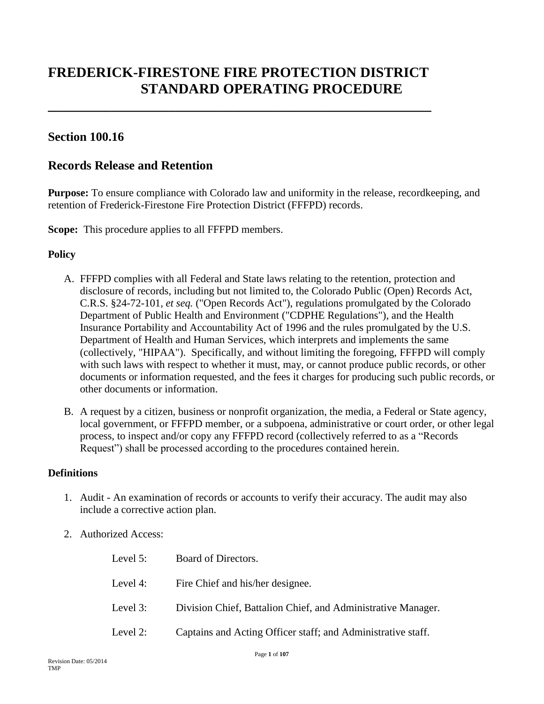# **FREDERICK-FIRESTONE FIRE PROTECTION DISTRICT STANDARD OPERATING PROCEDURE**

**\_\_\_\_\_\_\_\_\_\_\_\_\_\_\_\_\_\_\_\_\_\_\_\_\_\_\_\_\_\_\_\_\_\_\_\_\_\_\_\_\_\_\_\_\_\_\_\_\_\_\_\_\_\_**

# **Section 100.16**

# **Records Release and Retention**

**Purpose:** To ensure compliance with Colorado law and uniformity in the release, recordkeeping, and retention of Frederick-Firestone Fire Protection District (FFFPD) records.

**Scope:** This procedure applies to all FFFPD members.

# **Policy**

- A. FFFPD complies with all Federal and State laws relating to the retention, protection and disclosure of records, including but not limited to, the Colorado Public (Open) Records Act, C.R.S. §24-72-101, *et seq.* ("Open Records Act"), regulations promulgated by the Colorado Department of Public Health and Environment ("CDPHE Regulations"), and the Health Insurance Portability and Accountability Act of 1996 and the rules promulgated by the U.S. Department of Health and Human Services, which interprets and implements the same (collectively, "HIPAA"). Specifically, and without limiting the foregoing, FFFPD will comply with such laws with respect to whether it must, may, or cannot produce public records, or other documents or information requested, and the fees it charges for producing such public records, or other documents or information.
- B. A request by a citizen, business or nonprofit organization, the media, a Federal or State agency, local government, or FFFPD member, or a subpoena, administrative or court order, or other legal process, to inspect and/or copy any FFFPD record (collectively referred to as a "Records Request") shall be processed according to the procedures contained herein.

#### **Definitions**

- 1. Audit An examination of records or accounts to verify their accuracy. The audit may also include a corrective action plan.
- 2. Authorized Access:

| Level 5: | Board of Directors.                                          |
|----------|--------------------------------------------------------------|
| Level 4: | Fire Chief and his/her designee.                             |
| Level 3: | Division Chief, Battalion Chief, and Administrative Manager. |
| Level 2: | Captains and Acting Officer staff; and Administrative staff. |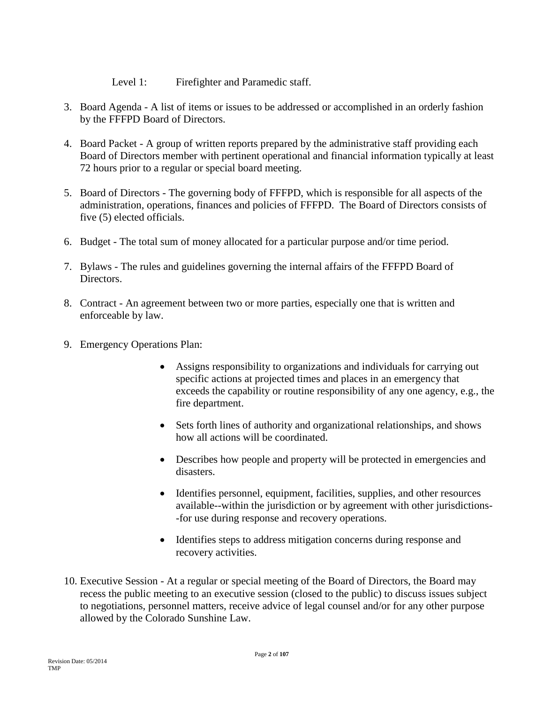Level 1: Firefighter and Paramedic staff.

- 3. Board Agenda A list of items or issues to be addressed or accomplished in an orderly fashion by the FFFPD Board of Directors.
- 4. Board Packet A group of written reports prepared by the administrative staff providing each Board of Directors member with pertinent operational and financial information typically at least 72 hours prior to a regular or special board meeting.
- 5. Board of Directors The governing body of FFFPD, which is responsible for all aspects of the administration, operations, finances and policies of FFFPD. The Board of Directors consists of five (5) elected officials.
- 6. Budget The total sum of money allocated for a particular purpose and/or time period.
- 7. Bylaws The rules and guidelines governing the internal affairs of the FFFPD Board of Directors.
- 8. Contract An agreement between two or more parties, especially one that is written and enforceable by law.
- 9. Emergency Operations Plan:
	- Assigns responsibility to organizations and individuals for carrying out specific actions at projected times and places in an emergency that exceeds the capability or routine responsibility of any one agency, e.g., the fire department.
	- Sets forth lines of authority and organizational relationships, and shows how all actions will be coordinated.
	- Describes how people and property will be protected in emergencies and disasters.
	- Identifies personnel, equipment, facilities, supplies, and other resources available--within the jurisdiction or by agreement with other jurisdictions- -for use during response and recovery operations.
	- Identifies steps to address mitigation concerns during response and recovery activities.
- 10. Executive Session At a regular or special meeting of the Board of Directors, the Board may recess the public meeting to an executive session (closed to the public) to discuss issues subject to negotiations, personnel matters, receive advice of legal counsel and/or for any other purpose allowed by the Colorado Sunshine Law.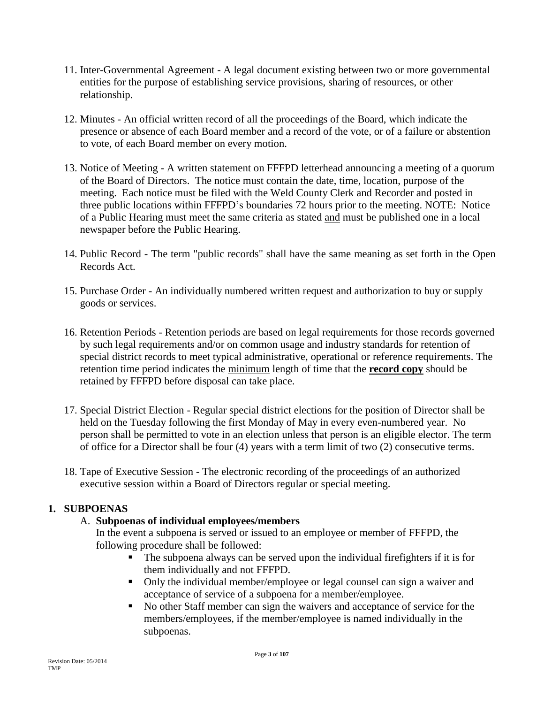- 11. Inter-Governmental Agreement A legal document existing between two or more governmental entities for the purpose of establishing service provisions, sharing of resources, or other relationship.
- 12. Minutes An official written record of all the proceedings of the Board, which indicate the presence or absence of each Board member and a record of the vote, or of a failure or abstention to vote, of each Board member on every motion.
- 13. Notice of Meeting A written statement on FFFPD letterhead announcing a meeting of a quorum of the Board of Directors. The notice must contain the date, time, location, purpose of the meeting. Each notice must be filed with the Weld County Clerk and Recorder and posted in three public locations within FFFPD's boundaries 72 hours prior to the meeting. NOTE: Notice of a Public Hearing must meet the same criteria as stated and must be published one in a local newspaper before the Public Hearing.
- 14. Public Record The term "public records" shall have the same meaning as set forth in the Open Records Act.
- 15. Purchase Order An individually numbered written request and authorization to buy or supply goods or services.
- 16. Retention Periods Retention periods are based on legal requirements for those records governed by such legal requirements and/or on common usage and industry standards for retention of special district records to meet typical administrative, operational or reference requirements. The retention time period indicates the minimum length of time that the **record copy** should be retained by FFFPD before disposal can take place.
- 17. Special District Election Regular special district elections for the position of Director shall be held on the Tuesday following the first Monday of May in every even-numbered year. No person shall be permitted to vote in an election unless that person is an eligible elector. The term of office for a Director shall be four (4) years with a term limit of two (2) consecutive terms.
- 18. Tape of Executive Session The electronic recording of the proceedings of an authorized executive session within a Board of Directors regular or special meeting.

# **1. SUBPOENAS**

# A. **Subpoenas of individual employees/members**

In the event a subpoena is served or issued to an employee or member of FFFPD, the following procedure shall be followed:

- The subpoena always can be served upon the individual firefighters if it is for them individually and not FFFPD.
- Only the individual member/employee or legal counsel can sign a waiver and acceptance of service of a subpoena for a member/employee.
- No other Staff member can sign the waivers and acceptance of service for the members/employees, if the member/employee is named individually in the subpoenas.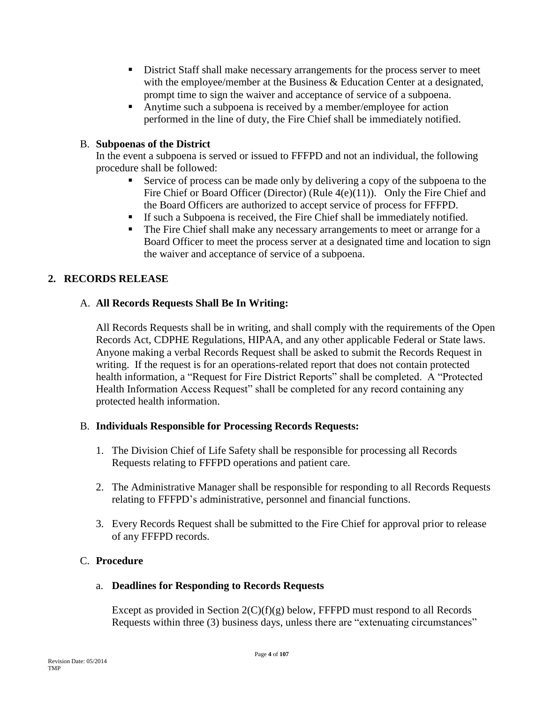- District Staff shall make necessary arrangements for the process server to meet with the employee/member at the Business & Education Center at a designated, prompt time to sign the waiver and acceptance of service of a subpoena.
- Anytime such a subpoena is received by a member/employee for action performed in the line of duty, the Fire Chief shall be immediately notified.

# B. **Subpoenas of the District**

In the event a subpoena is served or issued to FFFPD and not an individual, the following procedure shall be followed:

- Service of process can be made only by delivering a copy of the subpoena to the Fire Chief or Board Officer (Director) (Rule  $4(e)(11)$ ). Only the Fire Chief and the Board Officers are authorized to accept service of process for FFFPD.
- If such a Subpoena is received, the Fire Chief shall be immediately notified.
- The Fire Chief shall make any necessary arrangements to meet or arrange for a Board Officer to meet the process server at a designated time and location to sign the waiver and acceptance of service of a subpoena.

# **2. RECORDS RELEASE**

# A. **All Records Requests Shall Be In Writing:**

All Records Requests shall be in writing, and shall comply with the requirements of the Open Records Act, CDPHE Regulations, HIPAA, and any other applicable Federal or State laws. Anyone making a verbal Records Request shall be asked to submit the Records Request in writing. If the request is for an operations-related report that does not contain protected health information, a "Request for Fire District Reports" shall be completed. A "Protected Health Information Access Request" shall be completed for any record containing any protected health information.

# B. **Individuals Responsible for Processing Records Requests:**

- 1. The Division Chief of Life Safety shall be responsible for processing all Records Requests relating to FFFPD operations and patient care.
- 2. The Administrative Manager shall be responsible for responding to all Records Requests relating to FFFPD's administrative, personnel and financial functions.
- 3. Every Records Request shall be submitted to the Fire Chief for approval prior to release of any FFFPD records.

# C. **Procedure**

# a. **Deadlines for Responding to Records Requests**

Except as provided in Section  $2(C)(f)(g)$  below, FFFPD must respond to all Records Requests within three (3) business days, unless there are "extenuating circumstances"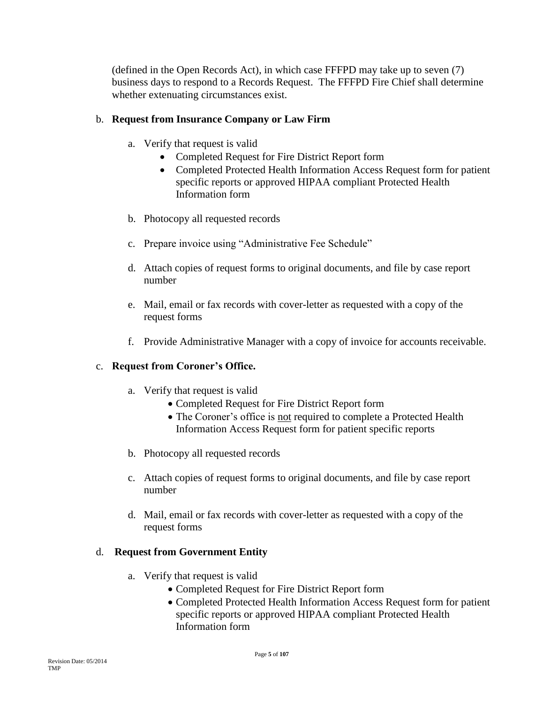(defined in the Open Records Act), in which case FFFPD may take up to seven (7) business days to respond to a Records Request. The FFFPD Fire Chief shall determine whether extenuating circumstances exist.

# b. **Request from Insurance Company or Law Firm**

- a. Verify that request is valid
	- Completed Request for Fire District Report form
	- Completed Protected Health Information Access Request form for patient specific reports or approved HIPAA compliant Protected Health Information form
- b. Photocopy all requested records
- c. Prepare invoice using "Administrative Fee Schedule"
- d. Attach copies of request forms to original documents, and file by case report number
- e. Mail, email or fax records with cover-letter as requested with a copy of the request forms
- f. Provide Administrative Manager with a copy of invoice for accounts receivable.

# c. **Request from Coroner's Office.**

- a. Verify that request is valid
	- Completed Request for Fire District Report form
	- The Coroner's office is not required to complete a Protected Health Information Access Request form for patient specific reports
- b. Photocopy all requested records
- c. Attach copies of request forms to original documents, and file by case report number
- d. Mail, email or fax records with cover-letter as requested with a copy of the request forms

# d. **Request from Government Entity**

- a. Verify that request is valid
	- Completed Request for Fire District Report form
	- Completed Protected Health Information Access Request form for patient specific reports or approved HIPAA compliant Protected Health Information form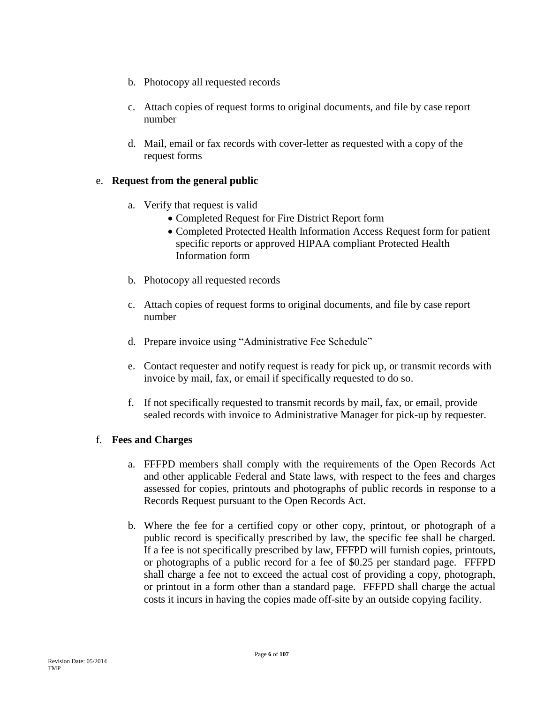- b. Photocopy all requested records
- c. Attach copies of request forms to original documents, and file by case report number
- d. Mail, email or fax records with cover-letter as requested with a copy of the request forms

# e. **Request from the general public**

- a. Verify that request is valid
	- Completed Request for Fire District Report form
	- Completed Protected Health Information Access Request form for patient specific reports or approved HIPAA compliant Protected Health Information form
- b. Photocopy all requested records
- c. Attach copies of request forms to original documents, and file by case report number
- d. Prepare invoice using "Administrative Fee Schedule"
- e. Contact requester and notify request is ready for pick up, or transmit records with invoice by mail, fax, or email if specifically requested to do so.
- f. If not specifically requested to transmit records by mail, fax, or email, provide sealed records with invoice to Administrative Manager for pick-up by requester.

# f. **Fees and Charges**

- a. FFFPD members shall comply with the requirements of the Open Records Act and other applicable Federal and State laws, with respect to the fees and charges assessed for copies, printouts and photographs of public records in response to a Records Request pursuant to the Open Records Act.
- b. Where the fee for a certified copy or other copy, printout, or photograph of a public record is specifically prescribed by law, the specific fee shall be charged. If a fee is not specifically prescribed by law, FFFPD will furnish copies, printouts, or photographs of a public record for a fee of \$0.25 per standard page. FFFPD shall charge a fee not to exceed the actual cost of providing a copy, photograph, or printout in a form other than a standard page. FFFPD shall charge the actual costs it incurs in having the copies made off-site by an outside copying facility.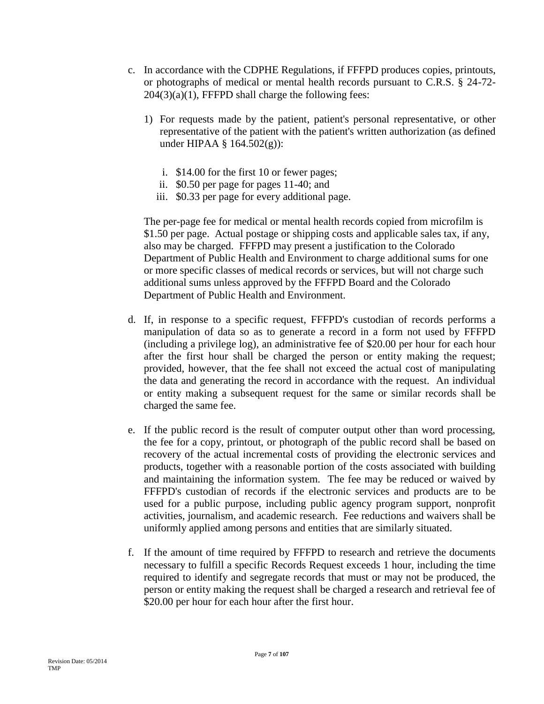- c. In accordance with the CDPHE Regulations, if FFFPD produces copies, printouts, or photographs of medical or mental health records pursuant to C.R.S. § 24-72-  $204(3)(a)(1)$ , FFFPD shall charge the following fees:
	- 1) For requests made by the patient, patient's personal representative, or other representative of the patient with the patient's written authorization (as defined under HIPAA § 164.502(g)):
		- i. \$14.00 for the first 10 or fewer pages;
		- ii. \$0.50 per page for pages 11-40; and
		- iii. \$0.33 per page for every additional page.

The per-page fee for medical or mental health records copied from microfilm is \$1.50 per page. Actual postage or shipping costs and applicable sales tax, if any, also may be charged. FFFPD may present a justification to the Colorado Department of Public Health and Environment to charge additional sums for one or more specific classes of medical records or services, but will not charge such additional sums unless approved by the FFFPD Board and the Colorado Department of Public Health and Environment.

- d. If, in response to a specific request, FFFPD's custodian of records performs a manipulation of data so as to generate a record in a form not used by FFFPD (including a privilege log), an administrative fee of \$20.00 per hour for each hour after the first hour shall be charged the person or entity making the request; provided, however, that the fee shall not exceed the actual cost of manipulating the data and generating the record in accordance with the request. An individual or entity making a subsequent request for the same or similar records shall be charged the same fee.
- e. If the public record is the result of computer output other than word processing, the fee for a copy, printout, or photograph of the public record shall be based on recovery of the actual incremental costs of providing the electronic services and products, together with a reasonable portion of the costs associated with building and maintaining the information system. The fee may be reduced or waived by FFFPD's custodian of records if the electronic services and products are to be used for a public purpose, including public agency program support, nonprofit activities, journalism, and academic research. Fee reductions and waivers shall be uniformly applied among persons and entities that are similarly situated.
- f. If the amount of time required by FFFPD to research and retrieve the documents necessary to fulfill a specific Records Request exceeds 1 hour, including the time required to identify and segregate records that must or may not be produced, the person or entity making the request shall be charged a research and retrieval fee of \$20.00 per hour for each hour after the first hour.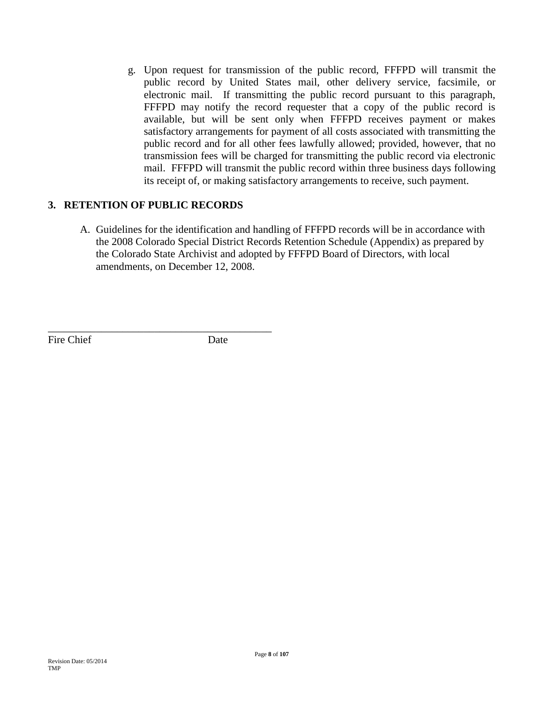g. Upon request for transmission of the public record, FFFPD will transmit the public record by United States mail, other delivery service, facsimile, or electronic mail. If transmitting the public record pursuant to this paragraph, FFFPD may notify the record requester that a copy of the public record is available, but will be sent only when FFFPD receives payment or makes satisfactory arrangements for payment of all costs associated with transmitting the public record and for all other fees lawfully allowed; provided, however, that no transmission fees will be charged for transmitting the public record via electronic mail. FFFPD will transmit the public record within three business days following its receipt of, or making satisfactory arrangements to receive, such payment.

# **3. RETENTION OF PUBLIC RECORDS**

\_\_\_\_\_\_\_\_\_\_\_\_\_\_\_\_\_\_\_\_\_\_\_\_\_\_\_\_\_\_\_\_\_\_\_\_\_\_\_\_\_\_

A. Guidelines for the identification and handling of FFFPD records will be in accordance with the 2008 Colorado Special District Records Retention Schedule (Appendix) as prepared by the Colorado State Archivist and adopted by FFFPD Board of Directors, with local amendments, on December 12, 2008.

Fire Chief Date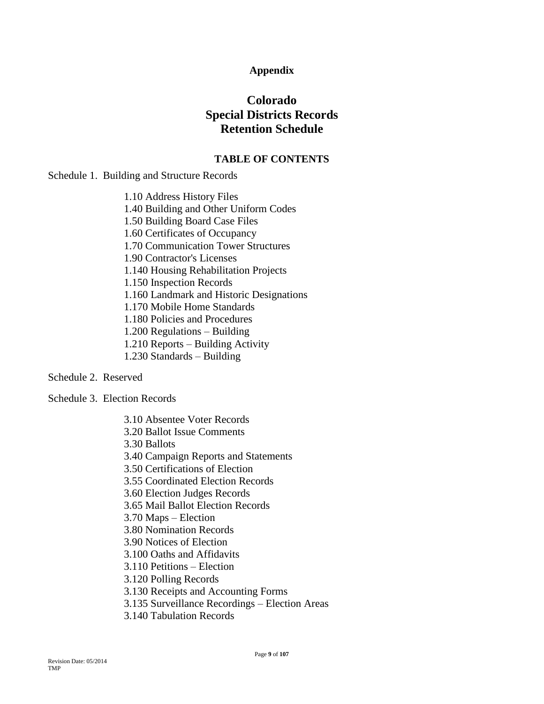# **Appendix**

# **Colorado Special Districts Records Retention Schedule**

### **TABLE OF CONTENTS**

Schedule 1. Building and Structure Records

1.10 Address History Files 1.40 Building and Other Uniform Codes 1.50 Building Board Case Files 1.60 Certificates of Occupancy 1.70 Communication Tower Structures 1.90 Contractor's Licenses 1.140 Housing Rehabilitation Projects 1.150 Inspection Records 1.160 Landmark and Historic Designations 1.170 Mobile Home Standards 1.180 Policies and Procedures 1.200 Regulations – Building 1.210 Reports – Building Activity 1.230 Standards – Building

Schedule 2. Reserved

Schedule 3. Election Records

- 3.10 Absentee Voter Records 3.20 Ballot Issue Comments 3.30 Ballots 3.40 Campaign Reports and Statements 3.50 Certifications of Election 3.55 Coordinated Election Records 3.60 Election Judges Records 3.65 Mail Ballot Election Records 3.70 Maps – Election 3.80 Nomination Records 3.90 Notices of Election 3.100 Oaths and Affidavits 3.110 Petitions – Election 3.120 Polling Records 3.130 Receipts and Accounting Forms 3.135 Surveillance Recordings – Election Areas
- 3.140 Tabulation Records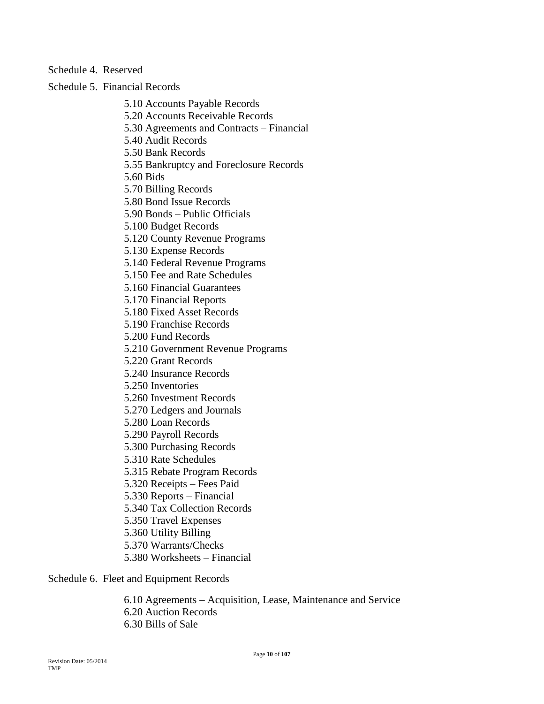### Schedule 4. Reserved

Schedule 5. Financial Records

5.10 Accounts Payable Records 5.20 Accounts Receivable Records 5.30 Agreements and Contracts – Financial 5.40 Audit Records 5.50 Bank Records 5.55 Bankruptcy and Foreclosure Records 5.60 Bids 5.70 Billing Records 5.80 Bond Issue Records 5.90 Bonds – Public Officials 5.100 Budget Records 5.120 County Revenue Programs 5.130 Expense Records 5.140 Federal Revenue Programs 5.150 Fee and Rate Schedules 5.160 Financial Guarantees 5.170 Financial Reports 5.180 Fixed Asset Records 5.190 Franchise Records 5.200 Fund Records 5.210 Government Revenue Programs 5.220 Grant Records 5.240 Insurance Records 5.250 Inventories 5.260 Investment Records 5.270 Ledgers and Journals 5.280 Loan Records 5.290 Payroll Records 5.300 Purchasing Records 5.310 Rate Schedules 5.315 Rebate Program Records 5.320 Receipts – Fees Paid 5.330 Reports – Financial 5.340 Tax Collection Records 5.350 Travel Expenses 5.360 Utility Billing 5.370 Warrants/Checks 5.380 Worksheets – Financial

Schedule 6. Fleet and Equipment Records

6.10 Agreements – Acquisition, Lease, Maintenance and Service 6.20 Auction Records 6.30 Bills of Sale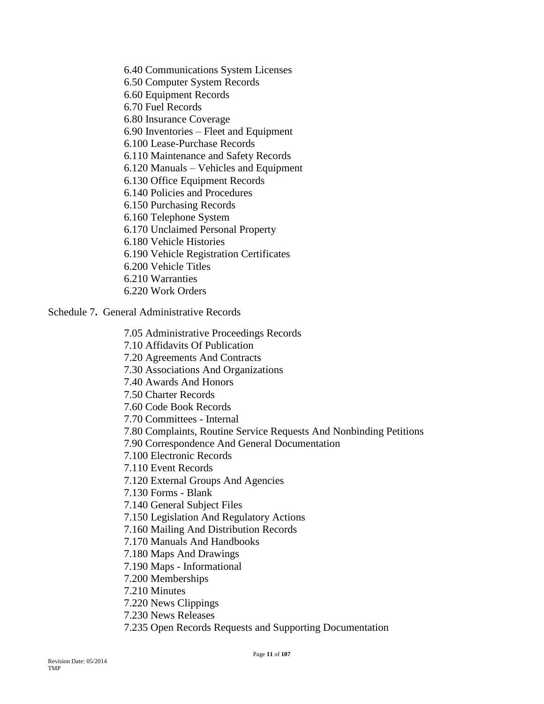6.40 Communications System Licenses 6.50 Computer System Records 6.60 Equipment Records 6.70 Fuel Records 6.80 Insurance Coverage 6.90 Inventories – Fleet and Equipment 6.100 Lease-Purchase Records 6.110 Maintenance and Safety Records 6.120 Manuals – Vehicles and Equipment 6.130 Office Equipment Records 6.140 Policies and Procedures 6.150 Purchasing Records 6.160 Telephone System 6.170 Unclaimed Personal Property 6.180 Vehicle Histories 6.190 Vehicle Registration Certificates 6.200 Vehicle Titles 6.210 Warranties 6.220 Work Orders

Schedule 7**.** General Administrative Records

7.05 Administrative Proceedings Records 7.10 Affidavits Of Publication 7.20 Agreements And Contracts 7.30 Associations And Organizations 7.40 Awards And Honors 7.50 Charter Records 7.60 Code Book Records 7.70 Committees - Internal 7.80 Complaints, Routine Service Requests And Nonbinding Petitions 7.90 Correspondence And General Documentation 7.100 Electronic Records 7.110 Event Records 7.120 External Groups And Agencies 7.130 Forms - Blank 7.140 General Subject Files 7.150 Legislation And Regulatory Actions 7.160 Mailing And Distribution Records 7.170 Manuals And Handbooks 7.180 Maps And Drawings 7.190 Maps - Informational 7.200 Memberships 7.210 Minutes 7.220 News Clippings 7.230 News Releases

7.235 Open Records Requests and Supporting Documentation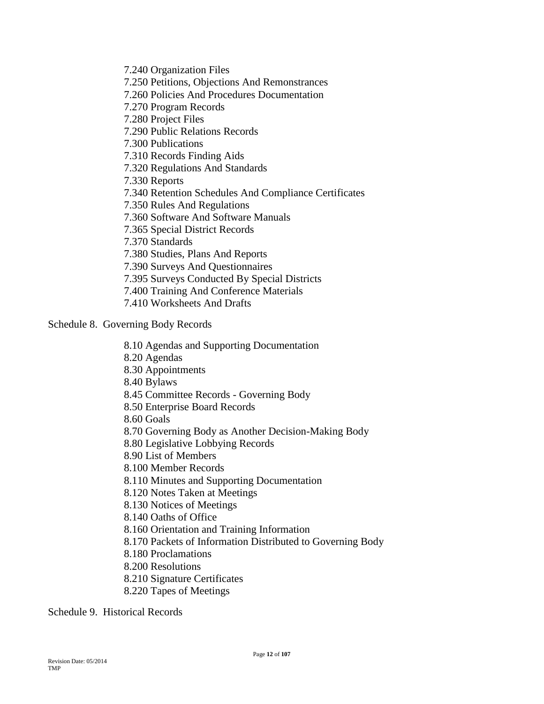7.240 Organization Files 7.250 Petitions, Objections And Remonstrances 7.260 Policies And Procedures Documentation 7.270 Program Records 7.280 Project Files 7.290 Public Relations Records 7.300 Publications 7.310 Records Finding Aids 7.320 Regulations And Standards 7.330 Reports 7.340 Retention Schedules And Compliance Certificates 7.350 Rules And Regulations 7.360 Software And Software Manuals 7.365 Special District Records 7.370 Standards 7.380 Studies, Plans And Reports 7.390 Surveys And Questionnaires 7.395 Surveys Conducted By Special Districts 7.400 Training And Conference Materials 7.410 Worksheets And Drafts

### Schedule 8. Governing Body Records

8.10 Agendas and Supporting Documentation 8.20 Agendas 8.30 Appointments 8.40 Bylaws 8.45 Committee Records - Governing Body 8.50 Enterprise Board Records 8.60 Goals 8.70 Governing Body as Another Decision-Making Body 8.80 Legislative Lobbying Records 8.90 List of Members 8.100 Member Records 8.110 Minutes and Supporting Documentation 8.120 Notes Taken at Meetings 8.130 Notices of Meetings 8.140 Oaths of Office 8.160 Orientation and Training Information 8.170 Packets of Information Distributed to Governing Body 8.180 Proclamations 8.200 Resolutions 8.210 Signature Certificates 8.220 Tapes of Meetings

Schedule 9. Historical Records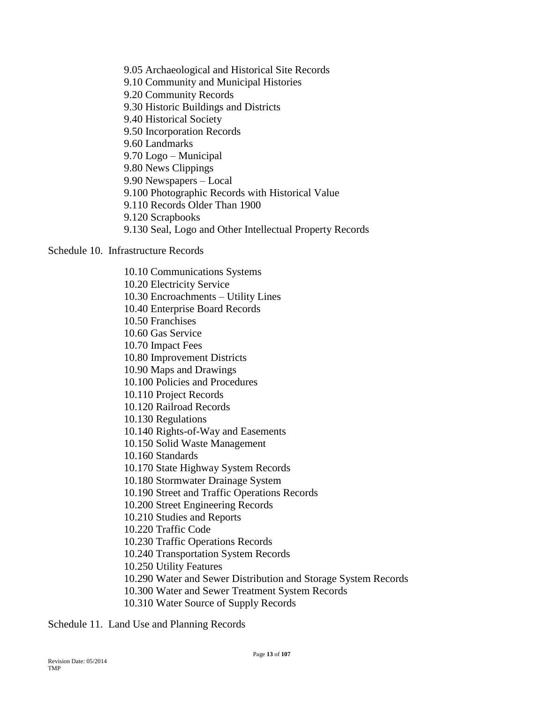9.05 Archaeological and Historical Site Records 9.10 Community and Municipal Histories 9.20 Community Records 9.30 Historic Buildings and Districts 9.40 Historical Society 9.50 Incorporation Records 9.60 Landmarks 9.70 Logo – Municipal 9.80 News Clippings 9.90 Newspapers – Local 9.100 Photographic Records with Historical Value 9.110 Records Older Than 1900 9.120 Scrapbooks 9.130 Seal, Logo and Other Intellectual Property Records

Schedule 10. Infrastructure Records

10.10 Communications Systems 10.20 Electricity Service 10.30 Encroachments – Utility Lines 10.40 Enterprise Board Records 10.50 Franchises 10.60 Gas Service 10.70 Impact Fees 10.80 Improvement Districts 10.90 Maps and Drawings 10.100 Policies and Procedures 10.110 Project Records 10.120 Railroad Records 10.130 Regulations 10.140 Rights-of-Way and Easements 10.150 Solid Waste Management 10.160 Standards 10.170 State Highway System Records 10.180 Stormwater Drainage System 10.190 Street and Traffic Operations Records 10.200 Street Engineering Records 10.210 Studies and Reports 10.220 Traffic Code 10.230 Traffic Operations Records 10.240 Transportation System Records 10.250 Utility Features 10.290 Water and Sewer Distribution and Storage System Records 10.300 Water and Sewer Treatment System Records 10.310 Water Source of Supply Records

Schedule 11. Land Use and Planning Records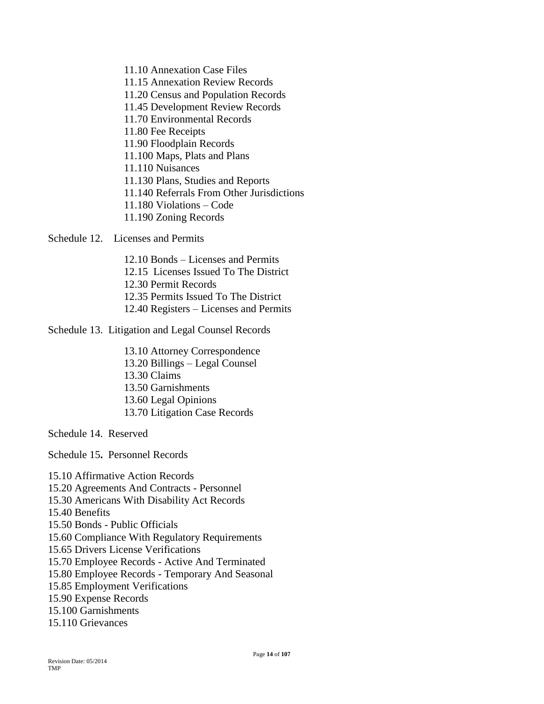11.10 Annexation Case Files 11.15 Annexation Review Records 11.20 Census and Population Records 11.45 Development Review Records 11.70 Environmental Records 11.80 Fee Receipts 11.90 Floodplain Records 11.100 Maps, Plats and Plans 11.110 Nuisances 11.130 Plans, Studies and Reports 11.140 Referrals From Other Jurisdictions 11.180 Violations – Code 11.190 Zoning Records

Schedule 12. Licenses and Permits

12.10 Bonds – Licenses and Permits 12.15 Licenses Issued To The District 12.30 Permit Records 12.35 Permits Issued To The District 12.40 Registers – Licenses and Permits

Schedule 13. Litigation and Legal Counsel Records

13.10 Attorney Correspondence 13.20 Billings – Legal Counsel 13.30 Claims 13.50 Garnishments 13.60 Legal Opinions 13.70 Litigation Case Records

Schedule 14. Reserved

Schedule 15**.** Personnel Records

15.10 Affirmative Action Records 15.20 Agreements And Contracts - Personnel 15.30 Americans With Disability Act Records 15.40 Benefits 15.50 Bonds - Public Officials 15.60 Compliance With Regulatory Requirements 15.65 Drivers License Verifications 15.70 Employee Records - Active And Terminated 15.80 Employee Records - Temporary And Seasonal 15.85 Employment Verifications 15.90 Expense Records 15.100 Garnishments 15.110 Grievances

TMP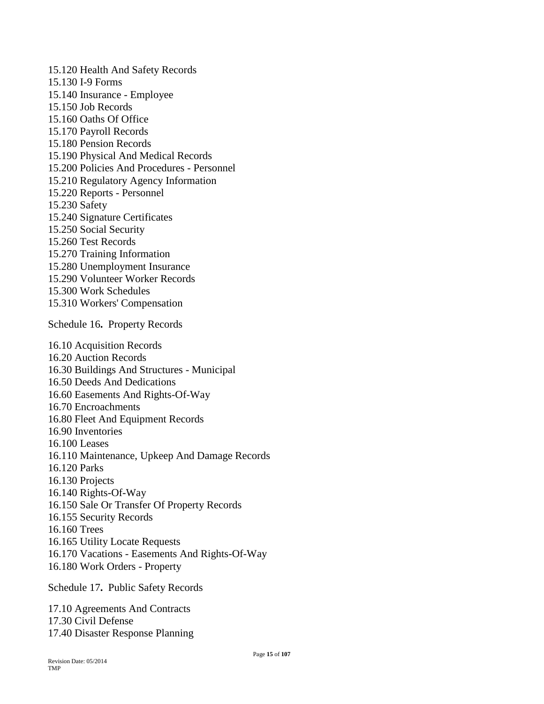15.120 Health And Safety Records 15.130 I-9 Forms 15.140 Insurance - Employee 15.150 Job Records 15.160 Oaths Of Office 15.170 Payroll Records 15.180 Pension Records 15.190 Physical And Medical Records 15.200 Policies And Procedures - Personnel 15.210 Regulatory Agency Information 15.220 Reports - Personnel 15.230 Safety 15.240 Signature Certificates 15.250 Social Security 15.260 Test Records 15.270 Training Information 15.280 Unemployment Insurance 15.290 Volunteer Worker Records 15.300 Work Schedules 15.310 Workers' Compensation Schedule 16**.** Property Records 16.10 Acquisition Records 16.20 Auction Records 16.30 Buildings And Structures - Municipal 16.50 Deeds And Dedications 16.60 Easements And Rights-Of-Way 16.70 Encroachments 16.80 Fleet And Equipment Records 16.90 Inventories 16.100 Leases 16.110 Maintenance, Upkeep And Damage Records 16.120 Parks 16.130 Projects 16.140 Rights-Of-Way 16.150 Sale Or Transfer Of Property Records 16.155 Security Records 16.160 Trees 16.165 Utility Locate Requests 16.170 Vacations - Easements And Rights-Of-Way 16.180 Work Orders - Property

Schedule 17**.** Public Safety Records 17.10 Agreements And Contracts 17.30 Civil Defense 17.40 Disaster Response Planning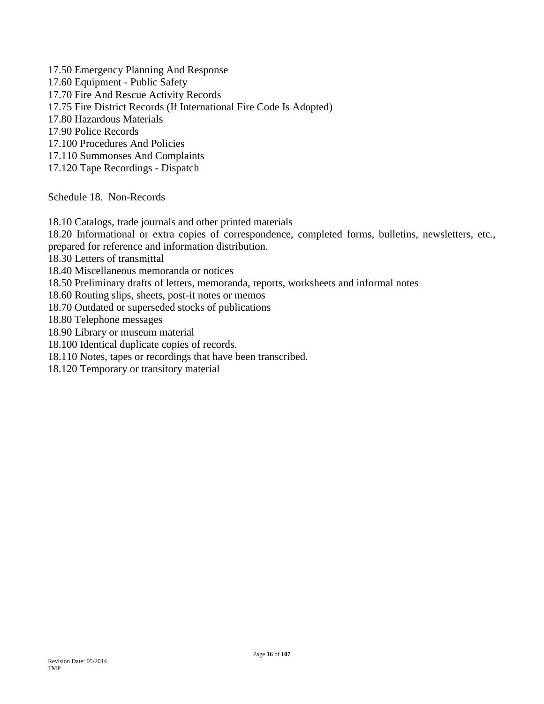17.50 Emergency Planning And Response 17.60 Equipment - Public Safety 17.70 Fire And Rescue Activity Records 17.75 Fire District Records (If International Fire Code Is Adopted) 17.80 Hazardous Materials 17.90 Police Records 17.100 Procedures And Policies 17.110 Summonses And Complaints 17.120 Tape Recordings - Dispatch

Schedule 18. Non-Records

18.10 Catalogs, trade journals and other printed materials

18.20 Informational or extra copies of correspondence, completed forms, bulletins, newsletters, etc.,

prepared for reference and information distribution.

18.30 Letters of transmittal

18.40 Miscellaneous memoranda or notices

18.50 Preliminary drafts of letters, memoranda, reports, worksheets and informal notes

18.60 Routing slips, sheets, post-it notes or memos

18.70 Outdated or superseded stocks of publications

18.80 Telephone messages

18.90 Library or museum material

18.100 Identical duplicate copies of records.

18.110 Notes, tapes or recordings that have been transcribed.

18.120 Temporary or transitory material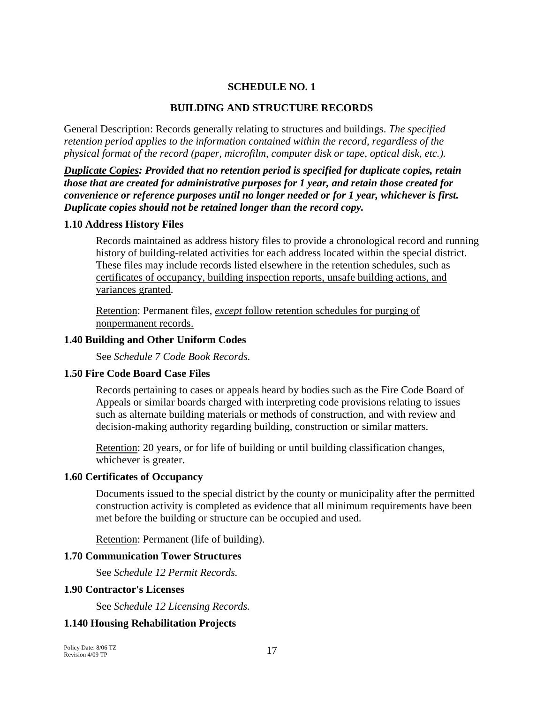### **SCHEDULE NO. 1**

### **BUILDING AND STRUCTURE RECORDS**

General Description: Records generally relating to structures and buildings. *The specified retention period applies to the information contained within the record, regardless of the physical format of the record (paper, microfilm, computer disk or tape, optical disk, etc.).*

*Duplicate Copies: Provided that no retention period is specified for duplicate copies, retain those that are created for administrative purposes for 1 year, and retain those created for convenience or reference purposes until no longer needed or for 1 year, whichever is first. Duplicate copies should not be retained longer than the record copy.*

#### **1.10 Address History Files**

Records maintained as address history files to provide a chronological record and running history of building-related activities for each address located within the special district. These files may include records listed elsewhere in the retention schedules, such as certificates of occupancy, building inspection reports, unsafe building actions, and variances granted.

Retention: Permanent files, *except* follow retention schedules for purging of nonpermanent records.

#### **1.40 Building and Other Uniform Codes**

See *Schedule 7 Code Book Records.*

#### **1.50 Fire Code Board Case Files**

Records pertaining to cases or appeals heard by bodies such as the Fire Code Board of Appeals or similar boards charged with interpreting code provisions relating to issues such as alternate building materials or methods of construction, and with review and decision-making authority regarding building, construction or similar matters.

Retention: 20 years, or for life of building or until building classification changes, whichever is greater.

### **1.60 Certificates of Occupancy**

Documents issued to the special district by the county or municipality after the permitted construction activity is completed as evidence that all minimum requirements have been met before the building or structure can be occupied and used.

Retention: Permanent (life of building).

#### **1.70 Communication Tower Structures**

See *Schedule 12 Permit Records.*

#### **1.90 Contractor's Licenses**

See *Schedule 12 Licensing Records.*

### **1.140 Housing Rehabilitation Projects**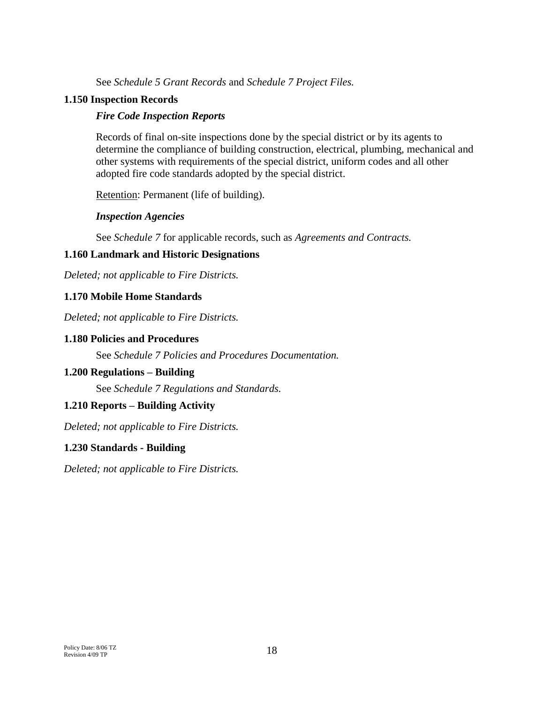See *Schedule 5 Grant Records* and *Schedule 7 Project Files.*

# **1.150 Inspection Records**

# *Fire Code Inspection Reports*

Records of final on-site inspections done by the special district or by its agents to determine the compliance of building construction, electrical, plumbing, mechanical and other systems with requirements of the special district, uniform codes and all other adopted fire code standards adopted by the special district.

Retention: Permanent (life of building).

# *Inspection Agencies*

See *Schedule 7* for applicable records, such as *Agreements and Contracts.*

# **1.160 Landmark and Historic Designations**

*Deleted; not applicable to Fire Districts.*

# **1.170 Mobile Home Standards**

*Deleted; not applicable to Fire Districts.*

# **1.180 Policies and Procedures**

See *Schedule 7 Policies and Procedures Documentation.*

# **1.200 Regulations – Building**

See *Schedule 7 Regulations and Standards.*

# **1.210 Reports – Building Activity**

*Deleted; not applicable to Fire Districts.*

# **1.230 Standards - Building**

*Deleted; not applicable to Fire Districts.*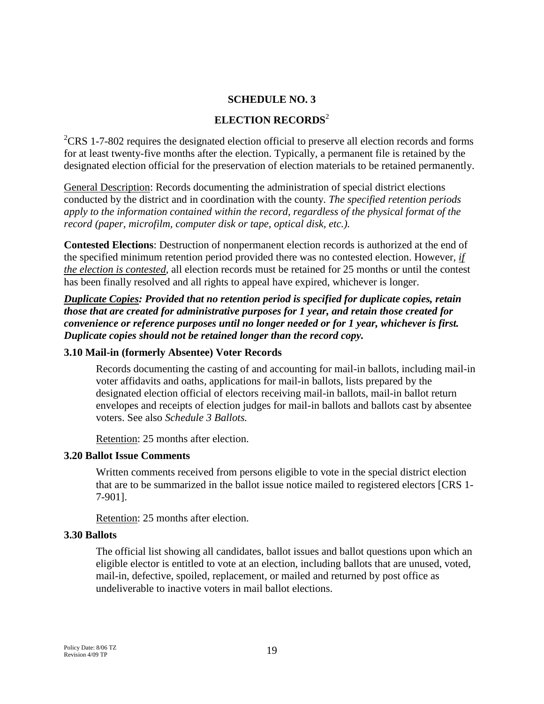# **SCHEDULE NO. 3**

# **ELECTION RECORDS**<sup>2</sup>

 ${}^{2}CRS$  1-7-802 requires the designated election official to preserve all election records and forms for at least twenty-five months after the election. Typically, a permanent file is retained by the designated election official for the preservation of election materials to be retained permanently.

General Description: Records documenting the administration of special district elections conducted by the district and in coordination with the county. *The specified retention periods apply to the information contained within the record, regardless of the physical format of the record (paper, microfilm, computer disk or tape, optical disk, etc.).*

**Contested Elections**: Destruction of nonpermanent election records is authorized at the end of the specified minimum retention period provided there was no contested election. However, *if the election is contested*, all election records must be retained for 25 months or until the contest has been finally resolved and all rights to appeal have expired, whichever is longer.

*Duplicate Copies: Provided that no retention period is specified for duplicate copies, retain those that are created for administrative purposes for 1 year, and retain those created for convenience or reference purposes until no longer needed or for 1 year, whichever is first. Duplicate copies should not be retained longer than the record copy.*

# **3.10 Mail-in (formerly Absentee) Voter Records**

Records documenting the casting of and accounting for mail-in ballots, including mail-in voter affidavits and oaths*,* applications for mail-in ballots, lists prepared by the designated election official of electors receiving mail-in ballots, mail-in ballot return envelopes and receipts of election judges for mail-in ballots and ballots cast by absentee voters. See also *Schedule 3 Ballots.*

Retention: 25 months after election.

# **3.20 Ballot Issue Comments**

Written comments received from persons eligible to vote in the special district election that are to be summarized in the ballot issue notice mailed to registered electors [CRS 1- 7-901].

Retention: 25 months after election.

# **3.30 Ballots**

The official list showing all candidates, ballot issues and ballot questions upon which an eligible elector is entitled to vote at an election, including ballots that are unused, voted, mail-in, defective, spoiled, replacement, or mailed and returned by post office as undeliverable to inactive voters in mail ballot elections.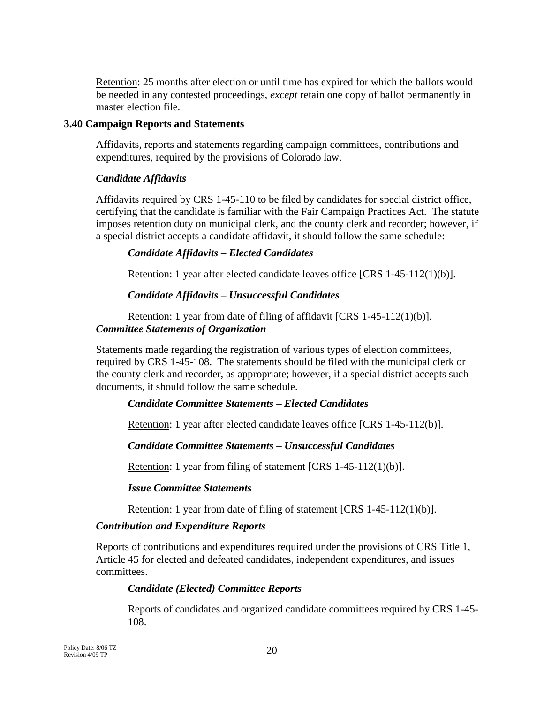Retention: 25 months after election or until time has expired for which the ballots would be needed in any contested proceedings, *except* retain one copy of ballot permanently in master election file.

# **3.40 Campaign Reports and Statements**

Affidavits, reports and statements regarding campaign committees, contributions and expenditures, required by the provisions of Colorado law.

# *Candidate Affidavits*

Affidavits required by CRS 1-45-110 to be filed by candidates for special district office, certifying that the candidate is familiar with the Fair Campaign Practices Act. The statute imposes retention duty on municipal clerk, and the county clerk and recorder; however, if a special district accepts a candidate affidavit, it should follow the same schedule:

# *Candidate Affidavits – Elected Candidates*

Retention: 1 year after elected candidate leaves office [CRS 1-45-112(1)(b)].

# *Candidate Affidavits – Unsuccessful Candidates*

Retention: 1 year from date of filing of affidavit [CRS 1-45-112(1)(b)]. *Committee Statements of Organization*

Statements made regarding the registration of various types of election committees, required by CRS 1-45-108. The statements should be filed with the municipal clerk or the county clerk and recorder, as appropriate; however, if a special district accepts such documents, it should follow the same schedule.

# *Candidate Committee Statements – Elected Candidates*

Retention: 1 year after elected candidate leaves office [CRS 1-45-112(b)].

# *Candidate Committee Statements – Unsuccessful Candidates*

Retention: 1 year from filing of statement [CRS 1-45-112(1)(b)].

# *Issue Committee Statements*

Retention: 1 year from date of filing of statement [CRS 1-45-112(1)(b)].

# *Contribution and Expenditure Reports*

Reports of contributions and expenditures required under the provisions of CRS Title 1, Article 45 for elected and defeated candidates, independent expenditures, and issues committees.

# *Candidate (Elected) Committee Reports*

Reports of candidates and organized candidate committees required by CRS 1-45- 108.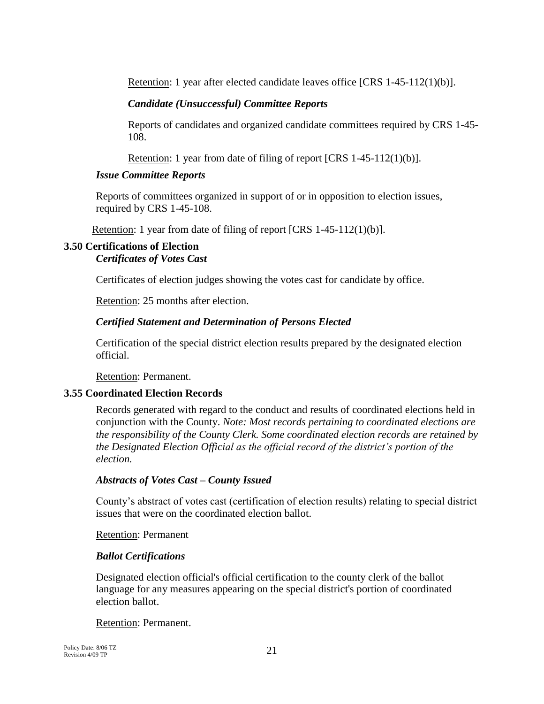Retention: 1 year after elected candidate leaves office [CRS 1-45-112(1)(b)].

# *Candidate (Unsuccessful) Committee Reports*

Reports of candidates and organized candidate committees required by CRS 1-45- 108.

Retention: 1 year from date of filing of report [CRS 1-45-112(1)(b)].

# *Issue Committee Reports*

Reports of committees organized in support of or in opposition to election issues, required by CRS 1-45-108.

Retention: 1 year from date of filing of report [CRS 1-45-112(1)(b)].

# **3.50 Certifications of Election**

*Certificates of Votes Cast*

Certificates of election judges showing the votes cast for candidate by office.

Retention: 25 months after election.

# *Certified Statement and Determination of Persons Elected*

Certification of the special district election results prepared by the designated election official.

Retention: Permanent.

# **3.55 Coordinated Election Records**

Records generated with regard to the conduct and results of coordinated elections held in conjunction with the County. *Note: Most records pertaining to coordinated elections are the responsibility of the County Clerk. Some coordinated election records are retained by the Designated Election Official as the official record of the district's portion of the election.*

# *Abstracts of Votes Cast – County Issued*

County's abstract of votes cast (certification of election results) relating to special district issues that were on the coordinated election ballot.

# Retention: Permanent

# *Ballot Certifications*

Designated election official's official certification to the county clerk of the ballot language for any measures appearing on the special district's portion of coordinated election ballot.

Retention: Permanent.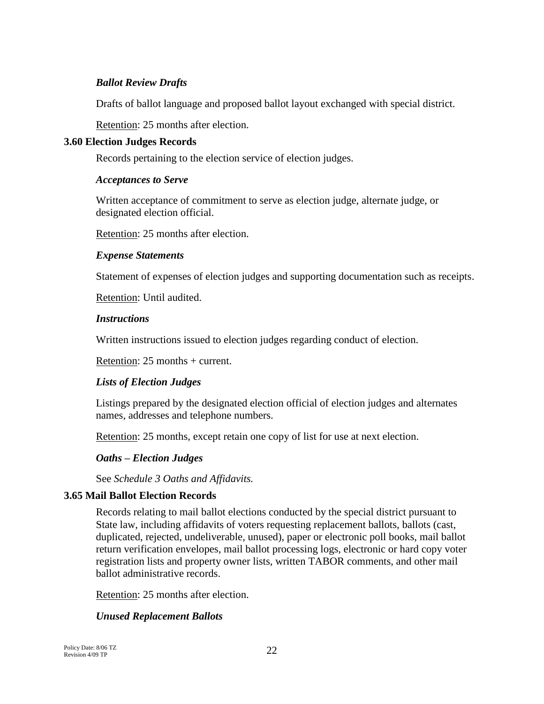# *Ballot Review Drafts*

Drafts of ballot language and proposed ballot layout exchanged with special district.

Retention: 25 months after election.

# **3.60 Election Judges Records**

Records pertaining to the election service of election judges.

# *Acceptances to Serve*

Written acceptance of commitment to serve as election judge, alternate judge, or designated election official.

Retention: 25 months after election.

# *Expense Statements*

Statement of expenses of election judges and supporting documentation such as receipts.

Retention: Until audited.

# *Instructions*

Written instructions issued to election judges regarding conduct of election.

Retention: 25 months + current.

# *Lists of Election Judges*

Listings prepared by the designated election official of election judges and alternates names, addresses and telephone numbers.

Retention: 25 months, except retain one copy of list for use at next election.

# *Oaths – Election Judges*

See *Schedule 3 Oaths and Affidavits.*

# **3.65 Mail Ballot Election Records**

Records relating to mail ballot elections conducted by the special district pursuant to State law, including affidavits of voters requesting replacement ballots, ballots (cast, duplicated, rejected, undeliverable, unused), paper or electronic poll books, mail ballot return verification envelopes, mail ballot processing logs, electronic or hard copy voter registration lists and property owner lists, written TABOR comments, and other mail ballot administrative records.

Retention: 25 months after election.

# *Unused Replacement Ballots*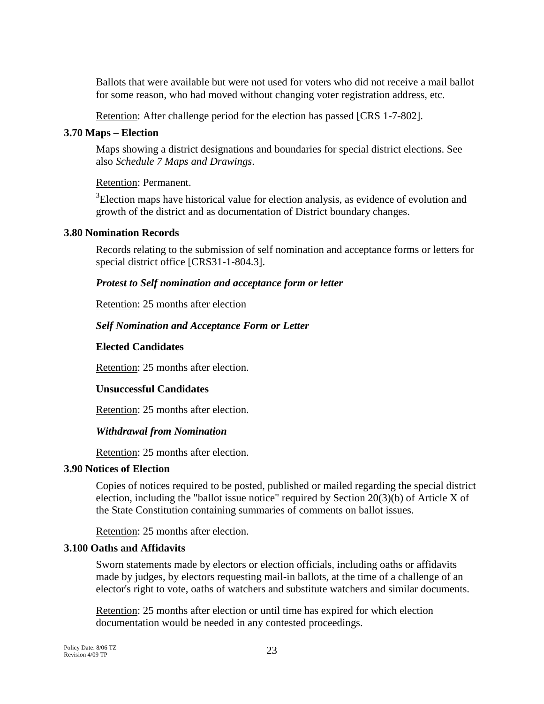Ballots that were available but were not used for voters who did not receive a mail ballot for some reason, who had moved without changing voter registration address, etc.

Retention: After challenge period for the election has passed [CRS 1-7-802].

# **3.70 Maps – Election**

Maps showing a district designations and boundaries for special district elections. See also *Schedule 7 Maps and Drawings*.

# Retention: Permanent.

 $3$ Election maps have historical value for election analysis, as evidence of evolution and growth of the district and as documentation of District boundary changes.

# **3.80 Nomination Records**

Records relating to the submission of self nomination and acceptance forms or letters for special district office [CRS31-1-804.3].

# *Protest to Self nomination and acceptance form or letter*

Retention: 25 months after election

# *Self Nomination and Acceptance Form or Letter*

# **Elected Candidates**

Retention: 25 months after election.

# **Unsuccessful Candidates**

Retention: 25 months after election.

# *Withdrawal from Nomination*

Retention: 25 months after election.

# **3.90 Notices of Election**

Copies of notices required to be posted, published or mailed regarding the special district election, including the "ballot issue notice" required by Section 20(3)(b) of Article X of the State Constitution containing summaries of comments on ballot issues.

Retention: 25 months after election.

# **3.100 Oaths and Affidavits**

Sworn statements made by electors or election officials, including oaths or affidavits made by judges, by electors requesting mail-in ballots, at the time of a challenge of an elector's right to vote, oaths of watchers and substitute watchers and similar documents.

Retention: 25 months after election or until time has expired for which election documentation would be needed in any contested proceedings.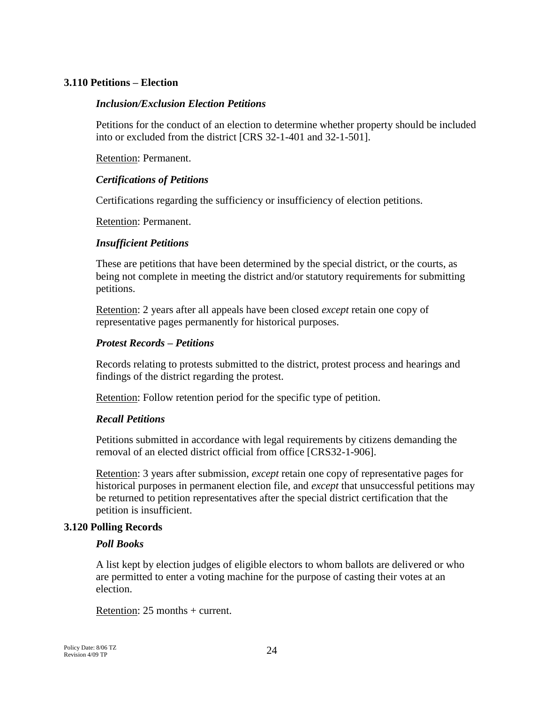# **3.110 Petitions – Election**

### *Inclusion/Exclusion Election Petitions*

Petitions for the conduct of an election to determine whether property should be included into or excluded from the district [CRS 32-1-401 and 32-1-501].

Retention: Permanent.

### *Certifications of Petitions*

Certifications regarding the sufficiency or insufficiency of election petitions.

Retention: Permanent.

### *Insufficient Petitions*

These are petitions that have been determined by the special district, or the courts, as being not complete in meeting the district and/or statutory requirements for submitting petitions.

Retention: 2 years after all appeals have been closed *except* retain one copy of representative pages permanently for historical purposes.

### *Protest Records – Petitions*

Records relating to protests submitted to the district, protest process and hearings and findings of the district regarding the protest.

Retention: Follow retention period for the specific type of petition.

# *Recall Petitions*

Petitions submitted in accordance with legal requirements by citizens demanding the removal of an elected district official from office [CRS32-1-906].

Retention: 3 years after submission, *except* retain one copy of representative pages for historical purposes in permanent election file, and *except* that unsuccessful petitions may be returned to petition representatives after the special district certification that the petition is insufficient.

# **3.120 Polling Records**

#### *Poll Books*

A list kept by election judges of eligible electors to whom ballots are delivered or who are permitted to enter a voting machine for the purpose of casting their votes at an election.

Retention: 25 months + current.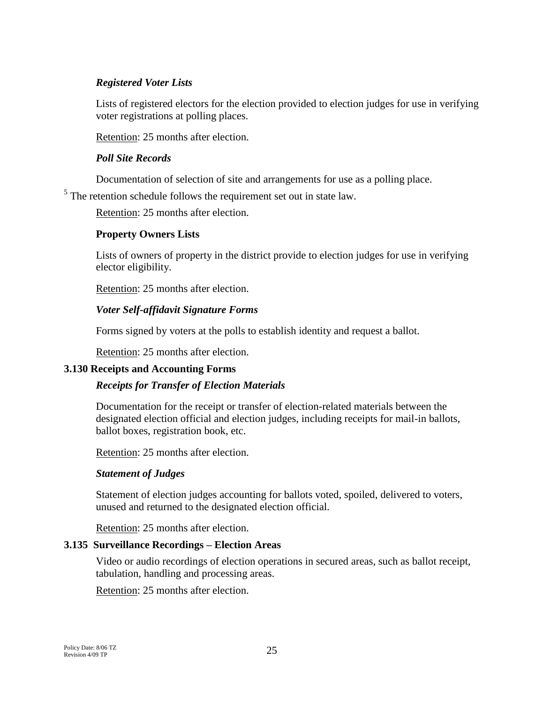# *Registered Voter Lists*

Lists of registered electors for the election provided to election judges for use in verifying voter registrations at polling places.

Retention: 25 months after election.

# *Poll Site Records*

Documentation of selection of site and arrangements for use as a polling place.

 $<sup>5</sup>$  The retention schedule follows the requirement set out in state law.</sup>

Retention: 25 months after election.

# **Property Owners Lists**

Lists of owners of property in the district provide to election judges for use in verifying elector eligibility.

Retention: 25 months after election.

# *Voter Self-affidavit Signature Forms*

Forms signed by voters at the polls to establish identity and request a ballot.

Retention: 25 months after election.

# **3.130 Receipts and Accounting Forms**

# *Receipts for Transfer of Election Materials*

Documentation for the receipt or transfer of election-related materials between the designated election official and election judges, including receipts for mail-in ballots, ballot boxes, registration book, etc.

Retention: 25 months after election.

# *Statement of Judges*

Statement of election judges accounting for ballots voted, spoiled, delivered to voters, unused and returned to the designated election official.

Retention: 25 months after election.

# **3.135 Surveillance Recordings – Election Areas**

Video or audio recordings of election operations in secured areas, such as ballot receipt, tabulation, handling and processing areas.

Retention: 25 months after election.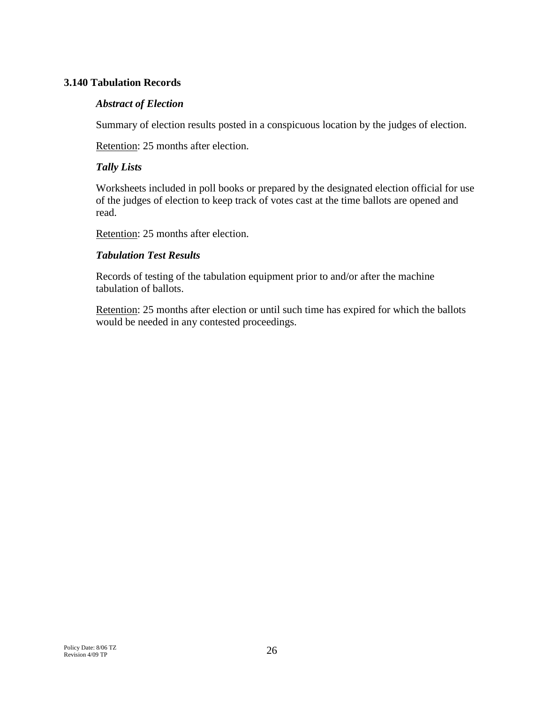# **3.140 Tabulation Records**

# *Abstract of Election*

Summary of election results posted in a conspicuous location by the judges of election.

Retention: 25 months after election.

### *Tally Lists*

Worksheets included in poll books or prepared by the designated election official for use of the judges of election to keep track of votes cast at the time ballots are opened and read.

Retention: 25 months after election.

# *Tabulation Test Results*

Records of testing of the tabulation equipment prior to and/or after the machine tabulation of ballots.

Retention: 25 months after election or until such time has expired for which the ballots would be needed in any contested proceedings.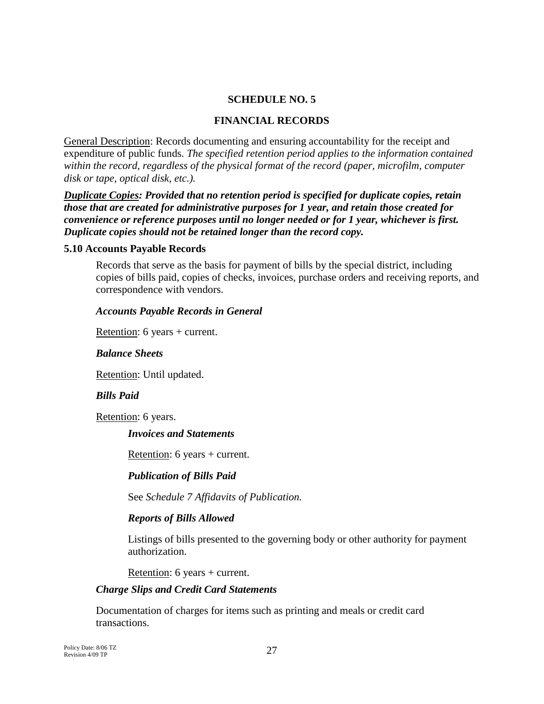# **SCHEDULE NO. 5**

#### **FINANCIAL RECORDS**

General Description: Records documenting and ensuring accountability for the receipt and expenditure of public funds. *The specified retention period applies to the information contained within the record, regardless of the physical format of the record (paper, microfilm, computer disk or tape, optical disk, etc.).*

*Duplicate Copies: Provided that no retention period is specified for duplicate copies, retain those that are created for administrative purposes for 1 year, and retain those created for convenience or reference purposes until no longer needed or for 1 year, whichever is first. Duplicate copies should not be retained longer than the record copy.*

#### **5.10 Accounts Payable Records**

Records that serve as the basis for payment of bills by the special district, including copies of bills paid, copies of checks, invoices, purchase orders and receiving reports, and correspondence with vendors.

### *Accounts Payable Records in General*

Retention: 6 years + current.

#### *Balance Sheets*

Retention: Until updated.

# *Bills Paid*

Retention: 6 years.

#### *Invoices and Statements*

Retention: 6 years + current.

# *Publication of Bills Paid*

See *Schedule 7 Affidavits of Publication.*

# *Reports of Bills Allowed*

Listings of bills presented to the governing body or other authority for payment authorization.

Retention: 6 years + current.

#### *Charge Slips and Credit Card Statements*

Documentation of charges for items such as printing and meals or credit card transactions.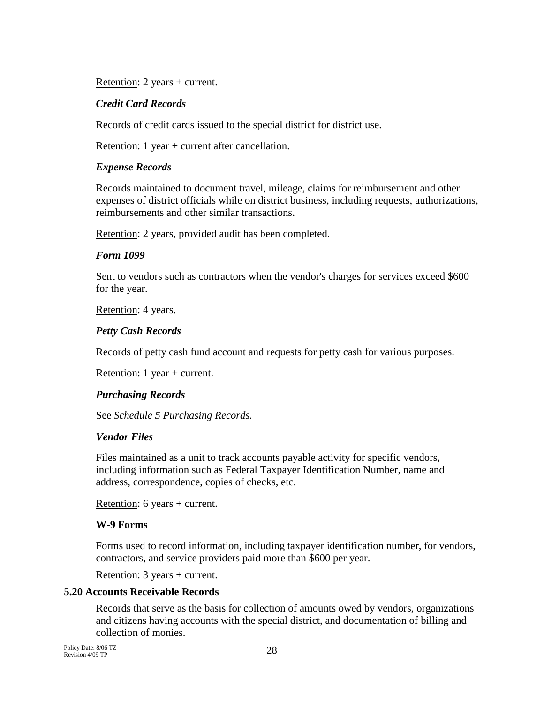Retention: 2 years + current.

# *Credit Card Records*

Records of credit cards issued to the special district for district use.

Retention: 1 year + current after cancellation.

### *Expense Records*

Records maintained to document travel, mileage, claims for reimbursement and other expenses of district officials while on district business, including requests, authorizations, reimbursements and other similar transactions.

Retention: 2 years, provided audit has been completed.

# *Form 1099*

Sent to vendors such as contractors when the vendor's charges for services exceed \$600 for the year.

Retention: 4 years.

### *Petty Cash Records*

Records of petty cash fund account and requests for petty cash for various purposes.

Retention: 1 year + current.

# *Purchasing Records*

See *Schedule 5 Purchasing Records.*

# *Vendor Files*

Files maintained as a unit to track accounts payable activity for specific vendors, including information such as Federal Taxpayer Identification Number, name and address, correspondence, copies of checks, etc.

Retention: 6 years + current.

#### **W-9 Forms**

Forms used to record information, including taxpayer identification number, for vendors, contractors, and service providers paid more than \$600 per year.

Retention: 3 years + current.

# **5.20 Accounts Receivable Records**

Records that serve as the basis for collection of amounts owed by vendors, organizations and citizens having accounts with the special district, and documentation of billing and collection of monies.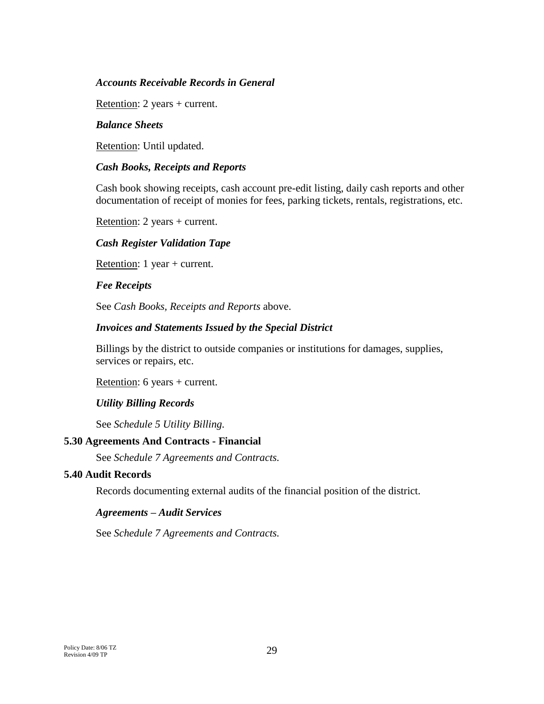### *Accounts Receivable Records in General*

Retention: 2 years + current.

### *Balance Sheets*

Retention: Until updated.

### *Cash Books, Receipts and Reports*

Cash book showing receipts, cash account pre-edit listing, daily cash reports and other documentation of receipt of monies for fees, parking tickets, rentals, registrations, etc.

Retention: 2 years + current.

### *Cash Register Validation Tape*

Retention: 1 year + current.

#### *Fee Receipts*

See *Cash Books, Receipts and Reports* above.

## *Invoices and Statements Issued by the Special District*

Billings by the district to outside companies or institutions for damages, supplies, services or repairs, etc.

Retention: 6 years + current.

#### *Utility Billing Records*

See *Schedule 5 Utility Billing.*

#### **5.30 Agreements And Contracts - Financial**

See *Schedule 7 Agreements and Contracts.*

# **5.40 Audit Records**

Records documenting external audits of the financial position of the district.

#### *Agreements – Audit Services*

See *Schedule 7 Agreements and Contracts.*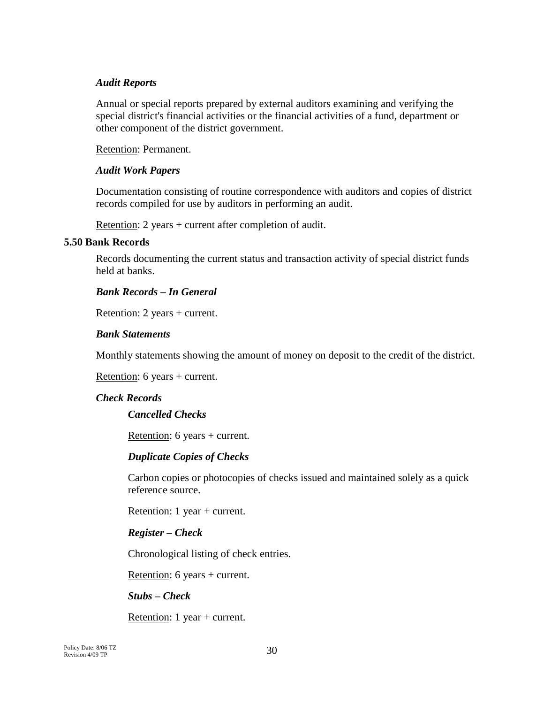### *Audit Reports*

Annual or special reports prepared by external auditors examining and verifying the special district's financial activities or the financial activities of a fund, department or other component of the district government.

Retention: Permanent.

### *Audit Work Papers*

Documentation consisting of routine correspondence with auditors and copies of district records compiled for use by auditors in performing an audit.

Retention: 2 years + current after completion of audit.

### **5.50 Bank Records**

Records documenting the current status and transaction activity of special district funds held at banks.

# *Bank Records – In General*

Retention: 2 years + current.

### *Bank Statements*

Monthly statements showing the amount of money on deposit to the credit of the district.

Retention: 6 years + current.

# *Check Records*

# *Cancelled Checks*

Retention: 6 years + current.

#### *Duplicate Copies of Checks*

Carbon copies or photocopies of checks issued and maintained solely as a quick reference source.

Retention: 1 year + current.

# *Register – Check*

Chronological listing of check entries.

Retention: 6 years + current.

# *Stubs – Check*

Retention: 1 year + current.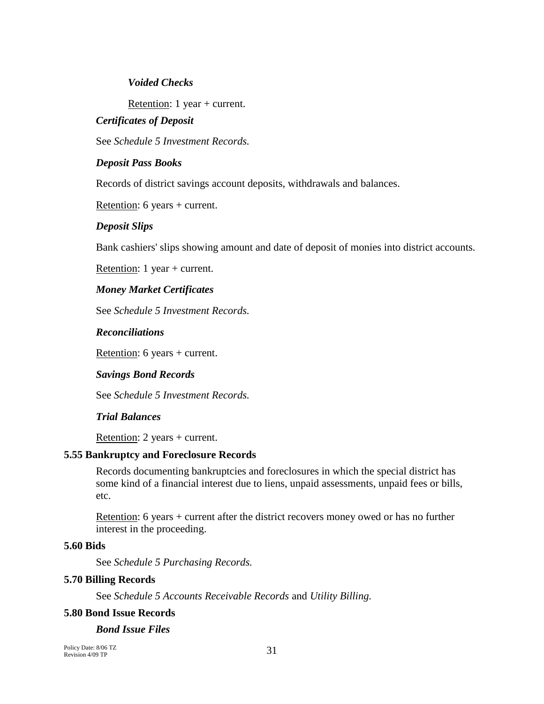### *Voided Checks*

Retention: 1 year + current.

### *Certificates of Deposit*

See *Schedule 5 Investment Records.*

#### *Deposit Pass Books*

Records of district savings account deposits, withdrawals and balances.

Retention: 6 years + current.

#### *Deposit Slips*

Bank cashiers' slips showing amount and date of deposit of monies into district accounts.

Retention: 1 year + current.

#### *Money Market Certificates*

See *Schedule 5 Investment Records.*

#### *Reconciliations*

Retention: 6 years + current.

#### *Savings Bond Records*

See *Schedule 5 Investment Records.*

### *Trial Balances*

Retention: 2 years + current.

# **5.55 Bankruptcy and Foreclosure Records**

Records documenting bankruptcies and foreclosures in which the special district has some kind of a financial interest due to liens, unpaid assessments, unpaid fees or bills, etc.

Retention: 6 years + current after the district recovers money owed or has no further interest in the proceeding.

#### **5.60 Bids**

See *Schedule 5 Purchasing Records.*

# **5.70 Billing Records**

See *Schedule 5 Accounts Receivable Records* and *Utility Billing.*

#### **5.80 Bond Issue Records**

### *Bond Issue Files*

Policy Date: 8/06 TZ Revision 4/09 TP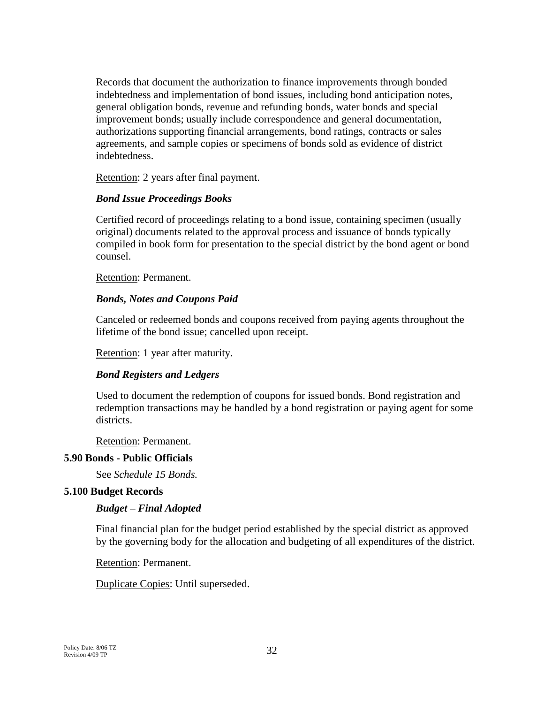Records that document the authorization to finance improvements through bonded indebtedness and implementation of bond issues, including bond anticipation notes, general obligation bonds, revenue and refunding bonds, water bonds and special improvement bonds; usually include correspondence and general documentation, authorizations supporting financial arrangements, bond ratings, contracts or sales agreements, and sample copies or specimens of bonds sold as evidence of district indebtedness.

Retention: 2 years after final payment.

# *Bond Issue Proceedings Books*

Certified record of proceedings relating to a bond issue, containing specimen (usually original) documents related to the approval process and issuance of bonds typically compiled in book form for presentation to the special district by the bond agent or bond counsel.

Retention: Permanent.

# *Bonds, Notes and Coupons Paid*

Canceled or redeemed bonds and coupons received from paying agents throughout the lifetime of the bond issue; cancelled upon receipt.

Retention: 1 year after maturity.

# *Bond Registers and Ledgers*

Used to document the redemption of coupons for issued bonds. Bond registration and redemption transactions may be handled by a bond registration or paying agent for some districts.

Retention: Permanent.

# **5.90 Bonds - Public Officials**

See *Schedule 15 Bonds.*

# **5.100 Budget Records**

# *Budget – Final Adopted*

Final financial plan for the budget period established by the special district as approved by the governing body for the allocation and budgeting of all expenditures of the district.

Retention: Permanent.

Duplicate Copies: Until superseded.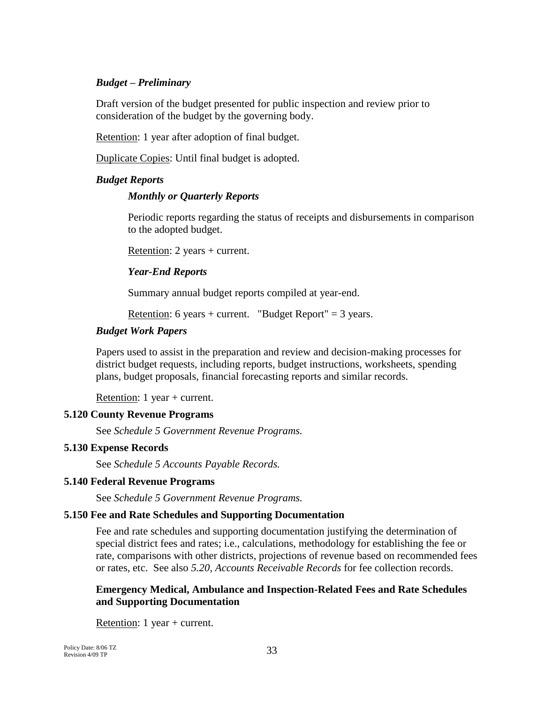### *Budget – Preliminary*

Draft version of the budget presented for public inspection and review prior to consideration of the budget by the governing body.

Retention: 1 year after adoption of final budget.

Duplicate Copies: Until final budget is adopted.

### *Budget Reports*

### *Monthly or Quarterly Reports*

Periodic reports regarding the status of receipts and disbursements in comparison to the adopted budget.

Retention: 2 years + current.

### *Year-End Reports*

Summary annual budget reports compiled at year-end.

Retention: 6 years + current. "Budget Report" =  $3$  years.

### *Budget Work Papers*

Papers used to assist in the preparation and review and decision-making processes for district budget requests, including reports, budget instructions, worksheets, spending plans, budget proposals, financial forecasting reports and similar records.

Retention: 1 year + current.

# **5.120 County Revenue Programs**

See *Schedule 5 Government Revenue Programs.*

#### **5.130 Expense Records**

See *Schedule 5 Accounts Payable Records.*

#### **5.140 Federal Revenue Programs**

See *Schedule 5 Government Revenue Programs.*

#### **5.150 Fee and Rate Schedules and Supporting Documentation**

Fee and rate schedules and supporting documentation justifying the determination of special district fees and rates; i.e., calculations, methodology for establishing the fee or rate, comparisons with other districts, projections of revenue based on recommended fees or rates, etc. See also *5.20, Accounts Receivable Records* for fee collection records.

# **Emergency Medical, Ambulance and Inspection-Related Fees and Rate Schedules and Supporting Documentation**

Retention: 1 year + current.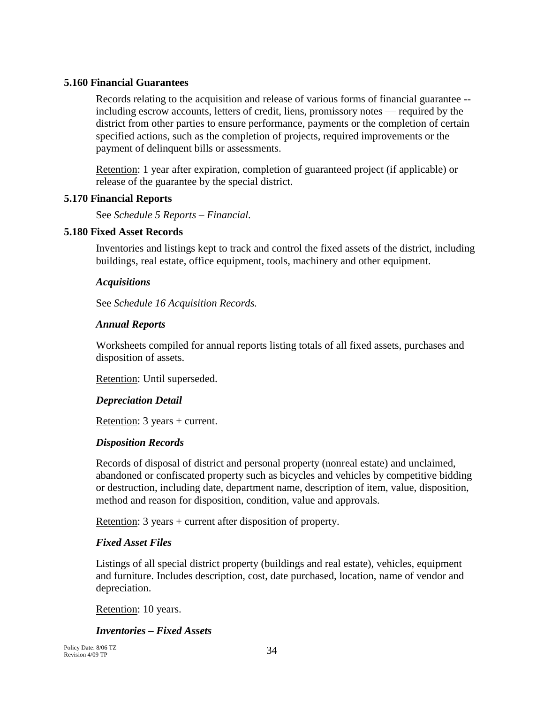# **5.160 Financial Guarantees**

Records relating to the acquisition and release of various forms of financial guarantee - including escrow accounts, letters of credit, liens, promissory notes — required by the district from other parties to ensure performance, payments or the completion of certain specified actions, such as the completion of projects, required improvements or the payment of delinquent bills or assessments.

Retention: 1 year after expiration, completion of guaranteed project (if applicable) or release of the guarantee by the special district.

# **5.170 Financial Reports**

See *Schedule 5 Reports – Financial.*

# **5.180 Fixed Asset Records**

Inventories and listings kept to track and control the fixed assets of the district, including buildings, real estate, office equipment, tools, machinery and other equipment.

# *Acquisitions*

See *Schedule 16 Acquisition Records.*

# *Annual Reports*

Worksheets compiled for annual reports listing totals of all fixed assets, purchases and disposition of assets.

Retention: Until superseded.

# *Depreciation Detail*

Retention: 3 years + current.

# *Disposition Records*

Records of disposal of district and personal property (nonreal estate) and unclaimed, abandoned or confiscated property such as bicycles and vehicles by competitive bidding or destruction, including date, department name, description of item, value, disposition, method and reason for disposition, condition, value and approvals.

Retention: 3 years + current after disposition of property.

# *Fixed Asset Files*

Listings of all special district property (buildings and real estate), vehicles, equipment and furniture. Includes description, cost, date purchased, location, name of vendor and depreciation.

Retention: 10 years.

# *Inventories – Fixed Assets*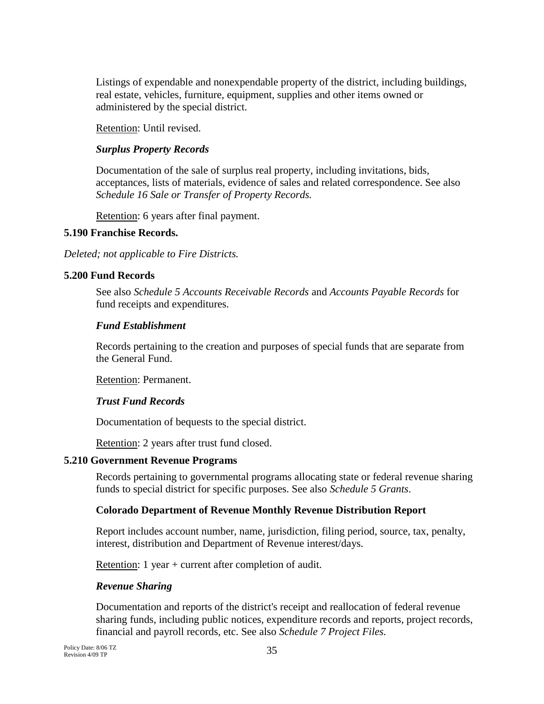Listings of expendable and nonexpendable property of the district, including buildings, real estate, vehicles, furniture, equipment, supplies and other items owned or administered by the special district.

Retention: Until revised.

# *Surplus Property Records*

Documentation of the sale of surplus real property, including invitations, bids, acceptances, lists of materials, evidence of sales and related correspondence. See also *Schedule 16 Sale or Transfer of Property Records.*

Retention: 6 years after final payment.

# **5.190 Franchise Records.**

*Deleted; not applicable to Fire Districts.*

# **5.200 Fund Records**

See also *Schedule 5 Accounts Receivable Records* and *Accounts Payable Records* for fund receipts and expenditures.

# *Fund Establishment*

Records pertaining to the creation and purposes of special funds that are separate from the General Fund.

Retention: Permanent.

# *Trust Fund Records*

Documentation of bequests to the special district.

Retention: 2 years after trust fund closed.

# **5.210 Government Revenue Programs**

Records pertaining to governmental programs allocating state or federal revenue sharing funds to special district for specific purposes. See also *Schedule 5 Grants*.

# **Colorado Department of Revenue Monthly Revenue Distribution Report**

Report includes account number, name, jurisdiction, filing period, source, tax, penalty, interest, distribution and Department of Revenue interest/days.

Retention: 1 year + current after completion of audit.

# *Revenue Sharing*

Documentation and reports of the district's receipt and reallocation of federal revenue sharing funds, including public notices, expenditure records and reports, project records, financial and payroll records, etc. See also *Schedule 7 Project Files.*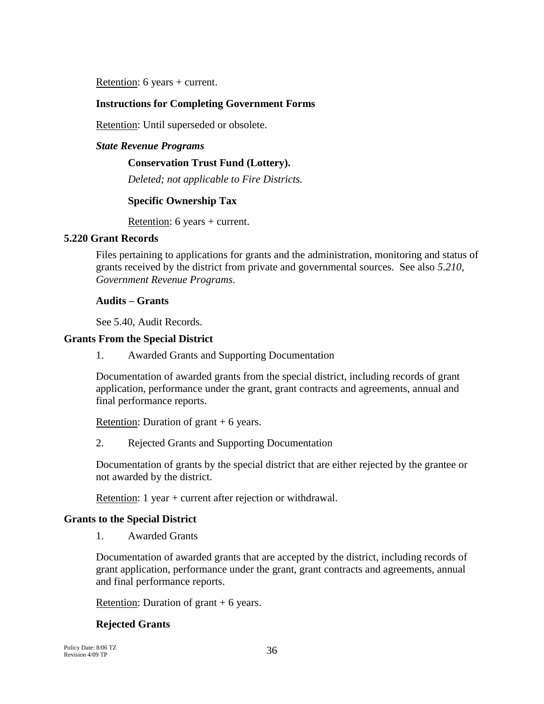Retention: 6 years + current.

# **Instructions for Completing Government Forms**

Retention: Until superseded or obsolete.

#### *State Revenue Programs*

#### **Conservation Trust Fund (Lottery).**

*Deleted; not applicable to Fire Districts.*

# **Specific Ownership Tax**

Retention: 6 years + current.

### **5.220 Grant Records**

Files pertaining to applications for grants and the administration, monitoring and status of grants received by the district from private and governmental sources. See also *5.210, Government Revenue Programs*.

### **Audits – Grants**

See 5.40, Audit Records.

### **Grants From the Special District**

1. Awarded Grants and Supporting Documentation

Documentation of awarded grants from the special district, including records of grant application, performance under the grant, grant contracts and agreements, annual and final performance reports.

Retention: Duration of grant  $+6$  years.

2. Rejected Grants and Supporting Documentation

Documentation of grants by the special district that are either rejected by the grantee or not awarded by the district.

Retention: 1 year + current after rejection or withdrawal.

# **Grants to the Special District**

1. Awarded Grants

Documentation of awarded grants that are accepted by the district, including records of grant application, performance under the grant, grant contracts and agreements, annual and final performance reports.

Retention: Duration of grant  $+6$  years.

# **Rejected Grants**

Policy Date: 8/06 TZ Revision 4/09 TP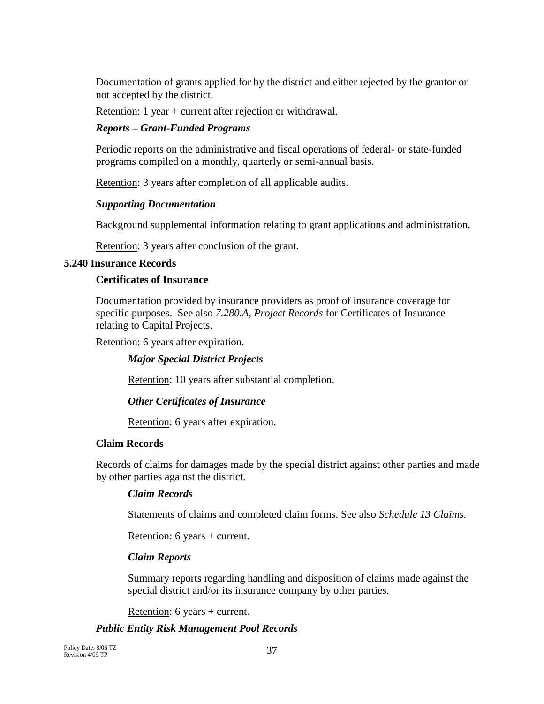Documentation of grants applied for by the district and either rejected by the grantor or not accepted by the district.

Retention: 1 year + current after rejection or withdrawal.

### *Reports – Grant-Funded Programs*

Periodic reports on the administrative and fiscal operations of federal- or state-funded programs compiled on a monthly, quarterly or semi-annual basis.

Retention: 3 years after completion of all applicable audits.

#### *Supporting Documentation*

Background supplemental information relating to grant applications and administration.

Retention: 3 years after conclusion of the grant.

#### **5.240 Insurance Records**

#### **Certificates of Insurance**

Documentation provided by insurance providers as proof of insurance coverage for specific purposes. See also *7.280.A, Project Records* for Certificates of Insurance relating to Capital Projects.

Retention: 6 years after expiration.

#### *Major Special District Projects*

Retention: 10 years after substantial completion.

### *Other Certificates of Insurance*

Retention: 6 years after expiration.

#### **Claim Records**

Records of claims for damages made by the special district against other parties and made by other parties against the district.

#### *Claim Records*

Statements of claims and completed claim forms. See also *Schedule 13 Claims.*

Retention: 6 years + current.

### *Claim Reports*

Summary reports regarding handling and disposition of claims made against the special district and/or its insurance company by other parties.

Retention: 6 years + current.

### *Public Entity Risk Management Pool Records*

Policy Date: 8/06 TZ Revision 4/09 TP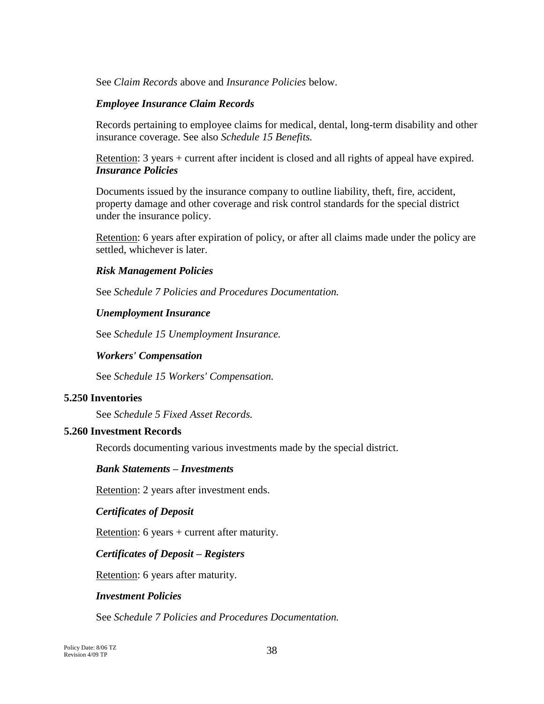See *Claim Records* above and *Insurance Policies* below.

### *Employee Insurance Claim Records*

Records pertaining to employee claims for medical, dental, long-term disability and other insurance coverage. See also *Schedule 15 Benefits.*

Retention: 3 years + current after incident is closed and all rights of appeal have expired. *Insurance Policies*

Documents issued by the insurance company to outline liability, theft, fire, accident, property damage and other coverage and risk control standards for the special district under the insurance policy.

Retention: 6 years after expiration of policy, or after all claims made under the policy are settled, whichever is later.

### *Risk Management Policies*

See *Schedule 7 Policies and Procedures Documentation.*

## *Unemployment Insurance*

See *Schedule 15 Unemployment Insurance.*

### *Workers' Compensation*

See *Schedule 15 Workers' Compensation.*

### **5.250 Inventories**

See *Schedule 5 Fixed Asset Records.*

### **5.260 Investment Records**

Records documenting various investments made by the special district.

### *Bank Statements – Investments*

Retention: 2 years after investment ends.

### *Certificates of Deposit*

Retention: 6 years + current after maturity.

## *Certificates of Deposit – Registers*

Retention: 6 years after maturity.

### *Investment Policies*

See *Schedule 7 Policies and Procedures Documentation.*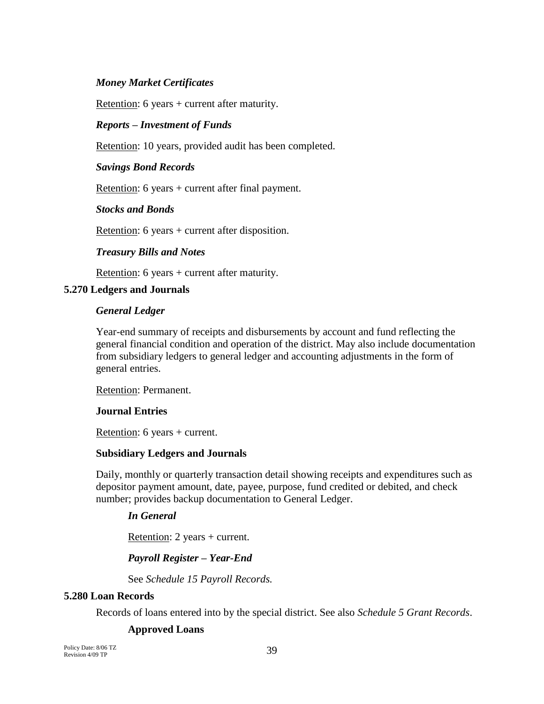### *Money Market Certificates*

Retention: 6 years + current after maturity.

#### *Reports – Investment of Funds*

Retention: 10 years, provided audit has been completed.

#### *Savings Bond Records*

Retention: 6 years + current after final payment.

#### *Stocks and Bonds*

Retention: 6 years + current after disposition.

#### *Treasury Bills and Notes*

Retention: 6 years + current after maturity.

#### **5.270 Ledgers and Journals**

#### *General Ledger*

Year-end summary of receipts and disbursements by account and fund reflecting the general financial condition and operation of the district. May also include documentation from subsidiary ledgers to general ledger and accounting adjustments in the form of general entries.

Retention: Permanent.

#### **Journal Entries**

Retention: 6 years + current.

#### **Subsidiary Ledgers and Journals**

Daily, monthly or quarterly transaction detail showing receipts and expenditures such as depositor payment amount, date, payee, purpose, fund credited or debited, and check number; provides backup documentation to General Ledger.

#### *In General*

Retention: 2 years + current.

#### *Payroll Register – Year-End*

See *Schedule 15 Payroll Records.*

#### **5.280 Loan Records**

Records of loans entered into by the special district. See also *Schedule 5 Grant Records*.

#### **Approved Loans**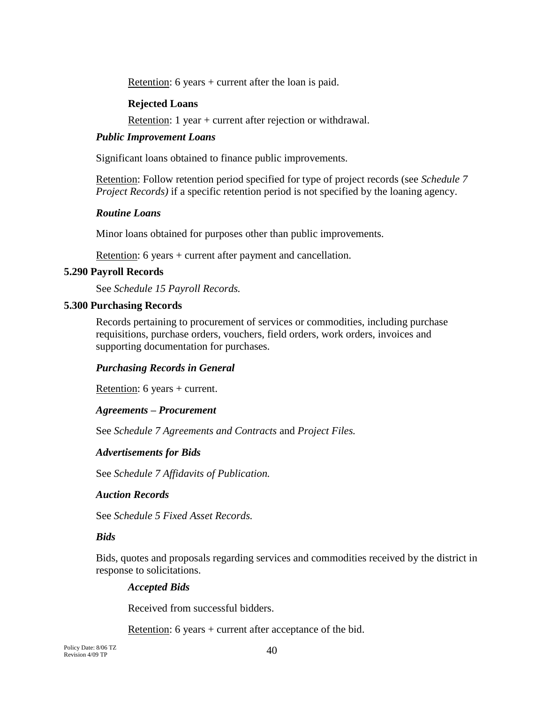Retention: 6 years + current after the loan is paid.

#### **Rejected Loans**

Retention: 1 year + current after rejection or withdrawal.

#### *Public Improvement Loans*

Significant loans obtained to finance public improvements.

Retention: Follow retention period specified for type of project records (see *Schedule 7 Project Records*) if a specific retention period is not specified by the loaning agency.

### *Routine Loans*

Minor loans obtained for purposes other than public improvements.

Retention: 6 years + current after payment and cancellation.

#### **5.290 Payroll Records**

See *Schedule 15 Payroll Records.*

#### **5.300 Purchasing Records**

Records pertaining to procurement of services or commodities, including purchase requisitions, purchase orders, vouchers, field orders, work orders, invoices and supporting documentation for purchases.

### *Purchasing Records in General*

Retention: 6 years + current.

### *Agreements – Procurement*

See *Schedule 7 Agreements and Contracts* and *Project Files.*

#### *Advertisements for Bids*

See *Schedule 7 Affidavits of Publication.*

#### *Auction Records*

See *Schedule 5 Fixed Asset Records.*

### *Bids*

Bids, quotes and proposals regarding services and commodities received by the district in response to solicitations.

### *Accepted Bids*

Received from successful bidders.

Retention: 6 years + current after acceptance of the bid.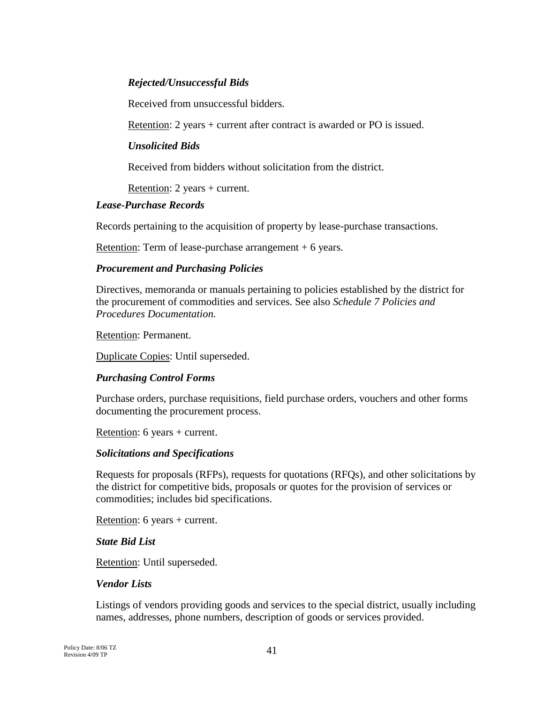### *Rejected/Unsuccessful Bids*

Received from unsuccessful bidders.

Retention: 2 years + current after contract is awarded or PO is issued.

### *Unsolicited Bids*

Received from bidders without solicitation from the district.

Retention: 2 years + current.

### *Lease-Purchase Records*

Records pertaining to the acquisition of property by lease-purchase transactions.

Retention: Term of lease-purchase arrangement  $+ 6$  years.

### *Procurement and Purchasing Policies*

Directives, memoranda or manuals pertaining to policies established by the district for the procurement of commodities and services. See also *Schedule 7 Policies and Procedures Documentation.*

Retention: Permanent.

Duplicate Copies: Until superseded.

### *Purchasing Control Forms*

Purchase orders, purchase requisitions, field purchase orders, vouchers and other forms documenting the procurement process.

Retention: 6 years + current.

### *Solicitations and Specifications*

Requests for proposals (RFPs), requests for quotations (RFQs), and other solicitations by the district for competitive bids, proposals or quotes for the provision of services or commodities; includes bid specifications.

Retention: 6 years + current.

### *State Bid List*

Retention: Until superseded.

### *Vendor Lists*

Listings of vendors providing goods and services to the special district, usually including names, addresses, phone numbers, description of goods or services provided.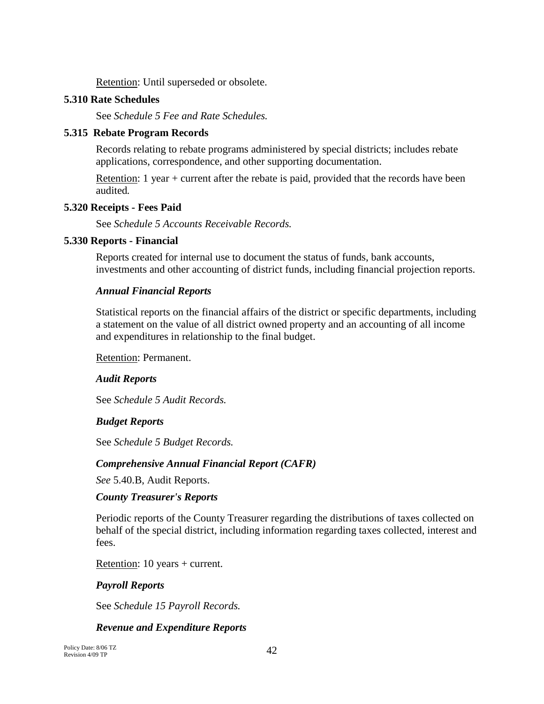Retention: Until superseded or obsolete.

### **5.310 Rate Schedules**

See *Schedule 5 Fee and Rate Schedules.* 

## **5.315 Rebate Program Records**

Records relating to rebate programs administered by special districts; includes rebate applications, correspondence, and other supporting documentation.

Retention: 1 year + current after the rebate is paid, provided that the records have been audited*.*

## **5.320 Receipts - Fees Paid**

See *Schedule 5 Accounts Receivable Records.*

## **5.330 Reports - Financial**

Reports created for internal use to document the status of funds, bank accounts, investments and other accounting of district funds, including financial projection reports.

## *Annual Financial Reports*

Statistical reports on the financial affairs of the district or specific departments, including a statement on the value of all district owned property and an accounting of all income and expenditures in relationship to the final budget.

Retention: Permanent.

## *Audit Reports*

See *Schedule 5 Audit Records.*

## *Budget Reports*

See *Schedule 5 Budget Records.*

## *Comprehensive Annual Financial Report (CAFR)*

*See* 5.40.B, Audit Reports.

## *County Treasurer's Reports*

Periodic reports of the County Treasurer regarding the distributions of taxes collected on behalf of the special district, including information regarding taxes collected, interest and fees.

Retention: 10 years + current.

## *Payroll Reports*

See *Schedule 15 Payroll Records.*

## *Revenue and Expenditure Reports*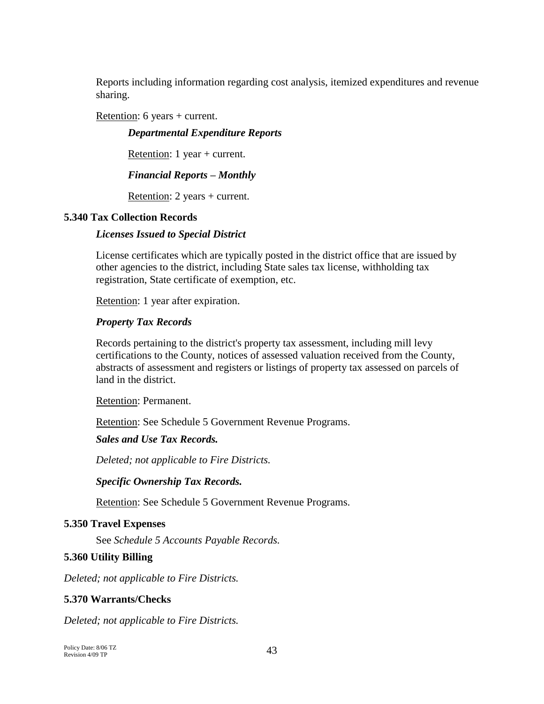Reports including information regarding cost analysis, itemized expenditures and revenue sharing.

Retention: 6 years + current.

*Departmental Expenditure Reports*

Retention: 1 year + current.

### *Financial Reports – Monthly*

Retention: 2 years + current.

### **5.340 Tax Collection Records**

### *Licenses Issued to Special District*

License certificates which are typically posted in the district office that are issued by other agencies to the district, including State sales tax license, withholding tax registration, State certificate of exemption, etc.

Retention: 1 year after expiration.

### *Property Tax Records*

Records pertaining to the district's property tax assessment, including mill levy certifications to the County, notices of assessed valuation received from the County, abstracts of assessment and registers or listings of property tax assessed on parcels of land in the district.

Retention: Permanent.

Retention: See Schedule 5 Government Revenue Programs.

## *Sales and Use Tax Records.*

*Deleted; not applicable to Fire Districts.*

## *Specific Ownership Tax Records.*

Retention: See Schedule 5 Government Revenue Programs.

## **5.350 Travel Expenses**

See *Schedule 5 Accounts Payable Records.*

## **5.360 Utility Billing**

*Deleted; not applicable to Fire Districts.*

## **5.370 Warrants/Checks**

*Deleted; not applicable to Fire Districts.*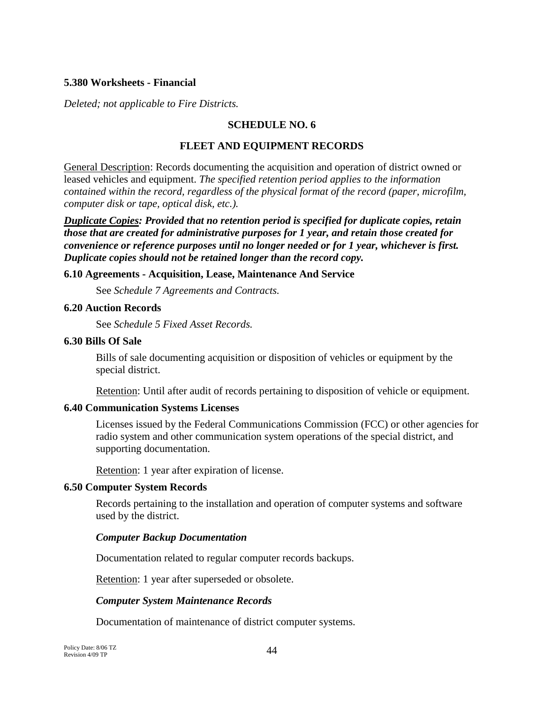### **5.380 Worksheets - Financial**

*Deleted; not applicable to Fire Districts.*

### **SCHEDULE NO. 6**

#### **FLEET AND EQUIPMENT RECORDS**

General Description: Records documenting the acquisition and operation of district owned or leased vehicles and equipment. *The specified retention period applies to the information contained within the record, regardless of the physical format of the record (paper, microfilm, computer disk or tape, optical disk, etc.).*

*Duplicate Copies: Provided that no retention period is specified for duplicate copies, retain those that are created for administrative purposes for 1 year, and retain those created for convenience or reference purposes until no longer needed or for 1 year, whichever is first. Duplicate copies should not be retained longer than the record copy.*

#### **6.10 Agreements - Acquisition, Lease, Maintenance And Service**

See *Schedule 7 Agreements and Contracts.*

#### **6.20 Auction Records**

See *Schedule 5 Fixed Asset Records.*

#### **6.30 Bills Of Sale**

Bills of sale documenting acquisition or disposition of vehicles or equipment by the special district.

Retention: Until after audit of records pertaining to disposition of vehicle or equipment.

### **6.40 Communication Systems Licenses**

Licenses issued by the Federal Communications Commission (FCC) or other agencies for radio system and other communication system operations of the special district, and supporting documentation.

Retention: 1 year after expiration of license.

### **6.50 Computer System Records**

Records pertaining to the installation and operation of computer systems and software used by the district.

### *Computer Backup Documentation*

Documentation related to regular computer records backups.

Retention: 1 year after superseded or obsolete.

### *Computer System Maintenance Records*

Documentation of maintenance of district computer systems.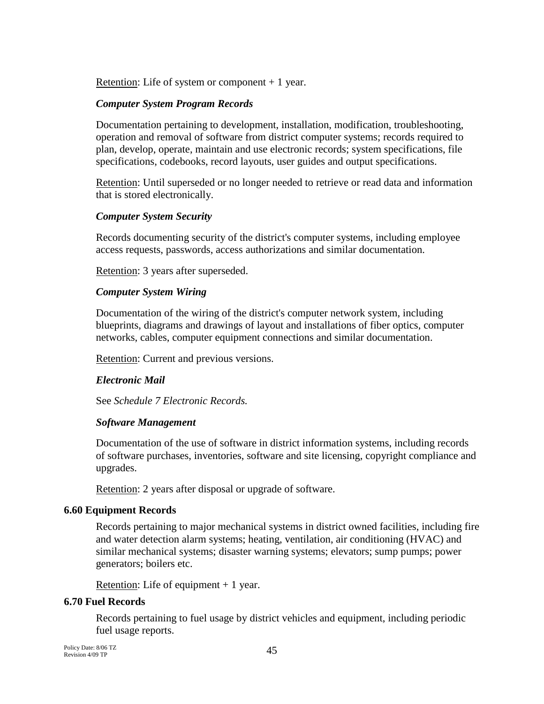Retention: Life of system or component  $+1$  year.

## *Computer System Program Records*

Documentation pertaining to development, installation, modification, troubleshooting, operation and removal of software from district computer systems; records required to plan, develop, operate, maintain and use electronic records; system specifications, file specifications, codebooks, record layouts, user guides and output specifications.

Retention: Until superseded or no longer needed to retrieve or read data and information that is stored electronically.

## *Computer System Security*

Records documenting security of the district's computer systems, including employee access requests, passwords, access authorizations and similar documentation.

Retention: 3 years after superseded.

## *Computer System Wiring*

Documentation of the wiring of the district's computer network system, including blueprints, diagrams and drawings of layout and installations of fiber optics, computer networks, cables, computer equipment connections and similar documentation.

Retention: Current and previous versions.

## *Electronic Mail*

See *Schedule 7 Electronic Records.*

## *Software Management*

Documentation of the use of software in district information systems, including records of software purchases, inventories, software and site licensing, copyright compliance and upgrades.

Retention: 2 years after disposal or upgrade of software.

## **6.60 Equipment Records**

Records pertaining to major mechanical systems in district owned facilities, including fire and water detection alarm systems; heating, ventilation, air conditioning (HVAC) and similar mechanical systems; disaster warning systems; elevators; sump pumps; power generators; boilers etc.

Retention: Life of equipment  $+1$  year.

## **6.70 Fuel Records**

Records pertaining to fuel usage by district vehicles and equipment, including periodic fuel usage reports.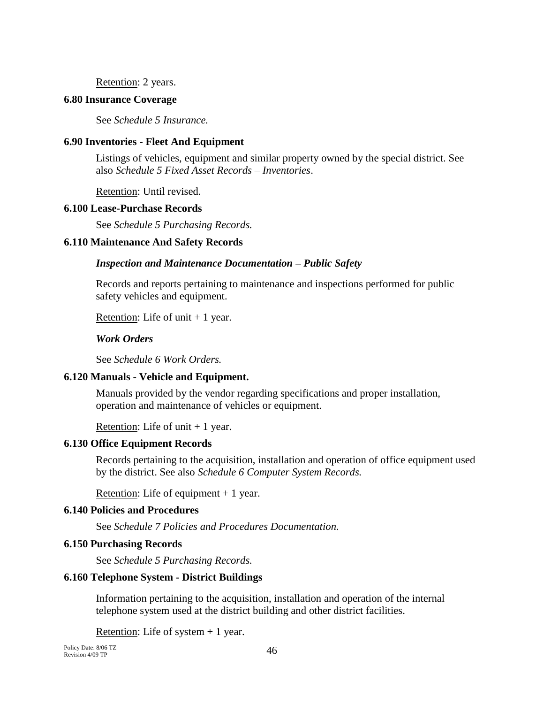Retention: 2 years.

#### **6.80 Insurance Coverage**

See *Schedule 5 Insurance.*

### **6.90 Inventories - Fleet And Equipment**

Listings of vehicles, equipment and similar property owned by the special district. See also *Schedule 5 Fixed Asset Records – Inventories*.

Retention: Until revised.

#### **6.100 Lease-Purchase Records**

See *Schedule 5 Purchasing Records.*

#### **6.110 Maintenance And Safety Records**

#### *Inspection and Maintenance Documentation – Public Safety*

Records and reports pertaining to maintenance and inspections performed for public safety vehicles and equipment.

Retention: Life of unit  $+1$  year.

### *Work Orders*

See *Schedule 6 Work Orders.*

#### **6.120 Manuals - Vehicle and Equipment.**

Manuals provided by the vendor regarding specifications and proper installation, operation and maintenance of vehicles or equipment.

Retention: Life of unit  $+1$  year.

#### **6.130 Office Equipment Records**

Records pertaining to the acquisition, installation and operation of office equipment used by the district. See also *Schedule 6 Computer System Records.*

Retention: Life of equipment  $+1$  year.

### **6.140 Policies and Procedures**

See *Schedule 7 Policies and Procedures Documentation.*

#### **6.150 Purchasing Records**

See *Schedule 5 Purchasing Records.*

### **6.160 Telephone System - District Buildings**

Information pertaining to the acquisition, installation and operation of the internal telephone system used at the district building and other district facilities.

Retention: Life of system  $+1$  year.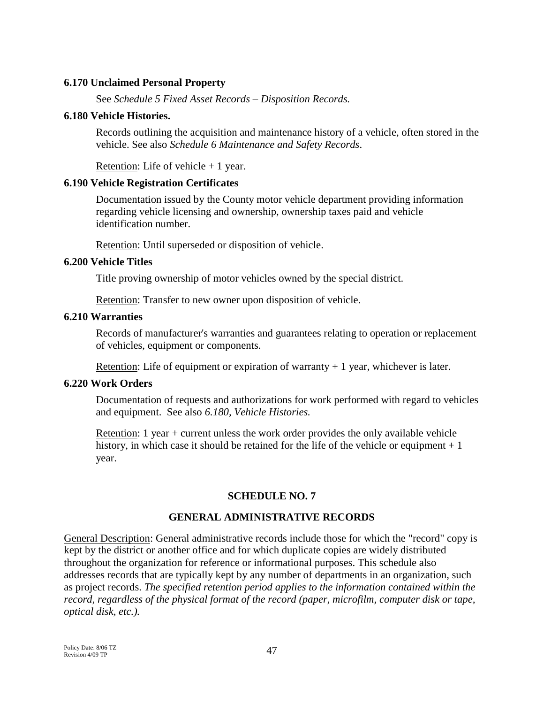### **6.170 Unclaimed Personal Property**

See *Schedule 5 Fixed Asset Records – Disposition Records.*

#### **6.180 Vehicle Histories.**

Records outlining the acquisition and maintenance history of a vehicle, often stored in the vehicle. See also *Schedule 6 Maintenance and Safety Records*.

Retention: Life of vehicle  $+1$  year.

#### **6.190 Vehicle Registration Certificates**

Documentation issued by the County motor vehicle department providing information regarding vehicle licensing and ownership, ownership taxes paid and vehicle identification number.

Retention: Until superseded or disposition of vehicle.

#### **6.200 Vehicle Titles**

Title proving ownership of motor vehicles owned by the special district.

Retention: Transfer to new owner upon disposition of vehicle.

#### **6.210 Warranties**

Records of manufacturer's warranties and guarantees relating to operation or replacement of vehicles, equipment or components.

Retention: Life of equipment or expiration of warranty  $+1$  year, whichever is later.

### **6.220 Work Orders**

Documentation of requests and authorizations for work performed with regard to vehicles and equipment. See also *6.180, Vehicle Histories.*

Retention: 1 year + current unless the work order provides the only available vehicle history, in which case it should be retained for the life of the vehicle or equipment  $+1$ year.

## **SCHEDULE NO. 7**

### **GENERAL ADMINISTRATIVE RECORDS**

General Description: General administrative records include those for which the "record" copy is kept by the district or another office and for which duplicate copies are widely distributed throughout the organization for reference or informational purposes. This schedule also addresses records that are typically kept by any number of departments in an organization, such as project records. *The specified retention period applies to the information contained within the record, regardless of the physical format of the record (paper, microfilm, computer disk or tape, optical disk, etc.).*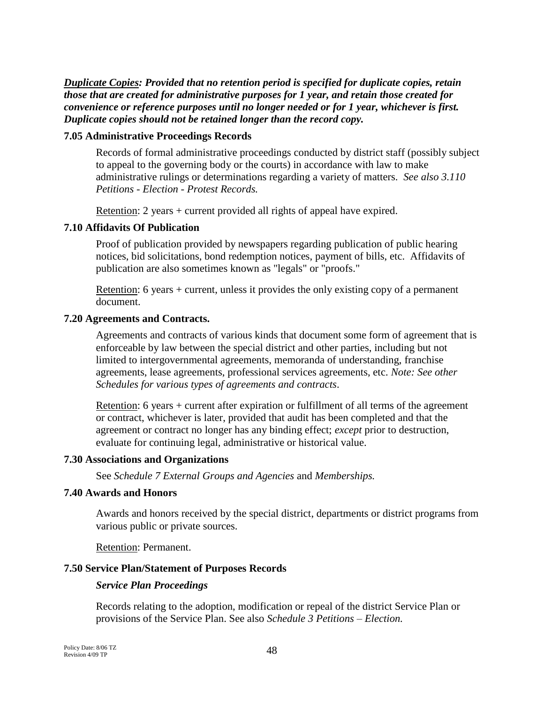*Duplicate Copies: Provided that no retention period is specified for duplicate copies, retain those that are created for administrative purposes for 1 year, and retain those created for convenience or reference purposes until no longer needed or for 1 year, whichever is first. Duplicate copies should not be retained longer than the record copy.*

### **7.05 Administrative Proceedings Records**

Records of formal administrative proceedings conducted by district staff (possibly subject to appeal to the governing body or the courts) in accordance with law to make administrative rulings or determinations regarding a variety of matters. *See also 3.110 Petitions - Election - Protest Records.*

Retention: 2 years + current provided all rights of appeal have expired.

### **7.10 Affidavits Of Publication**

Proof of publication provided by newspapers regarding publication of public hearing notices, bid solicitations, bond redemption notices, payment of bills, etc. Affidavits of publication are also sometimes known as "legals" or "proofs."

Retention: 6 years + current, unless it provides the only existing copy of a permanent document.

### **7.20 Agreements and Contracts.**

Agreements and contracts of various kinds that document some form of agreement that is enforceable by law between the special district and other parties, including but not limited to intergovernmental agreements, memoranda of understanding, franchise agreements, lease agreements, professional services agreements, etc. *Note: See other Schedules for various types of agreements and contracts*.

Retention: 6 years + current after expiration or fulfillment of all terms of the agreement or contract, whichever is later, provided that audit has been completed and that the agreement or contract no longer has any binding effect; *except* prior to destruction, evaluate for continuing legal, administrative or historical value.

### **7.30 Associations and Organizations**

See *Schedule 7 External Groups and Agencies* and *Memberships.*

### **7.40 Awards and Honors**

Awards and honors received by the special district, departments or district programs from various public or private sources.

Retention: Permanent.

### **7.50 Service Plan/Statement of Purposes Records**

### *Service Plan Proceedings*

Records relating to the adoption, modification or repeal of the district Service Plan or provisions of the Service Plan. See also *Schedule 3 Petitions – Election.*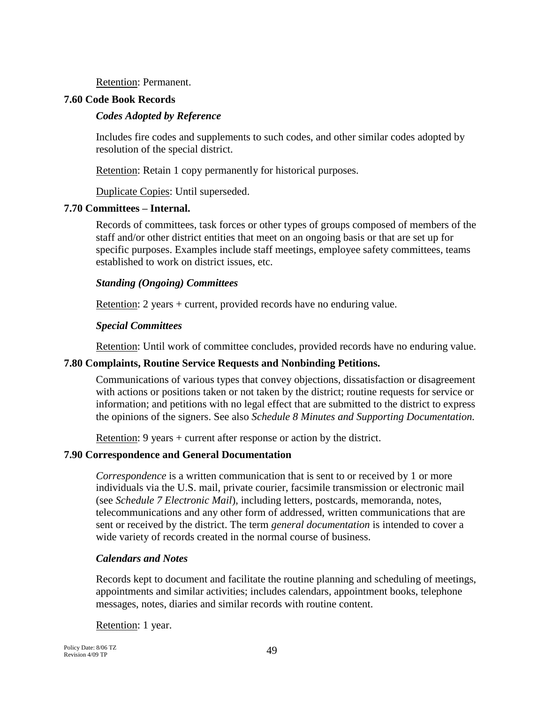Retention: Permanent.

#### **7.60 Code Book Records**

#### *Codes Adopted by Reference*

Includes fire codes and supplements to such codes, and other similar codes adopted by resolution of the special district.

Retention: Retain 1 copy permanently for historical purposes.

Duplicate Copies: Until superseded.

#### **7.70 Committees – Internal.**

Records of committees, task forces or other types of groups composed of members of the staff and/or other district entities that meet on an ongoing basis or that are set up for specific purposes. Examples include staff meetings, employee safety committees, teams established to work on district issues, etc.

#### *Standing (Ongoing) Committees*

Retention: 2 years + current, provided records have no enduring value.

#### *Special Committees*

Retention: Until work of committee concludes, provided records have no enduring value.

#### **7.80 Complaints, Routine Service Requests and Nonbinding Petitions.**

Communications of various types that convey objections, dissatisfaction or disagreement with actions or positions taken or not taken by the district; routine requests for service or information; and petitions with no legal effect that are submitted to the district to express the opinions of the signers. See also *Schedule 8 Minutes and Supporting Documentation.*

Retention: 9 years + current after response or action by the district.

#### **7.90 Correspondence and General Documentation**

*Correspondence* is a written communication that is sent to or received by 1 or more individuals via the U.S. mail, private courier, facsimile transmission or electronic mail (see *Schedule 7 Electronic Mail*), including letters, postcards, memoranda, notes, telecommunications and any other form of addressed, written communications that are sent or received by the district. The term *general documentation* is intended to cover a wide variety of records created in the normal course of business.

### *Calendars and Notes*

Records kept to document and facilitate the routine planning and scheduling of meetings, appointments and similar activities; includes calendars, appointment books, telephone messages, notes, diaries and similar records with routine content.

Retention: 1 year.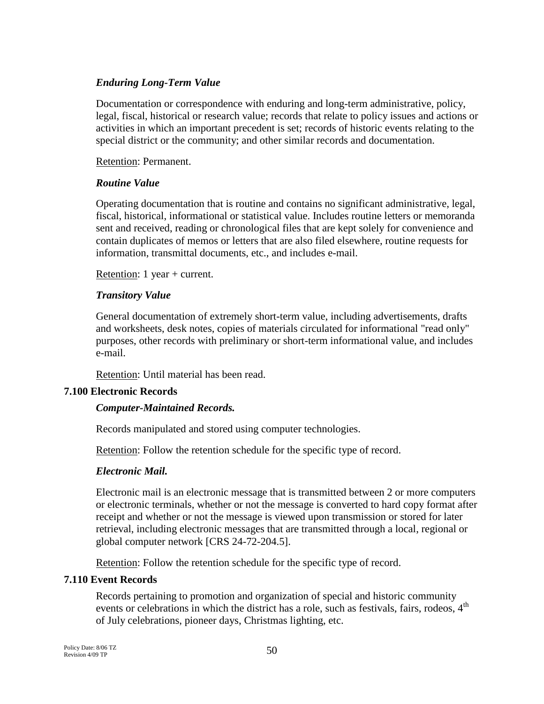### *Enduring Long-Term Value*

Documentation or correspondence with enduring and long-term administrative, policy, legal, fiscal, historical or research value; records that relate to policy issues and actions or activities in which an important precedent is set; records of historic events relating to the special district or the community; and other similar records and documentation.

Retention: Permanent.

### *Routine Value*

Operating documentation that is routine and contains no significant administrative, legal, fiscal, historical, informational or statistical value. Includes routine letters or memoranda sent and received, reading or chronological files that are kept solely for convenience and contain duplicates of memos or letters that are also filed elsewhere, routine requests for information, transmittal documents, etc., and includes e-mail.

Retention: 1 year + current.

### *Transitory Value*

General documentation of extremely short-term value, including advertisements, drafts and worksheets, desk notes, copies of materials circulated for informational "read only" purposes, other records with preliminary or short-term informational value, and includes e-mail.

Retention: Until material has been read.

### **7.100 Electronic Records**

### *Computer-Maintained Records.*

Records manipulated and stored using computer technologies.

Retention: Follow the retention schedule for the specific type of record.

### *Electronic Mail.*

Electronic mail is an electronic message that is transmitted between 2 or more computers or electronic terminals, whether or not the message is converted to hard copy format after receipt and whether or not the message is viewed upon transmission or stored for later retrieval, including electronic messages that are transmitted through a local, regional or global computer network [CRS 24-72-204.5].

Retention: Follow the retention schedule for the specific type of record.

### **7.110 Event Records**

Records pertaining to promotion and organization of special and historic community events or celebrations in which the district has a role, such as festivals, fairs, rodeos, 4<sup>th</sup> of July celebrations, pioneer days, Christmas lighting, etc.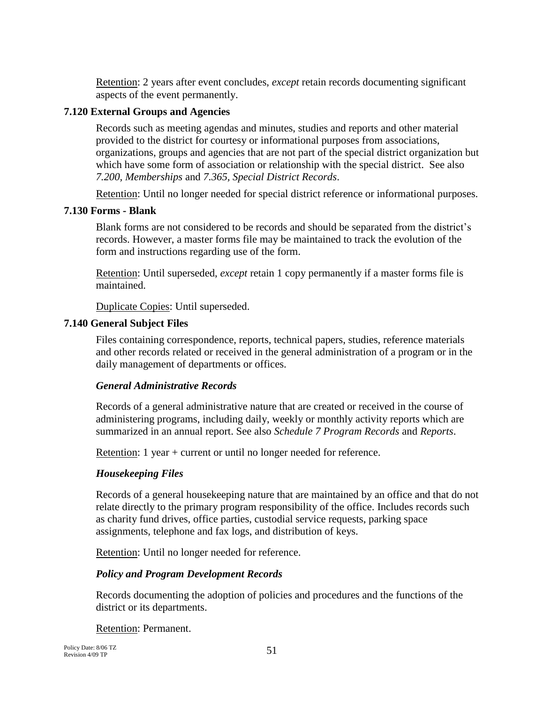Retention: 2 years after event concludes, *except* retain records documenting significant aspects of the event permanently.

## **7.120 External Groups and Agencies**

Records such as meeting agendas and minutes, studies and reports and other material provided to the district for courtesy or informational purposes from associations, organizations, groups and agencies that are not part of the special district organization but which have some form of association or relationship with the special district. See also *7.200, Memberships* and *7.365, Special District Records*.

Retention: Until no longer needed for special district reference or informational purposes.

## **7.130 Forms - Blank**

Blank forms are not considered to be records and should be separated from the district's records. However, a master forms file may be maintained to track the evolution of the form and instructions regarding use of the form.

Retention: Until superseded, *except* retain 1 copy permanently if a master forms file is maintained.

Duplicate Copies: Until superseded.

## **7.140 General Subject Files**

Files containing correspondence, reports, technical papers, studies, reference materials and other records related or received in the general administration of a program or in the daily management of departments or offices.

## *General Administrative Records*

Records of a general administrative nature that are created or received in the course of administering programs, including daily, weekly or monthly activity reports which are summarized in an annual report. See also *Schedule 7 Program Records* and *Reports*.

Retention: 1 year + current or until no longer needed for reference.

## *Housekeeping Files*

Records of a general housekeeping nature that are maintained by an office and that do not relate directly to the primary program responsibility of the office. Includes records such as charity fund drives, office parties, custodial service requests, parking space assignments, telephone and fax logs, and distribution of keys.

Retention: Until no longer needed for reference.

## *Policy and Program Development Records*

Records documenting the adoption of policies and procedures and the functions of the district or its departments.

Retention: Permanent.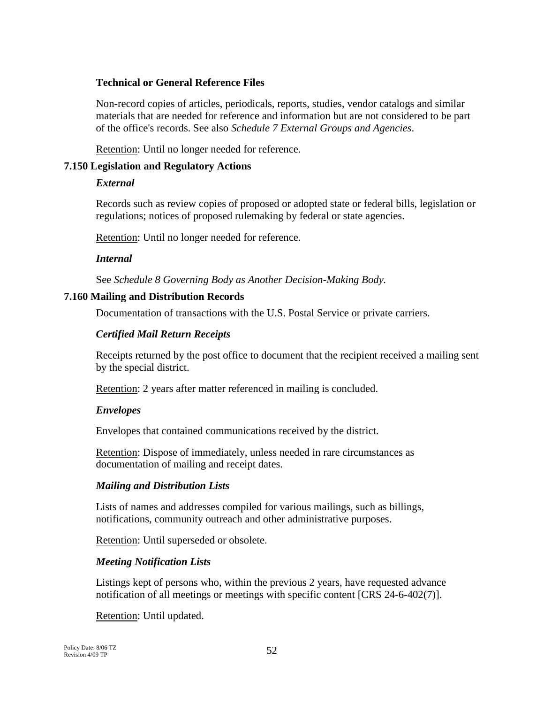### **Technical or General Reference Files**

Non-record copies of articles, periodicals, reports, studies, vendor catalogs and similar materials that are needed for reference and information but are not considered to be part of the office's records. See also *Schedule 7 External Groups and Agencies*.

Retention: Until no longer needed for reference.

### **7.150 Legislation and Regulatory Actions**

### *External*

Records such as review copies of proposed or adopted state or federal bills, legislation or regulations; notices of proposed rulemaking by federal or state agencies.

Retention: Until no longer needed for reference.

## *Internal*

See *Schedule 8 Governing Body as Another Decision-Making Body.*

## **7.160 Mailing and Distribution Records**

Documentation of transactions with the U.S. Postal Service or private carriers.

## *Certified Mail Return Receipts*

Receipts returned by the post office to document that the recipient received a mailing sent by the special district.

Retention: 2 years after matter referenced in mailing is concluded.

## *Envelopes*

Envelopes that contained communications received by the district.

Retention: Dispose of immediately, unless needed in rare circumstances as documentation of mailing and receipt dates.

### *Mailing and Distribution Lists*

Lists of names and addresses compiled for various mailings, such as billings, notifications, community outreach and other administrative purposes.

Retention: Until superseded or obsolete.

## *Meeting Notification Lists*

Listings kept of persons who, within the previous 2 years, have requested advance notification of all meetings or meetings with specific content [CRS 24-6-402(7)].

Retention: Until updated.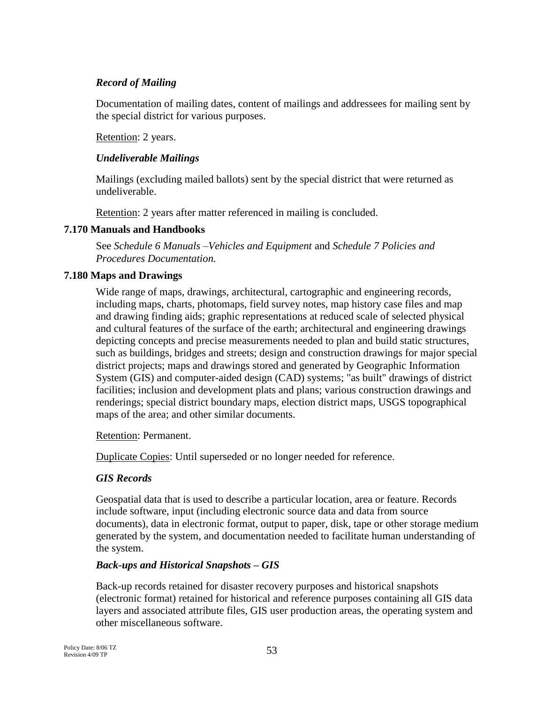### *Record of Mailing*

Documentation of mailing dates, content of mailings and addressees for mailing sent by the special district for various purposes.

Retention: 2 years.

### *Undeliverable Mailings*

Mailings (excluding mailed ballots) sent by the special district that were returned as undeliverable.

Retention: 2 years after matter referenced in mailing is concluded.

### **7.170 Manuals and Handbooks**

See *Schedule 6 Manuals –Vehicles and Equipment* and *Schedule 7 Policies and Procedures Documentation.*

### **7.180 Maps and Drawings**

Wide range of maps, drawings, architectural, cartographic and engineering records, including maps, charts, photomaps, field survey notes, map history case files and map and drawing finding aids; graphic representations at reduced scale of selected physical and cultural features of the surface of the earth; architectural and engineering drawings depicting concepts and precise measurements needed to plan and build static structures, such as buildings, bridges and streets; design and construction drawings for major special district projects; maps and drawings stored and generated by Geographic Information System (GIS) and computer-aided design (CAD) systems; "as built" drawings of district facilities; inclusion and development plats and plans; various construction drawings and renderings; special district boundary maps, election district maps, USGS topographical maps of the area; and other similar documents.

Retention: Permanent.

Duplicate Copies: Until superseded or no longer needed for reference.

### *GIS Records*

Geospatial data that is used to describe a particular location, area or feature. Records include software, input (including electronic source data and data from source documents), data in electronic format, output to paper, disk, tape or other storage medium generated by the system, and documentation needed to facilitate human understanding of the system.

### *Back-ups and Historical Snapshots – GIS*

Back-up records retained for disaster recovery purposes and historical snapshots (electronic format) retained for historical and reference purposes containing all GIS data layers and associated attribute files, GIS user production areas, the operating system and other miscellaneous software.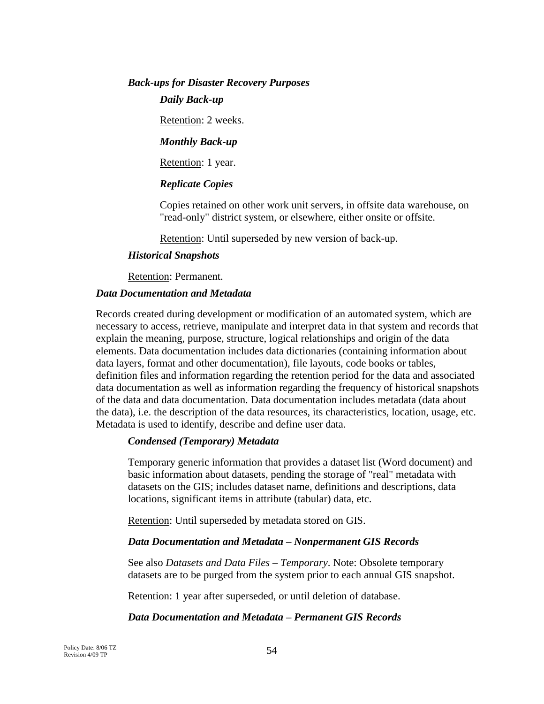# *Back-ups for Disaster Recovery Purposes*

*Daily Back-up*

Retention: 2 weeks.

### *Monthly Back-up*

Retention: 1 year.

## *Replicate Copies*

Copies retained on other work unit servers, in offsite data warehouse, on "read-only" district system, or elsewhere, either onsite or offsite.

Retention: Until superseded by new version of back-up.

### *Historical Snapshots*

Retention: Permanent.

### *Data Documentation and Metadata*

Records created during development or modification of an automated system, which are necessary to access, retrieve, manipulate and interpret data in that system and records that explain the meaning, purpose, structure, logical relationships and origin of the data elements. Data documentation includes data dictionaries (containing information about data layers, format and other documentation), file layouts, code books or tables, definition files and information regarding the retention period for the data and associated data documentation as well as information regarding the frequency of historical snapshots of the data and data documentation. Data documentation includes metadata (data about the data), i.e. the description of the data resources, its characteristics, location, usage, etc. Metadata is used to identify, describe and define user data.

### *Condensed (Temporary) Metadata*

Temporary generic information that provides a dataset list (Word document) and basic information about datasets, pending the storage of "real" metadata with datasets on the GIS; includes dataset name, definitions and descriptions, data locations, significant items in attribute (tabular) data, etc.

Retention: Until superseded by metadata stored on GIS.

### *Data Documentation and Metadata – Nonpermanent GIS Records*

See also *Datasets and Data Files – Temporary*. Note: Obsolete temporary datasets are to be purged from the system prior to each annual GIS snapshot.

Retention: 1 year after superseded, or until deletion of database.

### *Data Documentation and Metadata – Permanent GIS Records*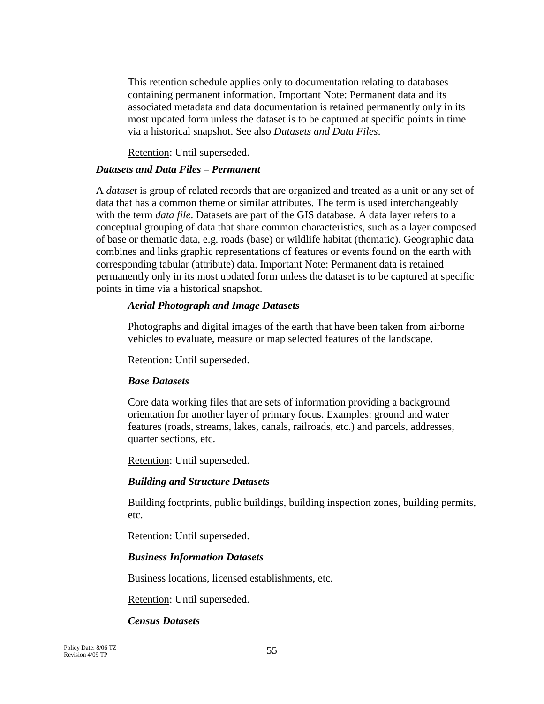This retention schedule applies only to documentation relating to databases containing permanent information. Important Note: Permanent data and its associated metadata and data documentation is retained permanently only in its most updated form unless the dataset is to be captured at specific points in time via a historical snapshot. See also *Datasets and Data Files*.

Retention: Until superseded.

#### *Datasets and Data Files – Permanent*

A *dataset* is group of related records that are organized and treated as a unit or any set of data that has a common theme or similar attributes. The term is used interchangeably with the term *data file*. Datasets are part of the GIS database. A data layer refers to a conceptual grouping of data that share common characteristics, such as a layer composed of base or thematic data, e.g. roads (base) or wildlife habitat (thematic). Geographic data combines and links graphic representations of features or events found on the earth with corresponding tabular (attribute) data. Important Note: Permanent data is retained permanently only in its most updated form unless the dataset is to be captured at specific points in time via a historical snapshot.

### *Aerial Photograph and Image Datasets*

Photographs and digital images of the earth that have been taken from airborne vehicles to evaluate, measure or map selected features of the landscape.

Retention: Until superseded.

#### *Base Datasets*

Core data working files that are sets of information providing a background orientation for another layer of primary focus. Examples: ground and water features (roads, streams, lakes, canals, railroads, etc.) and parcels, addresses, quarter sections, etc.

Retention: Until superseded.

### *Building and Structure Datasets*

Building footprints, public buildings, building inspection zones, building permits, etc.

Retention: Until superseded.

### *Business Information Datasets*

Business locations, licensed establishments, etc.

Retention: Until superseded.

### *Census Datasets*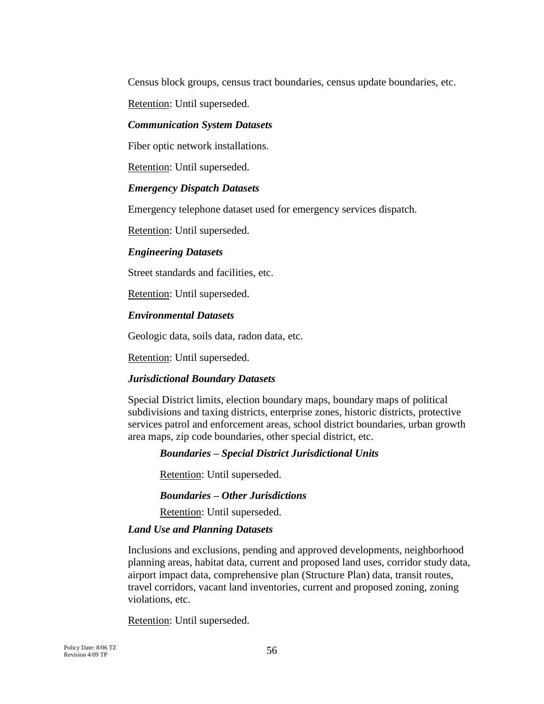Census block groups, census tract boundaries, census update boundaries, etc.

Retention: Until superseded.

### *Communication System Datasets*

Fiber optic network installations.

Retention: Until superseded.

### *Emergency Dispatch Datasets*

Emergency telephone dataset used for emergency services dispatch.

Retention: Until superseded.

### *Engineering Datasets*

Street standards and facilities, etc.

Retention: Until superseded.

### *Environmental Datasets*

Geologic data, soils data, radon data, etc.

Retention: Until superseded.

### *Jurisdictional Boundary Datasets*

Special District limits, election boundary maps, boundary maps of political subdivisions and taxing districts, enterprise zones, historic districts, protective services patrol and enforcement areas, school district boundaries, urban growth area maps, zip code boundaries, other special district, etc.

### *Boundaries – Special District Jurisdictional Units*

Retention: Until superseded.

### *Boundaries – Other Jurisdictions*

Retention: Until superseded.

#### *Land Use and Planning Datasets*

Inclusions and exclusions, pending and approved developments, neighborhood planning areas, habitat data, current and proposed land uses, corridor study data, airport impact data, comprehensive plan (Structure Plan) data, transit routes, travel corridors, vacant land inventories, current and proposed zoning, zoning violations, etc.

Retention: Until superseded.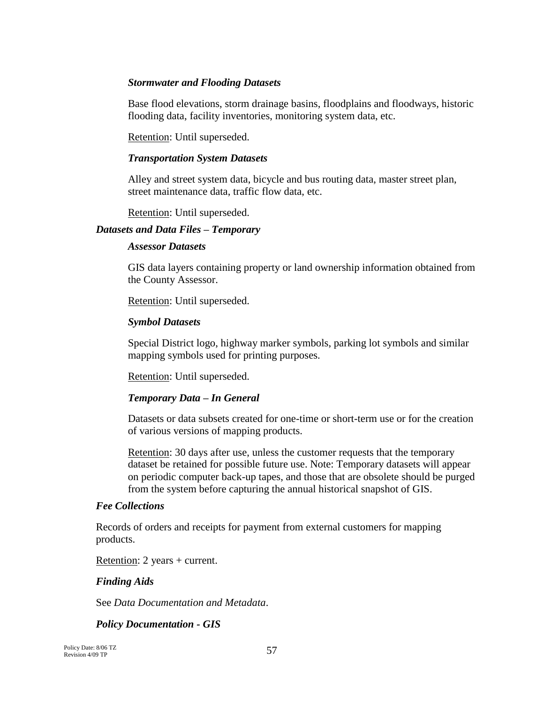### *Stormwater and Flooding Datasets*

Base flood elevations, storm drainage basins, floodplains and floodways, historic flooding data, facility inventories, monitoring system data, etc.

Retention: Until superseded.

#### *Transportation System Datasets*

Alley and street system data, bicycle and bus routing data, master street plan, street maintenance data, traffic flow data, etc.

Retention: Until superseded.

#### *Datasets and Data Files – Temporary*

#### *Assessor Datasets*

GIS data layers containing property or land ownership information obtained from the County Assessor.

Retention: Until superseded.

#### *Symbol Datasets*

Special District logo, highway marker symbols, parking lot symbols and similar mapping symbols used for printing purposes.

Retention: Until superseded.

### *Temporary Data – In General*

Datasets or data subsets created for one-time or short-term use or for the creation of various versions of mapping products.

Retention: 30 days after use, unless the customer requests that the temporary dataset be retained for possible future use. Note: Temporary datasets will appear on periodic computer back-up tapes, and those that are obsolete should be purged from the system before capturing the annual historical snapshot of GIS.

#### *Fee Collections*

Records of orders and receipts for payment from external customers for mapping products.

Retention: 2 years + current.

### *Finding Aids*

See *Data Documentation and Metadata*.

*Policy Documentation - GIS*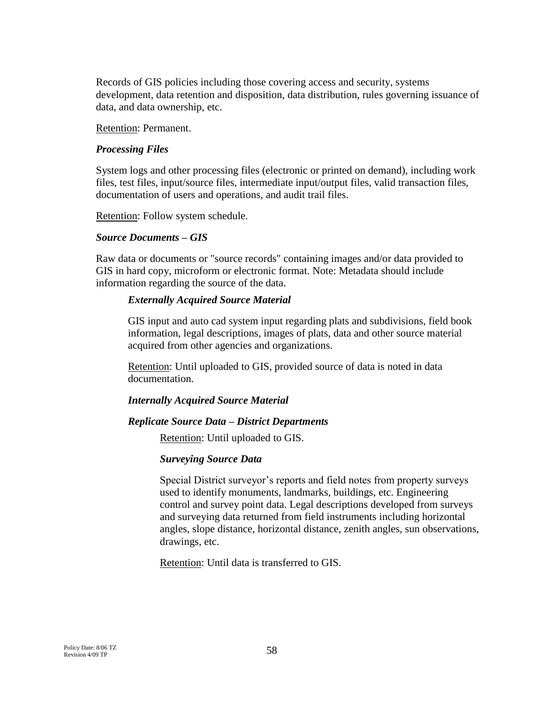Records of GIS policies including those covering access and security, systems development, data retention and disposition, data distribution, rules governing issuance of data, and data ownership, etc.

Retention: Permanent.

### *Processing Files*

System logs and other processing files (electronic or printed on demand), including work files, test files, input/source files, intermediate input/output files, valid transaction files, documentation of users and operations, and audit trail files.

Retention: Follow system schedule.

#### *Source Documents – GIS*

Raw data or documents or "source records" containing images and/or data provided to GIS in hard copy, microform or electronic format. Note: Metadata should include information regarding the source of the data.

### *Externally Acquired Source Material*

GIS input and auto cad system input regarding plats and subdivisions, field book information, legal descriptions, images of plats, data and other source material acquired from other agencies and organizations.

Retention: Until uploaded to GIS, provided source of data is noted in data documentation.

### *Internally Acquired Source Material*

### *Replicate Source Data – District Departments*

Retention: Until uploaded to GIS.

### *Surveying Source Data*

Special District surveyor's reports and field notes from property surveys used to identify monuments, landmarks, buildings, etc. Engineering control and survey point data. Legal descriptions developed from surveys and surveying data returned from field instruments including horizontal angles, slope distance, horizontal distance, zenith angles, sun observations, drawings, etc.

Retention: Until data is transferred to GIS.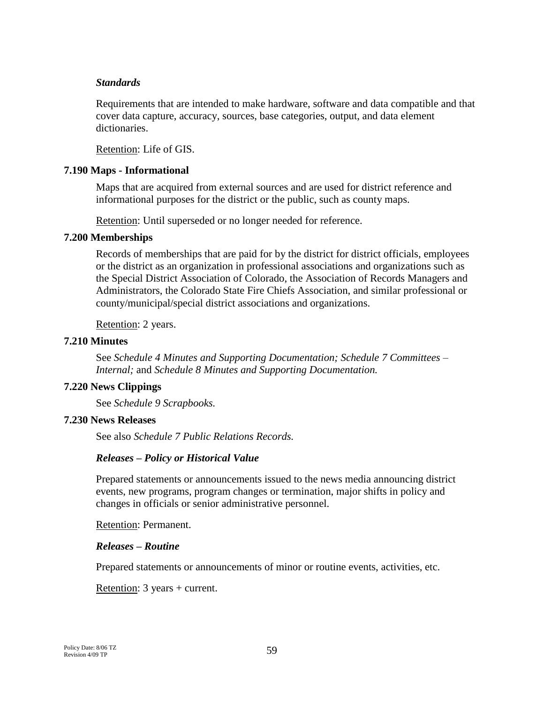#### *Standards*

Requirements that are intended to make hardware, software and data compatible and that cover data capture, accuracy, sources, base categories, output, and data element dictionaries.

Retention: Life of GIS.

#### **7.190 Maps - Informational**

Maps that are acquired from external sources and are used for district reference and informational purposes for the district or the public, such as county maps.

Retention: Until superseded or no longer needed for reference.

#### **7.200 Memberships**

Records of memberships that are paid for by the district for district officials, employees or the district as an organization in professional associations and organizations such as the Special District Association of Colorado, the Association of Records Managers and Administrators, the Colorado State Fire Chiefs Association, and similar professional or county/municipal/special district associations and organizations.

Retention: 2 years.

#### **7.210 Minutes**

See *Schedule 4 Minutes and Supporting Documentation; Schedule 7 Committees – Internal;* and *Schedule 8 Minutes and Supporting Documentation.*

#### **7.220 News Clippings**

See *Schedule 9 Scrapbooks.*

#### **7.230 News Releases**

See also *Schedule 7 Public Relations Records.*

### *Releases – Policy or Historical Value*

Prepared statements or announcements issued to the news media announcing district events, new programs, program changes or termination, major shifts in policy and changes in officials or senior administrative personnel.

Retention: Permanent.

#### *Releases – Routine*

Prepared statements or announcements of minor or routine events, activities, etc.

Retention: 3 years + current.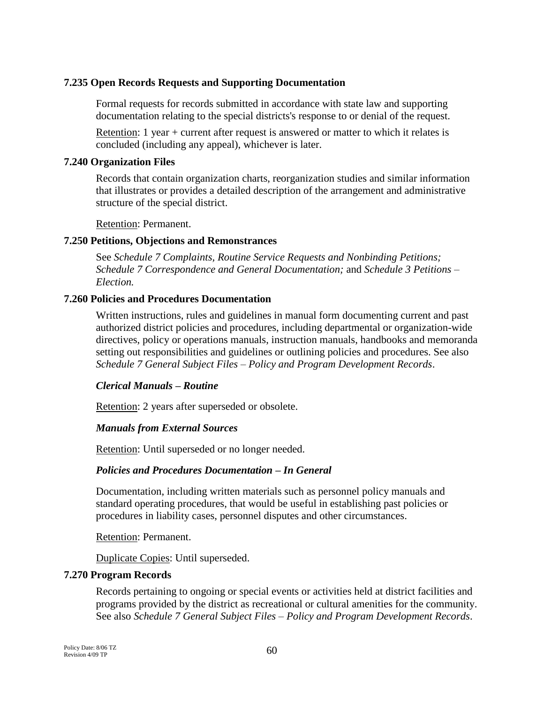### **7.235 Open Records Requests and Supporting Documentation**

Formal requests for records submitted in accordance with state law and supporting documentation relating to the special districts's response to or denial of the request.

Retention: 1 year + current after request is answered or matter to which it relates is concluded (including any appeal), whichever is later.

### **7.240 Organization Files**

Records that contain organization charts, reorganization studies and similar information that illustrates or provides a detailed description of the arrangement and administrative structure of the special district.

Retention: Permanent.

### **7.250 Petitions, Objections and Remonstrances**

See *Schedule 7 Complaints, Routine Service Requests and Nonbinding Petitions; Schedule 7 Correspondence and General Documentation;* and *Schedule 3 Petitions – Election.*

### **7.260 Policies and Procedures Documentation**

Written instructions, rules and guidelines in manual form documenting current and past authorized district policies and procedures, including departmental or organization-wide directives, policy or operations manuals, instruction manuals, handbooks and memoranda setting out responsibilities and guidelines or outlining policies and procedures. See also *Schedule 7 General Subject Files – Policy and Program Development Records*.

## *Clerical Manuals – Routine*

Retention: 2 years after superseded or obsolete.

## *Manuals from External Sources*

Retention: Until superseded or no longer needed.

### *Policies and Procedures Documentation – In General*

Documentation, including written materials such as personnel policy manuals and standard operating procedures, that would be useful in establishing past policies or procedures in liability cases, personnel disputes and other circumstances.

### Retention: Permanent.

Duplicate Copies: Until superseded.

### **7.270 Program Records**

Records pertaining to ongoing or special events or activities held at district facilities and programs provided by the district as recreational or cultural amenities for the community. See also *Schedule 7 General Subject Files – Policy and Program Development Records*.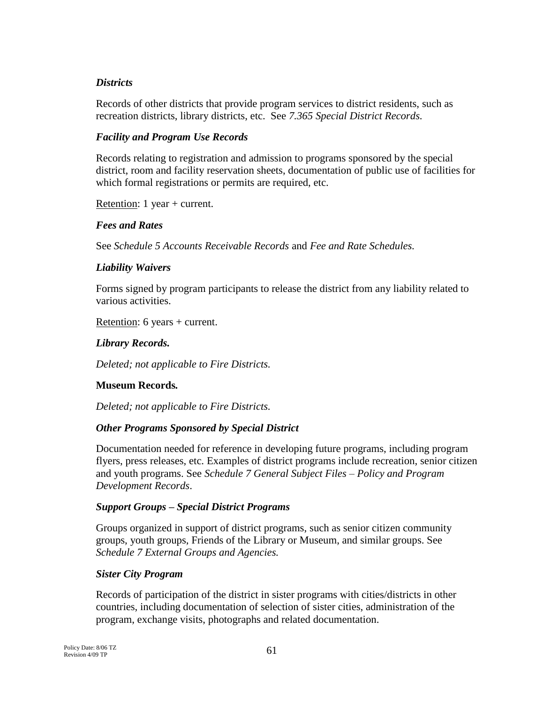### *Districts*

Records of other districts that provide program services to district residents, such as recreation districts, library districts, etc. See *7.365 Special District Records.* 

### *Facility and Program Use Records*

Records relating to registration and admission to programs sponsored by the special district, room and facility reservation sheets, documentation of public use of facilities for which formal registrations or permits are required, etc.

Retention: 1 year + current.

### *Fees and Rates*

See *Schedule 5 Accounts Receivable Records* and *Fee and Rate Schedules.*

### *Liability Waivers*

Forms signed by program participants to release the district from any liability related to various activities.

Retention: 6 years + current.

### *Library Records.*

*Deleted; not applicable to Fire Districts.*

## **Museum Records***.*

*Deleted; not applicable to Fire Districts.*

## *Other Programs Sponsored by Special District*

Documentation needed for reference in developing future programs, including program flyers, press releases, etc. Examples of district programs include recreation, senior citizen and youth programs. See *Schedule 7 General Subject Files – Policy and Program Development Records*.

### *Support Groups – Special District Programs*

Groups organized in support of district programs, such as senior citizen community groups, youth groups, Friends of the Library or Museum, and similar groups. See *Schedule 7 External Groups and Agencies.*

### *Sister City Program*

Records of participation of the district in sister programs with cities/districts in other countries, including documentation of selection of sister cities, administration of the program, exchange visits, photographs and related documentation.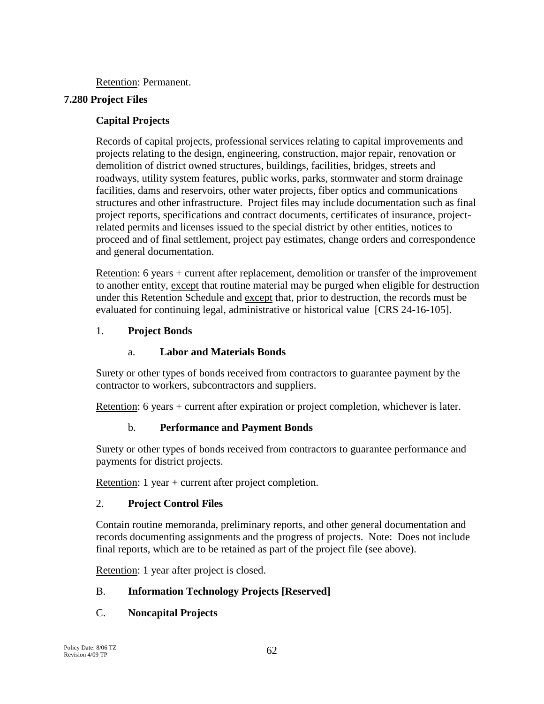Retention: Permanent.

## **7.280 Project Files**

## **Capital Projects**

Records of capital projects, professional services relating to capital improvements and projects relating to the design, engineering, construction, major repair, renovation or demolition of district owned structures, buildings, facilities, bridges, streets and roadways, utility system features, public works, parks, stormwater and storm drainage facilities, dams and reservoirs, other water projects, fiber optics and communications structures and other infrastructure. Project files may include documentation such as final project reports, specifications and contract documents, certificates of insurance, projectrelated permits and licenses issued to the special district by other entities, notices to proceed and of final settlement, project pay estimates, change orders and correspondence and general documentation.

Retention: 6 years + current after replacement, demolition or transfer of the improvement to another entity, except that routine material may be purged when eligible for destruction under this Retention Schedule and except that, prior to destruction, the records must be evaluated for continuing legal, administrative or historical value [CRS 24-16-105].

## 1. **Project Bonds**

## a. **Labor and Materials Bonds**

Surety or other types of bonds received from contractors to guarantee payment by the contractor to workers, subcontractors and suppliers.

Retention: 6 years + current after expiration or project completion, whichever is later.

# b. **Performance and Payment Bonds**

Surety or other types of bonds received from contractors to guarantee performance and payments for district projects.

Retention: 1 year + current after project completion.

# 2. **Project Control Files**

Contain routine memoranda, preliminary reports, and other general documentation and records documenting assignments and the progress of projects. Note: Does not include final reports, which are to be retained as part of the project file (see above).

Retention: 1 year after project is closed.

# B. **Information Technology Projects [Reserved]**

# C. **Noncapital Projects**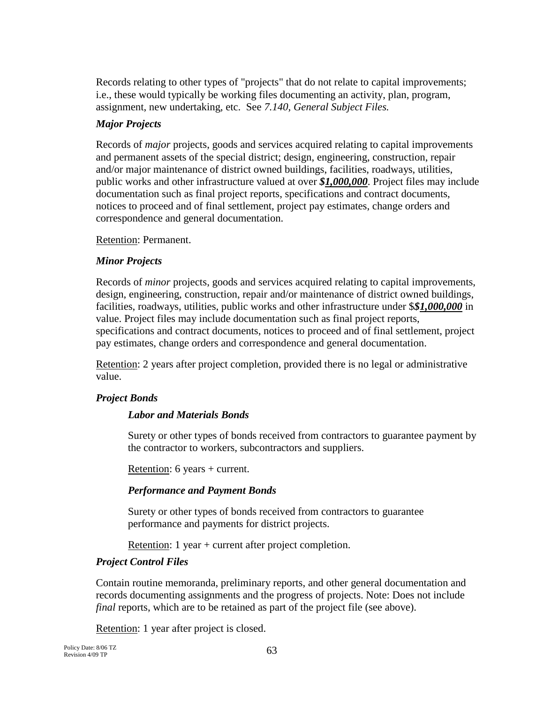Records relating to other types of "projects" that do not relate to capital improvements; i.e., these would typically be working files documenting an activity, plan, program, assignment, new undertaking, etc. See *7.140, General Subject Files.*

## *Major Projects*

Records of *major* projects, goods and services acquired relating to capital improvements and permanent assets of the special district; design, engineering, construction, repair and/or major maintenance of district owned buildings, facilities, roadways, utilities, public works and other infrastructure valued at over *\$1,000,000*. Project files may include documentation such as final project reports, specifications and contract documents, notices to proceed and of final settlement, project pay estimates, change orders and correspondence and general documentation.

Retention: Permanent.

## *Minor Projects*

Records of *minor* projects, goods and services acquired relating to capital improvements, design, engineering, construction, repair and/or maintenance of district owned buildings, facilities, roadways, utilities, public works and other infrastructure under \$*\$1,000,000* in value. Project files may include documentation such as final project reports, specifications and contract documents, notices to proceed and of final settlement, project pay estimates, change orders and correspondence and general documentation.

Retention: 2 years after project completion, provided there is no legal or administrative value.

## *Project Bonds*

# *Labor and Materials Bonds*

Surety or other types of bonds received from contractors to guarantee payment by the contractor to workers, subcontractors and suppliers.

Retention: 6 years + current.

## *Performance and Payment Bonds*

Surety or other types of bonds received from contractors to guarantee performance and payments for district projects.

Retention: 1 year + current after project completion.

## *Project Control Files*

Contain routine memoranda, preliminary reports, and other general documentation and records documenting assignments and the progress of projects. Note: Does not include *final* reports, which are to be retained as part of the project file (see above).

Retention: 1 year after project is closed.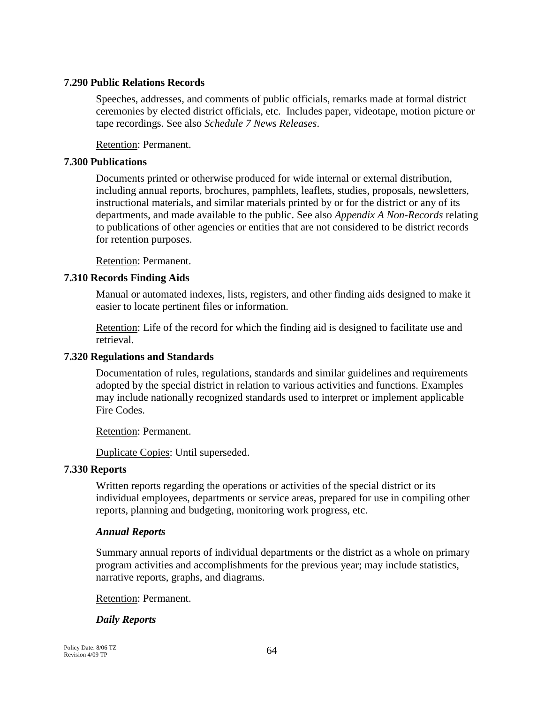### **7.290 Public Relations Records**

Speeches, addresses, and comments of public officials, remarks made at formal district ceremonies by elected district officials, etc. Includes paper, videotape, motion picture or tape recordings. See also *Schedule 7 News Releases*.

Retention: Permanent.

### **7.300 Publications**

Documents printed or otherwise produced for wide internal or external distribution, including annual reports, brochures, pamphlets, leaflets, studies, proposals, newsletters, instructional materials, and similar materials printed by or for the district or any of its departments, and made available to the public. See also *Appendix A Non-Records* relating to publications of other agencies or entities that are not considered to be district records for retention purposes.

Retention: Permanent.

## **7.310 Records Finding Aids**

Manual or automated indexes, lists, registers, and other finding aids designed to make it easier to locate pertinent files or information.

Retention: Life of the record for which the finding aid is designed to facilitate use and retrieval.

## **7.320 Regulations and Standards**

Documentation of rules, regulations, standards and similar guidelines and requirements adopted by the special district in relation to various activities and functions. Examples may include nationally recognized standards used to interpret or implement applicable Fire Codes.

Retention: Permanent.

Duplicate Copies: Until superseded.

### **7.330 Reports**

Written reports regarding the operations or activities of the special district or its individual employees, departments or service areas, prepared for use in compiling other reports, planning and budgeting, monitoring work progress, etc.

## *Annual Reports*

Summary annual reports of individual departments or the district as a whole on primary program activities and accomplishments for the previous year; may include statistics, narrative reports, graphs, and diagrams.

Retention: Permanent.

## *Daily Reports*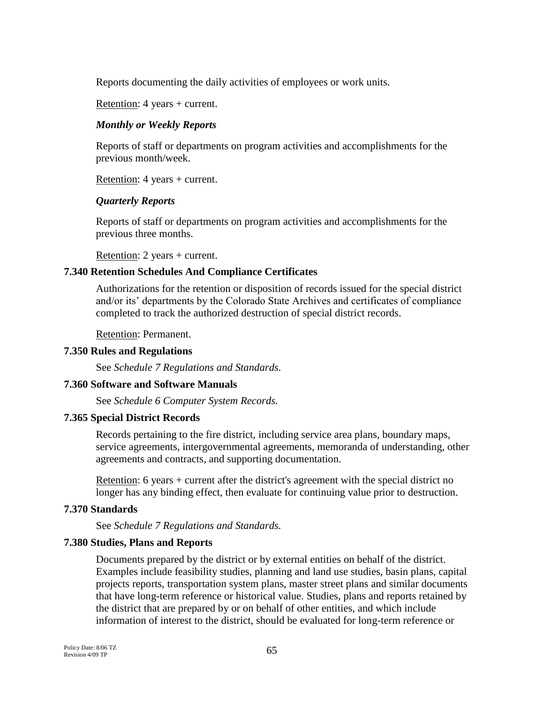Reports documenting the daily activities of employees or work units.

Retention: 4 years + current.

### *Monthly or Weekly Reports*

Reports of staff or departments on program activities and accomplishments for the previous month/week.

Retention: 4 years + current.

### *Quarterly Reports*

Reports of staff or departments on program activities and accomplishments for the previous three months.

Retention: 2 years + current.

### **7.340 Retention Schedules And Compliance Certificates**

Authorizations for the retention or disposition of records issued for the special district and/or its' departments by the Colorado State Archives and certificates of compliance completed to track the authorized destruction of special district records.

Retention: Permanent.

### **7.350 Rules and Regulations**

See *Schedule 7 Regulations and Standards.*

### **7.360 Software and Software Manuals**

See *Schedule 6 Computer System Records.* 

### **7.365 Special District Records**

Records pertaining to the fire district, including service area plans, boundary maps, service agreements, intergovernmental agreements, memoranda of understanding, other agreements and contracts, and supporting documentation.

Retention: 6 years + current after the district's agreement with the special district no longer has any binding effect, then evaluate for continuing value prior to destruction.

### **7.370 Standards**

See *Schedule 7 Regulations and Standards.*

### **7.380 Studies, Plans and Reports**

Documents prepared by the district or by external entities on behalf of the district. Examples include feasibility studies, planning and land use studies, basin plans, capital projects reports, transportation system plans, master street plans and similar documents that have long-term reference or historical value. Studies, plans and reports retained by the district that are prepared by or on behalf of other entities, and which include information of interest to the district, should be evaluated for long-term reference or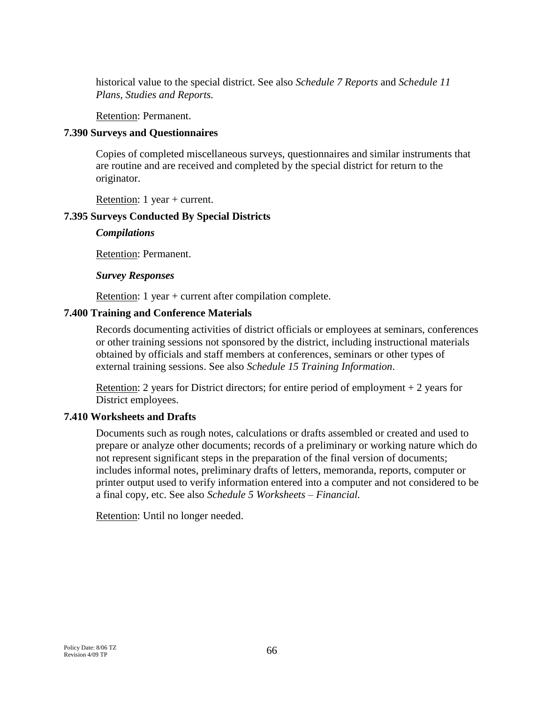historical value to the special district. See also *Schedule 7 Reports* and *Schedule 11 Plans, Studies and Reports.*

Retention: Permanent.

### **7.390 Surveys and Questionnaires**

Copies of completed miscellaneous surveys, questionnaires and similar instruments that are routine and are received and completed by the special district for return to the originator.

Retention: 1 year + current.

### **7.395 Surveys Conducted By Special Districts**

*Compilations*

Retention: Permanent.

#### *Survey Responses*

Retention: 1 year + current after compilation complete.

### **7.400 Training and Conference Materials**

Records documenting activities of district officials or employees at seminars, conferences or other training sessions not sponsored by the district, including instructional materials obtained by officials and staff members at conferences, seminars or other types of external training sessions. See also *Schedule 15 Training Information*.

Retention: 2 years for District directors; for entire period of employment  $+2$  years for District employees.

### **7.410 Worksheets and Drafts**

Documents such as rough notes, calculations or drafts assembled or created and used to prepare or analyze other documents; records of a preliminary or working nature which do not represent significant steps in the preparation of the final version of documents; includes informal notes, preliminary drafts of letters, memoranda, reports, computer or printer output used to verify information entered into a computer and not considered to be a final copy, etc. See also *Schedule 5 Worksheets – Financial.*

Retention: Until no longer needed.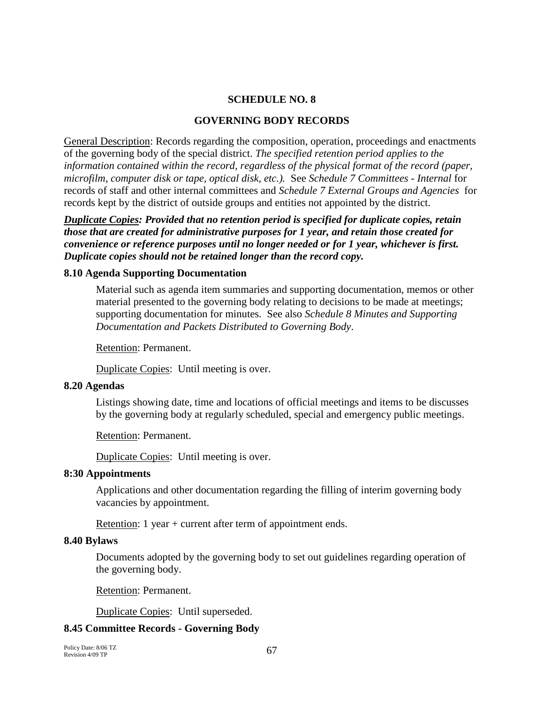#### **SCHEDULE NO. 8**

#### **GOVERNING BODY RECORDS**

General Description: Records regarding the composition, operation, proceedings and enactments of the governing body of the special district. *The specified retention period applies to the information contained within the record, regardless of the physical format of the record (paper, microfilm, computer disk or tape, optical disk, etc.).* See *Schedule 7 Committees - Internal* for records of staff and other internal committees and *Schedule 7 External Groups and Agencies* for records kept by the district of outside groups and entities not appointed by the district.

*Duplicate Copies: Provided that no retention period is specified for duplicate copies, retain those that are created for administrative purposes for 1 year, and retain those created for convenience or reference purposes until no longer needed or for 1 year, whichever is first. Duplicate copies should not be retained longer than the record copy.*

#### **8.10 Agenda Supporting Documentation**

Material such as agenda item summaries and supporting documentation, memos or other material presented to the governing body relating to decisions to be made at meetings; supporting documentation for minutes. See also *Schedule 8 Minutes and Supporting Documentation and Packets Distributed to Governing Body*.

Retention: Permanent.

Duplicate Copies: Until meeting is over.

#### **8.20 Agendas**

Listings showing date, time and locations of official meetings and items to be discusses by the governing body at regularly scheduled, special and emergency public meetings.

Retention: Permanent.

Duplicate Copies: Until meeting is over.

### **8:30 Appointments**

Applications and other documentation regarding the filling of interim governing body vacancies by appointment.

Retention: 1 year + current after term of appointment ends.

#### **8.40 Bylaws**

Documents adopted by the governing body to set out guidelines regarding operation of the governing body.

Retention: Permanent.

Duplicate Copies: Until superseded.

### **8.45 Committee Records - Governing Body**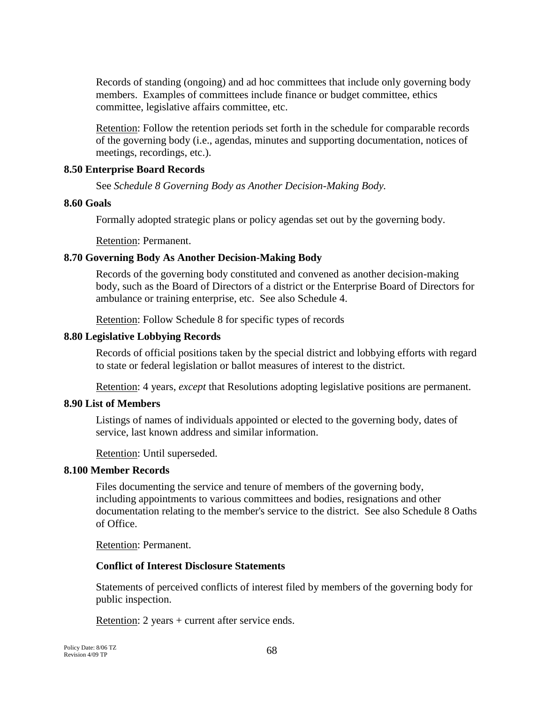Records of standing (ongoing) and ad hoc committees that include only governing body members. Examples of committees include finance or budget committee, ethics committee, legislative affairs committee, etc.

Retention: Follow the retention periods set forth in the schedule for comparable records of the governing body (i.e., agendas, minutes and supporting documentation, notices of meetings, recordings, etc.).

### **8.50 Enterprise Board Records**

See *Schedule 8 Governing Body as Another Decision-Making Body.*

#### **8.60 Goals**

Formally adopted strategic plans or policy agendas set out by the governing body.

Retention: Permanent.

### **8.70 Governing Body As Another Decision-Making Body**

Records of the governing body constituted and convened as another decision-making body, such as the Board of Directors of a district or the Enterprise Board of Directors for ambulance or training enterprise, etc. See also Schedule 4.

Retention: Follow Schedule 8 for specific types of records

#### **8.80 Legislative Lobbying Records**

Records of official positions taken by the special district and lobbying efforts with regard to state or federal legislation or ballot measures of interest to the district.

Retention: 4 years, *except* that Resolutions adopting legislative positions are permanent.

### **8.90 List of Members**

Listings of names of individuals appointed or elected to the governing body, dates of service, last known address and similar information.

Retention: Until superseded.

#### **8.100 Member Records**

Files documenting the service and tenure of members of the governing body, including appointments to various committees and bodies, resignations and other documentation relating to the member's service to the district. See also Schedule 8 Oaths of Office.

Retention: Permanent.

### **Conflict of Interest Disclosure Statements**

Statements of perceived conflicts of interest filed by members of the governing body for public inspection.

Retention: 2 years + current after service ends.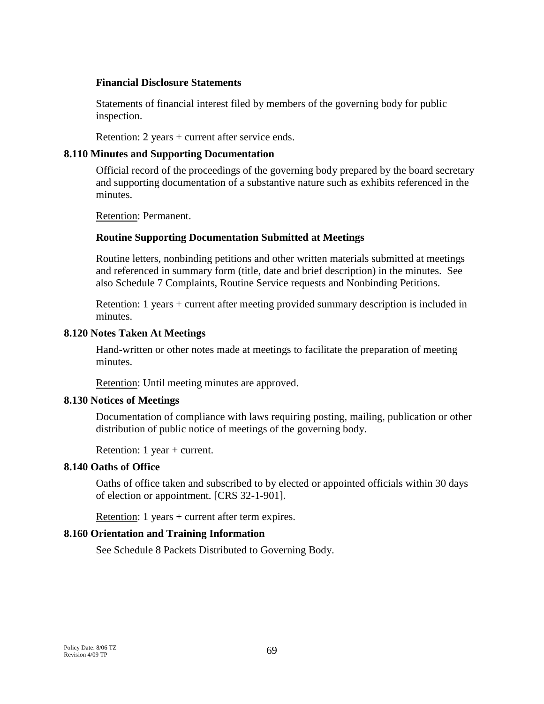#### **Financial Disclosure Statements**

Statements of financial interest filed by members of the governing body for public inspection.

Retention: 2 years + current after service ends.

#### **8.110 Minutes and Supporting Documentation**

Official record of the proceedings of the governing body prepared by the board secretary and supporting documentation of a substantive nature such as exhibits referenced in the minutes.

Retention: Permanent.

### **Routine Supporting Documentation Submitted at Meetings**

Routine letters, nonbinding petitions and other written materials submitted at meetings and referenced in summary form (title, date and brief description) in the minutes. See also Schedule 7 Complaints, Routine Service requests and Nonbinding Petitions.

Retention: 1 years + current after meeting provided summary description is included in minutes.

#### **8.120 Notes Taken At Meetings**

Hand-written or other notes made at meetings to facilitate the preparation of meeting minutes.

Retention: Until meeting minutes are approved.

### **8.130 Notices of Meetings**

Documentation of compliance with laws requiring posting, mailing, publication or other distribution of public notice of meetings of the governing body.

Retention: 1 year + current.

### **8.140 Oaths of Office**

Oaths of office taken and subscribed to by elected or appointed officials within 30 days of election or appointment. [CRS 32-1-901].

Retention: 1 years + current after term expires.

### **8.160 Orientation and Training Information**

See Schedule 8 Packets Distributed to Governing Body.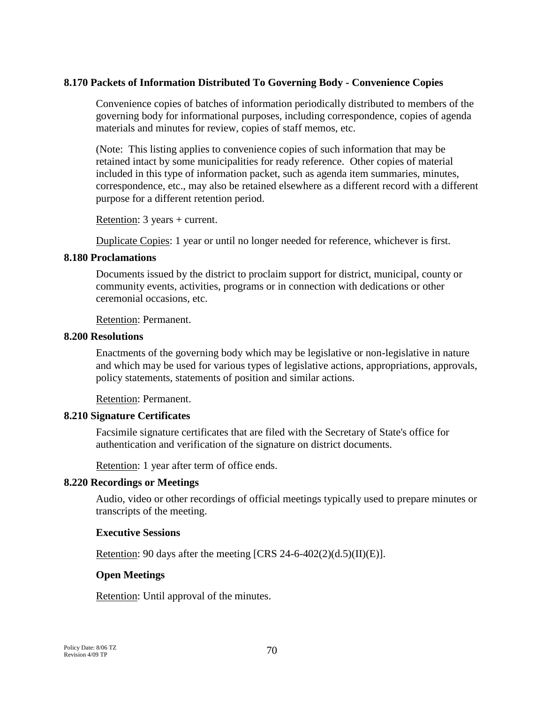### **8.170 Packets of Information Distributed To Governing Body - Convenience Copies**

Convenience copies of batches of information periodically distributed to members of the governing body for informational purposes, including correspondence, copies of agenda materials and minutes for review, copies of staff memos, etc.

(Note: This listing applies to convenience copies of such information that may be retained intact by some municipalities for ready reference. Other copies of material included in this type of information packet, such as agenda item summaries, minutes, correspondence, etc., may also be retained elsewhere as a different record with a different purpose for a different retention period.

Retention: 3 years + current.

Duplicate Copies: 1 year or until no longer needed for reference, whichever is first.

#### **8.180 Proclamations**

Documents issued by the district to proclaim support for district, municipal, county or community events, activities, programs or in connection with dedications or other ceremonial occasions, etc.

Retention: Permanent.

#### **8.200 Resolutions**

Enactments of the governing body which may be legislative or non-legislative in nature and which may be used for various types of legislative actions, appropriations, approvals, policy statements, statements of position and similar actions.

Retention: Permanent.

### **8.210 Signature Certificates**

Facsimile signature certificates that are filed with the Secretary of State's office for authentication and verification of the signature on district documents.

Retention: 1 year after term of office ends.

### **8.220 Recordings or Meetings**

Audio, video or other recordings of official meetings typically used to prepare minutes or transcripts of the meeting.

### **Executive Sessions**

Retention: 90 days after the meeting [CRS 24-6-402(2)(d.5)(II)(E)].

### **Open Meetings**

Retention: Until approval of the minutes.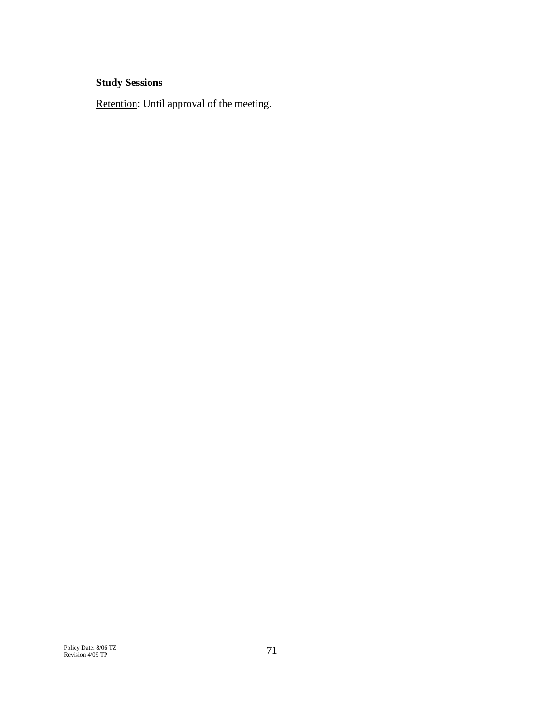# **Study Sessions**

Retention: Until approval of the meeting.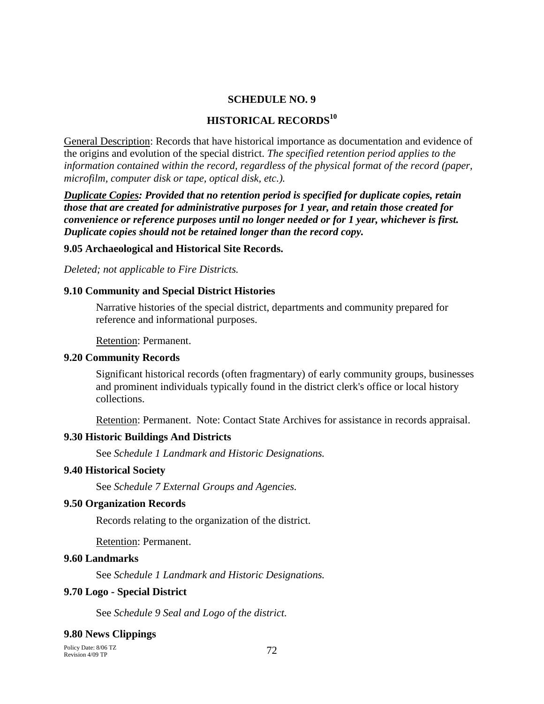#### **SCHEDULE NO. 9**

#### **HISTORICAL RECORDS<sup>10</sup>**

General Description: Records that have historical importance as documentation and evidence of the origins and evolution of the special district. *The specified retention period applies to the information contained within the record, regardless of the physical format of the record (paper, microfilm, computer disk or tape, optical disk, etc.).*

*Duplicate Copies: Provided that no retention period is specified for duplicate copies, retain those that are created for administrative purposes for 1 year, and retain those created for convenience or reference purposes until no longer needed or for 1 year, whichever is first. Duplicate copies should not be retained longer than the record copy.*

#### **9.05 Archaeological and Historical Site Records.**

*Deleted; not applicable to Fire Districts.*

#### **9.10 Community and Special District Histories**

Narrative histories of the special district, departments and community prepared for reference and informational purposes.

Retention: Permanent.

#### **9.20 Community Records**

Significant historical records (often fragmentary) of early community groups, businesses and prominent individuals typically found in the district clerk's office or local history collections.

Retention: Permanent. Note: Contact State Archives for assistance in records appraisal.

#### **9.30 Historic Buildings And Districts**

See *Schedule 1 Landmark and Historic Designations.*

#### **9.40 Historical Society**

See *Schedule 7 External Groups and Agencies.*

#### **9.50 Organization Records**

Records relating to the organization of the district.

Retention: Permanent.

#### **9.60 Landmarks**

See *Schedule 1 Landmark and Historic Designations.*

#### **9.70 Logo - Special District**

See *Schedule 9 Seal and Logo of the district.*

#### **9.80 News Clippings**

Policy Date: 8/06 TZ Revision 4/09 TP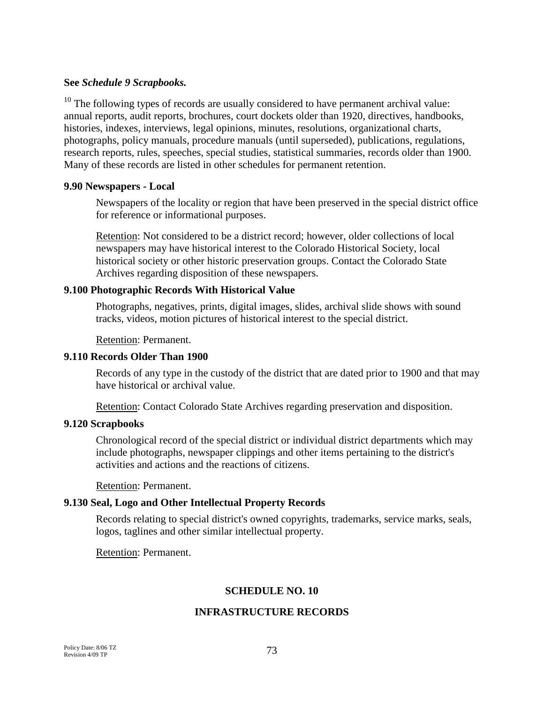#### **See** *Schedule 9 Scrapbooks.*

 $10$  The following types of records are usually considered to have permanent archival value: annual reports, audit reports, brochures, court dockets older than 1920, directives, handbooks, histories, indexes, interviews, legal opinions, minutes, resolutions, organizational charts, photographs, policy manuals, procedure manuals (until superseded), publications, regulations, research reports, rules, speeches, special studies, statistical summaries, records older than 1900. Many of these records are listed in other schedules for permanent retention.

#### **9.90 Newspapers - Local**

Newspapers of the locality or region that have been preserved in the special district office for reference or informational purposes.

Retention: Not considered to be a district record; however, older collections of local newspapers may have historical interest to the Colorado Historical Society, local historical society or other historic preservation groups. Contact the Colorado State Archives regarding disposition of these newspapers.

#### **9.100 Photographic Records With Historical Value**

Photographs, negatives, prints, digital images, slides, archival slide shows with sound tracks, videos, motion pictures of historical interest to the special district.

Retention: Permanent.

### **9.110 Records Older Than 1900**

Records of any type in the custody of the district that are dated prior to 1900 and that may have historical or archival value.

Retention: Contact Colorado State Archives regarding preservation and disposition.

#### **9.120 Scrapbooks**

Chronological record of the special district or individual district departments which may include photographs, newspaper clippings and other items pertaining to the district's activities and actions and the reactions of citizens.

Retention: Permanent.

### **9.130 Seal, Logo and Other Intellectual Property Records**

Records relating to special district's owned copyrights, trademarks, service marks, seals, logos, taglines and other similar intellectual property.

Retention: Permanent.

### **SCHEDULE NO. 10**

### **INFRASTRUCTURE RECORDS**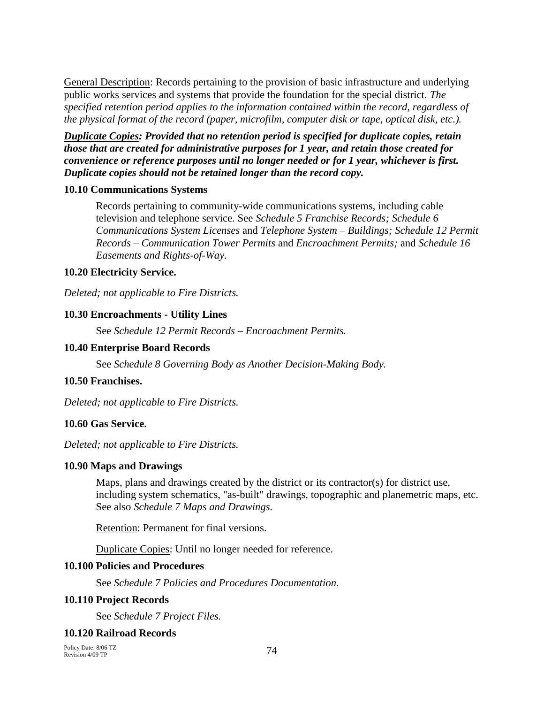General Description: Records pertaining to the provision of basic infrastructure and underlying public works services and systems that provide the foundation for the special district. *The specified retention period applies to the information contained within the record, regardless of the physical format of the record (paper, microfilm, computer disk or tape, optical disk, etc.).*

*Duplicate Copies: Provided that no retention period is specified for duplicate copies, retain those that are created for administrative purposes for 1 year, and retain those created for convenience or reference purposes until no longer needed or for 1 year, whichever is first. Duplicate copies should not be retained longer than the record copy.*

### **10.10 Communications Systems**

Records pertaining to community-wide communications systems, including cable television and telephone service. See *Schedule 5 Franchise Records; Schedule 6 Communications System Licenses* and *Telephone System – Buildings; Schedule 12 Permit Records – Communication Tower Permits* and *Encroachment Permits;* and *Schedule 16 Easements and Rights-of-Way.*

### **10.20 Electricity Service.**

*Deleted; not applicable to Fire Districts.*

### **10.30 Encroachments - Utility Lines**

See *Schedule 12 Permit Records – Encroachment Permits.*

#### **10.40 Enterprise Board Records**

See *Schedule 8 Governing Body as Another Decision-Making Body.*

## **10.50 Franchises.**

*Deleted; not applicable to Fire Districts.*

### **10.60 Gas Service.**

*Deleted; not applicable to Fire Districts.*

### **10.90 Maps and Drawings**

Maps, plans and drawings created by the district or its contractor(s) for district use, including system schematics, "as-built" drawings, topographic and planemetric maps, etc. See also *Schedule 7 Maps and Drawings.*

Retention: Permanent for final versions.

Duplicate Copies: Until no longer needed for reference.

#### **10.100 Policies and Procedures**

See *Schedule 7 Policies and Procedures Documentation.*

#### **10.110 Project Records**

See *Schedule 7 Project Files.*

### **10.120 Railroad Records**

Policy Date: 8/06 TZ Revision 4/09 TP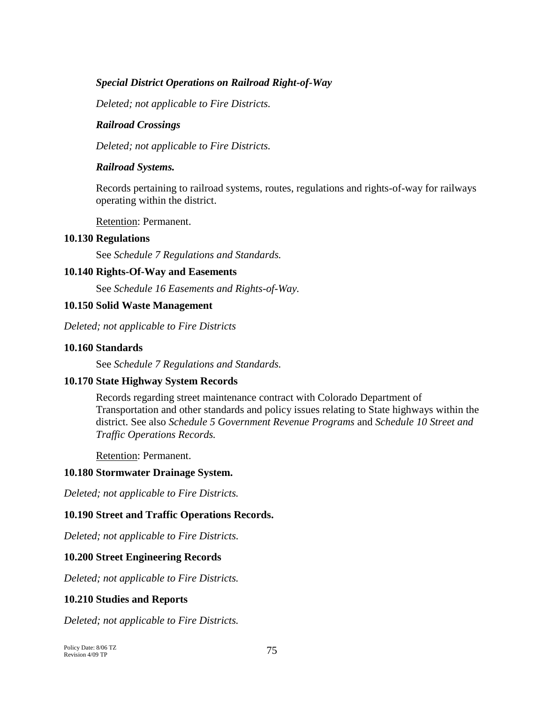## *Special District Operations on Railroad Right-of-Way*

*Deleted; not applicable to Fire Districts.*

#### *Railroad Crossings*

*Deleted; not applicable to Fire Districts.*

#### *Railroad Systems.*

Records pertaining to railroad systems, routes, regulations and rights-of-way for railways operating within the district.

Retention: Permanent.

#### **10.130 Regulations**

See *Schedule 7 Regulations and Standards.*

### **10.140 Rights-Of-Way and Easements**

See *Schedule 16 Easements and Rights-of-Way.*

#### **10.150 Solid Waste Management**

*Deleted; not applicable to Fire Districts*

#### **10.160 Standards**

See *Schedule 7 Regulations and Standards.*

### **10.170 State Highway System Records**

Records regarding street maintenance contract with Colorado Department of Transportation and other standards and policy issues relating to State highways within the district. See also *Schedule 5 Government Revenue Programs* and *Schedule 10 Street and Traffic Operations Records.*

Retention: Permanent.

#### **10.180 Stormwater Drainage System.**

*Deleted; not applicable to Fire Districts.*

### **10.190 Street and Traffic Operations Records.**

*Deleted; not applicable to Fire Districts.*

### **10.200 Street Engineering Records**

*Deleted; not applicable to Fire Districts.*

### **10.210 Studies and Reports**

*Deleted; not applicable to Fire Districts.*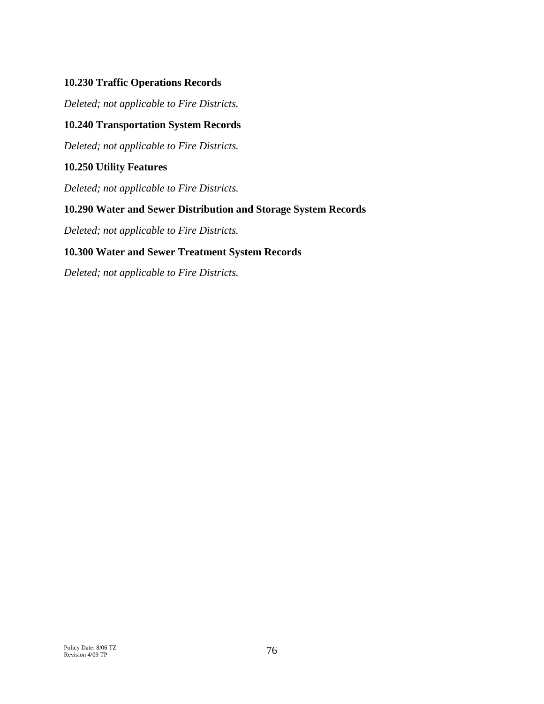# **10.230 Traffic Operations Records**

*Deleted; not applicable to Fire Districts.*

# **10.240 Transportation System Records**

*Deleted; not applicable to Fire Districts.*

# **10.250 Utility Features**

*Deleted; not applicable to Fire Districts.*

# **10.290 Water and Sewer Distribution and Storage System Records**

*Deleted; not applicable to Fire Districts.*

# **10.300 Water and Sewer Treatment System Records**

*Deleted; not applicable to Fire Districts.*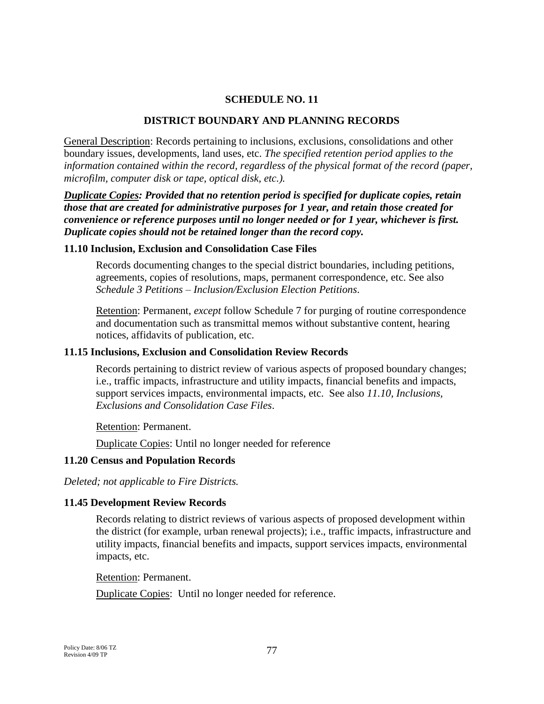#### **SCHEDULE NO. 11**

#### **DISTRICT BOUNDARY AND PLANNING RECORDS**

General Description: Records pertaining to inclusions, exclusions, consolidations and other boundary issues, developments, land uses, etc. *The specified retention period applies to the information contained within the record, regardless of the physical format of the record (paper, microfilm, computer disk or tape, optical disk, etc.).*

*Duplicate Copies: Provided that no retention period is specified for duplicate copies, retain those that are created for administrative purposes for 1 year, and retain those created for convenience or reference purposes until no longer needed or for 1 year, whichever is first. Duplicate copies should not be retained longer than the record copy.*

#### **11.10 Inclusion, Exclusion and Consolidation Case Files**

Records documenting changes to the special district boundaries, including petitions, agreements, copies of resolutions, maps, permanent correspondence, etc. See also *Schedule 3 Petitions – Inclusion/Exclusion Election Petitions*.

Retention: Permanent, *except* follow Schedule 7 for purging of routine correspondence and documentation such as transmittal memos without substantive content, hearing notices, affidavits of publication, etc.

#### **11.15 Inclusions, Exclusion and Consolidation Review Records**

Records pertaining to district review of various aspects of proposed boundary changes; i.e., traffic impacts, infrastructure and utility impacts, financial benefits and impacts, support services impacts, environmental impacts, etc. See also *11.10, Inclusions, Exclusions and Consolidation Case Files*.

Retention: Permanent.

Duplicate Copies: Until no longer needed for reference

#### **11.20 Census and Population Records**

*Deleted; not applicable to Fire Districts.*

#### **11.45 Development Review Records**

Records relating to district reviews of various aspects of proposed development within the district (for example, urban renewal projects); i.e., traffic impacts, infrastructure and utility impacts, financial benefits and impacts, support services impacts, environmental impacts, etc.

Retention: Permanent.

Duplicate Copies: Until no longer needed for reference.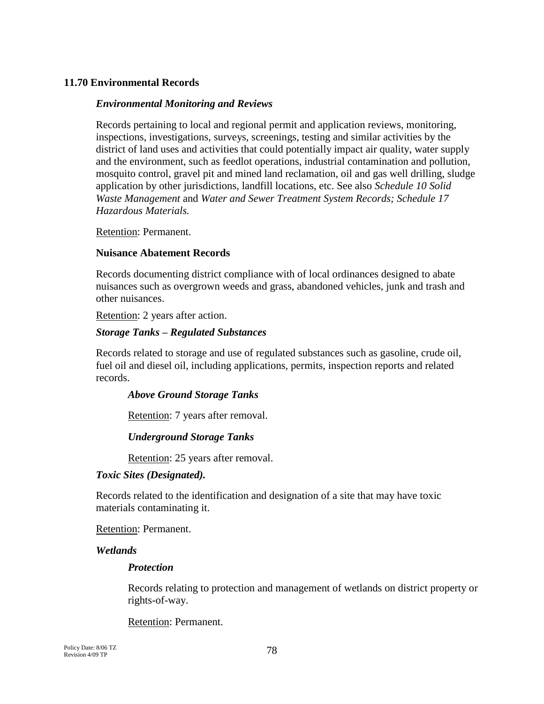### **11.70 Environmental Records**

#### *Environmental Monitoring and Reviews*

Records pertaining to local and regional permit and application reviews, monitoring, inspections, investigations, surveys, screenings, testing and similar activities by the district of land uses and activities that could potentially impact air quality, water supply and the environment, such as feedlot operations, industrial contamination and pollution, mosquito control, gravel pit and mined land reclamation, oil and gas well drilling, sludge application by other jurisdictions, landfill locations, etc. See also *Schedule 10 Solid Waste Management* and *Water and Sewer Treatment System Records; Schedule 17 Hazardous Materials.*

Retention: Permanent.

#### **Nuisance Abatement Records**

Records documenting district compliance with of local ordinances designed to abate nuisances such as overgrown weeds and grass, abandoned vehicles, junk and trash and other nuisances.

Retention: 2 years after action.

### *Storage Tanks – Regulated Substances*

Records related to storage and use of regulated substances such as gasoline, crude oil, fuel oil and diesel oil, including applications, permits, inspection reports and related records.

### *Above Ground Storage Tanks*

Retention: 7 years after removal.

### *Underground Storage Tanks*

Retention: 25 years after removal.

### *Toxic Sites (Designated).*

Records related to the identification and designation of a site that may have toxic materials contaminating it.

Retention: Permanent.

#### *Wetlands*

### *Protection*

Records relating to protection and management of wetlands on district property or rights-of-way.

Retention: Permanent.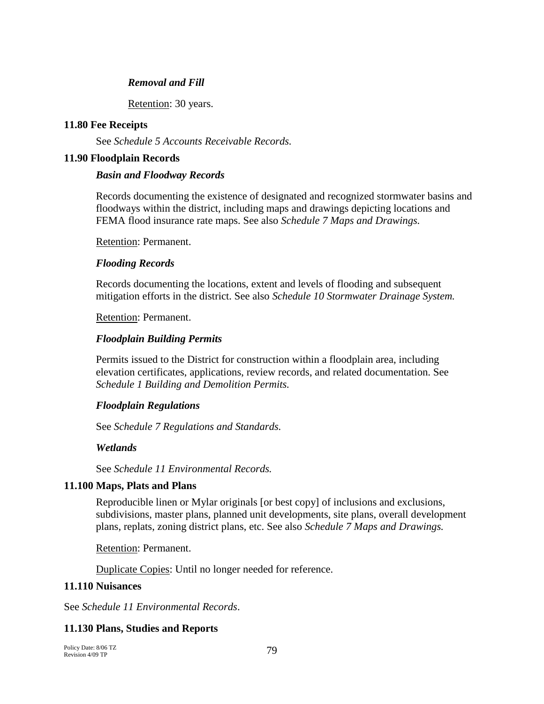### *Removal and Fill*

Retention: 30 years.

### **11.80 Fee Receipts**

See *Schedule 5 Accounts Receivable Records.*

### **11.90 Floodplain Records**

### *Basin and Floodway Records*

Records documenting the existence of designated and recognized stormwater basins and floodways within the district, including maps and drawings depicting locations and FEMA flood insurance rate maps. See also *Schedule 7 Maps and Drawings.*

Retention: Permanent.

### *Flooding Records*

Records documenting the locations, extent and levels of flooding and subsequent mitigation efforts in the district. See also *Schedule 10 Stormwater Drainage System.*

Retention: Permanent.

# *Floodplain Building Permits*

Permits issued to the District for construction within a floodplain area, including elevation certificates, applications, review records, and related documentation. See *Schedule 1 Building and Demolition Permits.*

# *Floodplain Regulations*

See *Schedule 7 Regulations and Standards.*

# *Wetlands*

See *Schedule 11 Environmental Records.*

# **11.100 Maps, Plats and Plans**

Reproducible linen or Mylar originals [or best copy] of inclusions and exclusions, subdivisions, master plans, planned unit developments, site plans, overall development plans, replats, zoning district plans, etc. See also *Schedule 7 Maps and Drawings.*

Retention: Permanent.

Duplicate Copies: Until no longer needed for reference.

### **11.110 Nuisances**

See *Schedule 11 Environmental Records*.

# **11.130 Plans, Studies and Reports**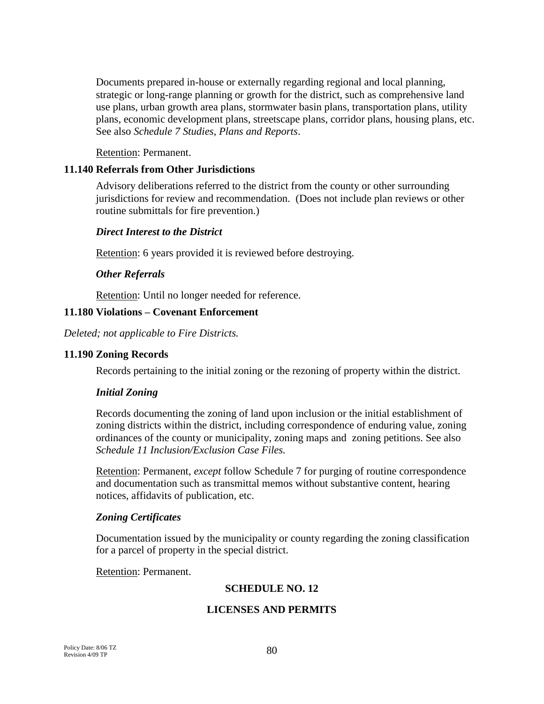Documents prepared in-house or externally regarding regional and local planning, strategic or long-range planning or growth for the district, such as comprehensive land use plans, urban growth area plans, stormwater basin plans, transportation plans, utility plans, economic development plans, streetscape plans, corridor plans, housing plans, etc. See also *Schedule 7 Studies, Plans and Reports*.

Retention: Permanent.

# **11.140 Referrals from Other Jurisdictions**

Advisory deliberations referred to the district from the county or other surrounding jurisdictions for review and recommendation. (Does not include plan reviews or other routine submittals for fire prevention.)

## *Direct Interest to the District*

Retention: 6 years provided it is reviewed before destroying.

# *Other Referrals*

Retention: Until no longer needed for reference.

# **11.180 Violations – Covenant Enforcement**

*Deleted; not applicable to Fire Districts.*

### **11.190 Zoning Records**

Records pertaining to the initial zoning or the rezoning of property within the district.

### *Initial Zoning*

Records documenting the zoning of land upon inclusion or the initial establishment of zoning districts within the district, including correspondence of enduring value, zoning ordinances of the county or municipality, zoning maps and zoning petitions. See also *Schedule 11 Inclusion/Exclusion Case Files.*

Retention: Permanent, *except* follow Schedule 7 for purging of routine correspondence and documentation such as transmittal memos without substantive content, hearing notices, affidavits of publication, etc.

### *Zoning Certificates*

Documentation issued by the municipality or county regarding the zoning classification for a parcel of property in the special district.

Retention: Permanent.

# **SCHEDULE NO. 12**

# **LICENSES AND PERMITS**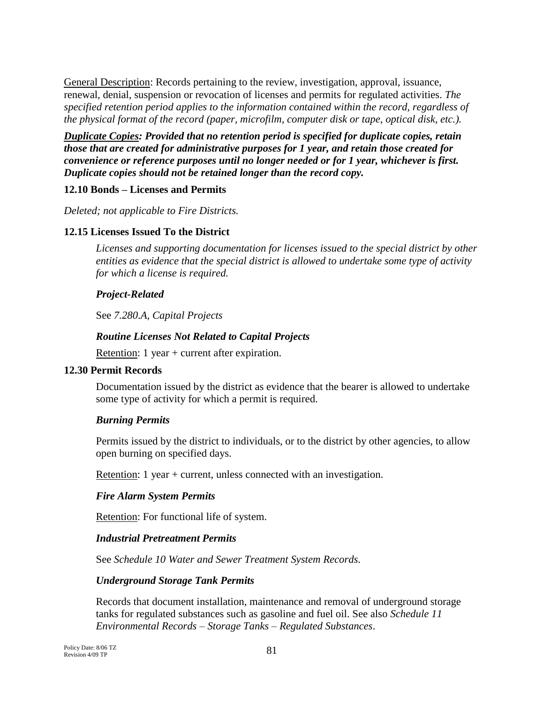General Description: Records pertaining to the review, investigation, approval, issuance, renewal, denial, suspension or revocation of licenses and permits for regulated activities. *The specified retention period applies to the information contained within the record, regardless of the physical format of the record (paper, microfilm, computer disk or tape, optical disk, etc.).*

*Duplicate Copies: Provided that no retention period is specified for duplicate copies, retain those that are created for administrative purposes for 1 year, and retain those created for convenience or reference purposes until no longer needed or for 1 year, whichever is first. Duplicate copies should not be retained longer than the record copy.*

# **12.10 Bonds – Licenses and Permits**

*Deleted; not applicable to Fire Districts.*

## **12.15 Licenses Issued To the District**

*Licenses and supporting documentation for licenses issued to the special district by other entities as evidence that the special district is allowed to undertake some type of activity for which a license is required.*

## *Project-Related*

See *7.280*.*A, Capital Projects*

## *Routine Licenses Not Related to Capital Projects*

Retention: 1 year + current after expiration.

### **12.30 Permit Records**

Documentation issued by the district as evidence that the bearer is allowed to undertake some type of activity for which a permit is required.

### *Burning Permits*

Permits issued by the district to individuals, or to the district by other agencies, to allow open burning on specified days.

Retention: 1 year + current, unless connected with an investigation.

### *Fire Alarm System Permits*

Retention: For functional life of system.

### *Industrial Pretreatment Permits*

See *Schedule 10 Water and Sewer Treatment System Records.*

### *Underground Storage Tank Permits*

Records that document installation, maintenance and removal of underground storage tanks for regulated substances such as gasoline and fuel oil. See also *Schedule 11 Environmental Records – Storage Tanks – Regulated Substances*.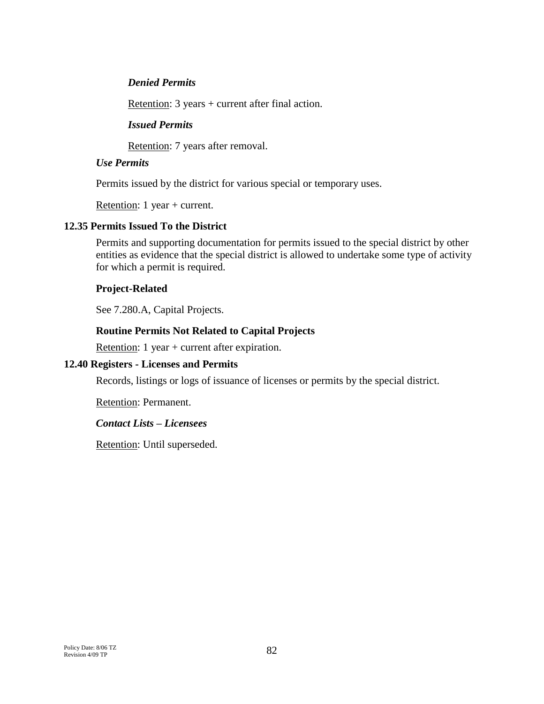### *Denied Permits*

Retention: 3 years + current after final action.

### *Issued Permits*

Retention: 7 years after removal.

### *Use Permits*

Permits issued by the district for various special or temporary uses.

Retention: 1 year + current.

### **12.35 Permits Issued To the District**

Permits and supporting documentation for permits issued to the special district by other entities as evidence that the special district is allowed to undertake some type of activity for which a permit is required.

### **Project-Related**

See 7.280.A, Capital Projects.

## **Routine Permits Not Related to Capital Projects**

Retention: 1 year + current after expiration.

### **12.40 Registers - Licenses and Permits**

Records, listings or logs of issuance of licenses or permits by the special district.

Retention: Permanent.

### *Contact Lists – Licensees*

Retention: Until superseded.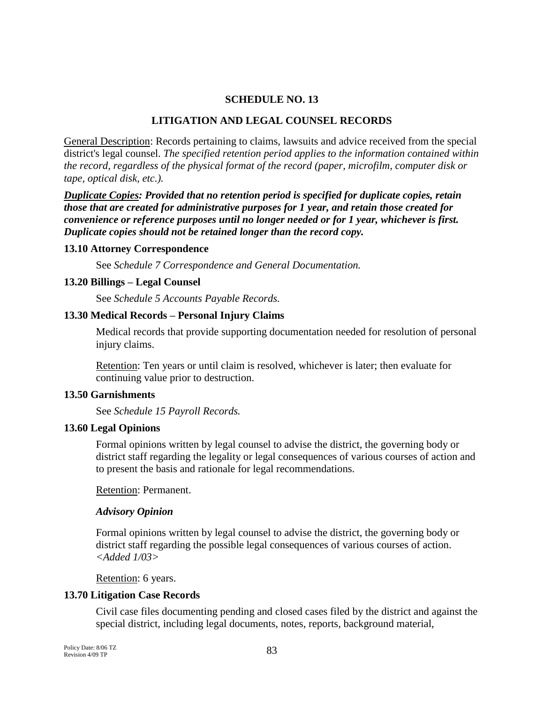#### **SCHEDULE NO. 13**

#### **LITIGATION AND LEGAL COUNSEL RECORDS**

General Description: Records pertaining to claims, lawsuits and advice received from the special district's legal counsel. *The specified retention period applies to the information contained within the record, regardless of the physical format of the record (paper, microfilm, computer disk or tape, optical disk, etc.).*

*Duplicate Copies: Provided that no retention period is specified for duplicate copies, retain those that are created for administrative purposes for 1 year, and retain those created for convenience or reference purposes until no longer needed or for 1 year, whichever is first. Duplicate copies should not be retained longer than the record copy.*

#### **13.10 Attorney Correspondence**

See *Schedule 7 Correspondence and General Documentation.*

#### **13.20 Billings – Legal Counsel**

See *Schedule 5 Accounts Payable Records.*

#### **13.30 Medical Records – Personal Injury Claims**

Medical records that provide supporting documentation needed for resolution of personal injury claims.

Retention: Ten years or until claim is resolved, whichever is later; then evaluate for continuing value prior to destruction.

#### **13.50 Garnishments**

See *Schedule 15 Payroll Records.*

#### **13.60 Legal Opinions**

Formal opinions written by legal counsel to advise the district, the governing body or district staff regarding the legality or legal consequences of various courses of action and to present the basis and rationale for legal recommendations.

Retention: Permanent.

#### *Advisory Opinion*

Formal opinions written by legal counsel to advise the district, the governing body or district staff regarding the possible legal consequences of various courses of action. *<Added 1/03>*

Retention: 6 years.

#### **13.70 Litigation Case Records**

Civil case files documenting pending and closed cases filed by the district and against the special district, including legal documents, notes, reports, background material,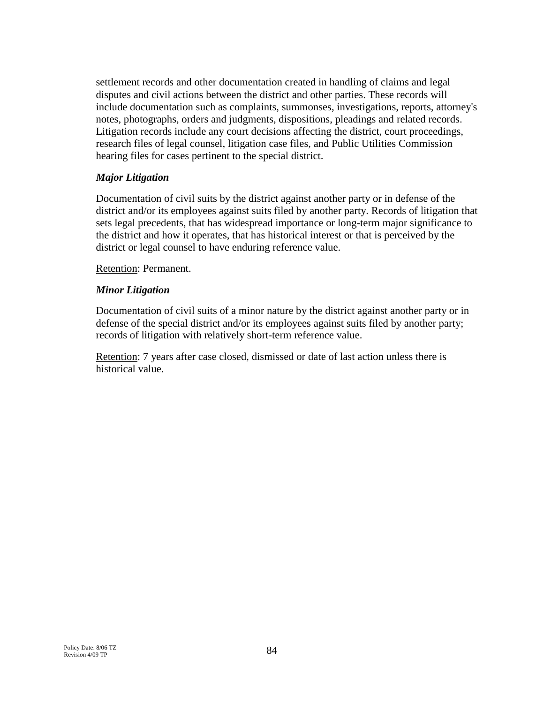settlement records and other documentation created in handling of claims and legal disputes and civil actions between the district and other parties. These records will include documentation such as complaints, summonses, investigations, reports, attorney's notes, photographs, orders and judgments, dispositions, pleadings and related records. Litigation records include any court decisions affecting the district, court proceedings, research files of legal counsel, litigation case files, and Public Utilities Commission hearing files for cases pertinent to the special district.

## *Major Litigation*

Documentation of civil suits by the district against another party or in defense of the district and/or its employees against suits filed by another party. Records of litigation that sets legal precedents, that has widespread importance or long-term major significance to the district and how it operates, that has historical interest or that is perceived by the district or legal counsel to have enduring reference value.

Retention: Permanent.

## *Minor Litigation*

Documentation of civil suits of a minor nature by the district against another party or in defense of the special district and/or its employees against suits filed by another party; records of litigation with relatively short-term reference value.

Retention: 7 years after case closed, dismissed or date of last action unless there is historical value.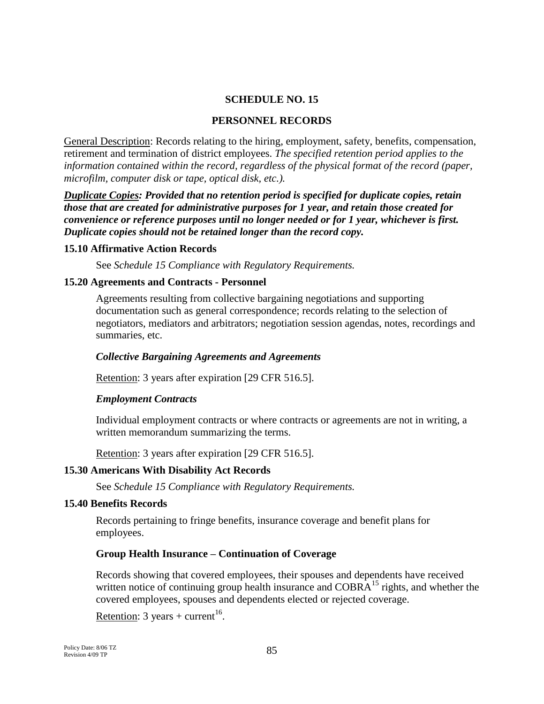#### **SCHEDULE NO. 15**

#### **PERSONNEL RECORDS**

General Description: Records relating to the hiring, employment, safety, benefits, compensation, retirement and termination of district employees. *The specified retention period applies to the information contained within the record, regardless of the physical format of the record (paper, microfilm, computer disk or tape, optical disk, etc.).*

*Duplicate Copies: Provided that no retention period is specified for duplicate copies, retain those that are created for administrative purposes for 1 year, and retain those created for convenience or reference purposes until no longer needed or for 1 year, whichever is first. Duplicate copies should not be retained longer than the record copy.*

#### **15.10 Affirmative Action Records**

See *Schedule 15 Compliance with Regulatory Requirements.*

#### **15.20 Agreements and Contracts - Personnel**

Agreements resulting from collective bargaining negotiations and supporting documentation such as general correspondence; records relating to the selection of negotiators, mediators and arbitrators; negotiation session agendas, notes, recordings and summaries, etc.

#### *Collective Bargaining Agreements and Agreements*

Retention: 3 years after expiration [29 CFR 516.5].

#### *Employment Contracts*

Individual employment contracts or where contracts or agreements are not in writing, a written memorandum summarizing the terms.

Retention: 3 years after expiration [29 CFR 516.5].

### **15.30 Americans With Disability Act Records**

See *Schedule 15 Compliance with Regulatory Requirements.*

#### **15.40 Benefits Records**

Records pertaining to fringe benefits, insurance coverage and benefit plans for employees.

#### **Group Health Insurance – Continuation of Coverage**

Records showing that covered employees, their spouses and dependents have received written notice of continuing group health insurance and  $COBRA<sup>15</sup>$  rights, and whether the covered employees, spouses and dependents elected or rejected coverage.

Retention: 3 years + current<sup>16</sup>.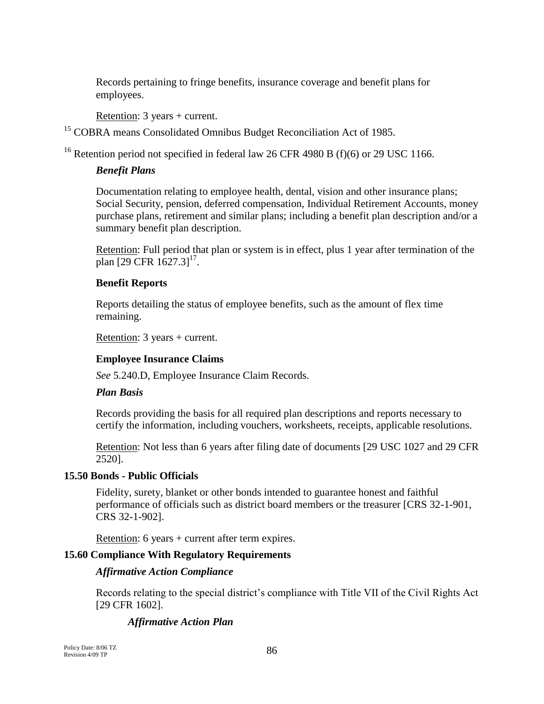Records pertaining to fringe benefits, insurance coverage and benefit plans for employees.

Retention: 3 years + current.

<sup>15</sup> COBRA means Consolidated Omnibus Budget Reconciliation Act of 1985.

<sup>16</sup> Retention period not specified in federal law 26 CFR 4980 B (f)(6) or 29 USC 1166.

# *Benefit Plans*

Documentation relating to employee health, dental, vision and other insurance plans; Social Security, pension, deferred compensation, Individual Retirement Accounts, money purchase plans, retirement and similar plans; including a benefit plan description and/or a summary benefit plan description.

Retention: Full period that plan or system is in effect, plus 1 year after termination of the plan  $[29 \text{ CFR } 1627.3]^{17}$ .

## **Benefit Reports**

Reports detailing the status of employee benefits, such as the amount of flex time remaining.

Retention: 3 years + current.

### **Employee Insurance Claims**

*See* 5.240.D, Employee Insurance Claim Records.

### *Plan Basis*

Records providing the basis for all required plan descriptions and reports necessary to certify the information, including vouchers, worksheets, receipts, applicable resolutions.

Retention: Not less than 6 years after filing date of documents [29 USC 1027 and 29 CFR 2520].

# **15.50 Bonds - Public Officials**

Fidelity, surety, blanket or other bonds intended to guarantee honest and faithful performance of officials such as district board members or the treasurer [CRS 32-1-901, CRS 32-1-902].

Retention: 6 years + current after term expires.

# **15.60 Compliance With Regulatory Requirements**

### *Affirmative Action Compliance*

Records relating to the special district's compliance with Title VII of the Civil Rights Act [29 CFR 1602].

# *Affirmative Action Plan*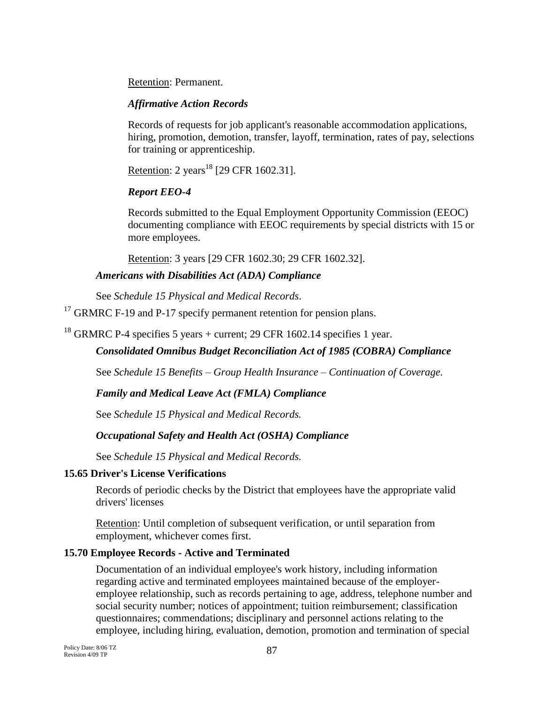Retention: Permanent.

# *Affirmative Action Records*

Records of requests for job applicant's reasonable accommodation applications, hiring, promotion, demotion, transfer, layoff, termination, rates of pay, selections for training or apprenticeship.

Retention: 2 years<sup>18</sup> [29 CFR 1602.31].

# *Report EEO-4*

Records submitted to the Equal Employment Opportunity Commission (EEOC) documenting compliance with EEOC requirements by special districts with 15 or more employees.

Retention: 3 years [29 CFR 1602.30; 29 CFR 1602.32].

# *Americans with Disabilities Act (ADA) Compliance*

See *Schedule 15 Physical and Medical Records*.

 $17$  GRMRC F-19 and P-17 specify permanent retention for pension plans.

<sup>18</sup> GRMRC P-4 specifies 5 years + current; 29 CFR 1602.14 specifies 1 year.

# *Consolidated Omnibus Budget Reconciliation Act of 1985 (COBRA) Compliance*

See *Schedule 15 Benefits – Group Health Insurance – Continuation of Coverage.*

# *Family and Medical Leave Act (FMLA) Compliance*

See *Schedule 15 Physical and Medical Records.*

# *Occupational Safety and Health Act (OSHA) Compliance*

See *Schedule 15 Physical and Medical Records.* 

# **15.65 Driver's License Verifications**

Records of periodic checks by the District that employees have the appropriate valid drivers' licenses

Retention: Until completion of subsequent verification, or until separation from employment, whichever comes first.

# **15.70 Employee Records - Active and Terminated**

Documentation of an individual employee's work history, including information regarding active and terminated employees maintained because of the employeremployee relationship, such as records pertaining to age, address, telephone number and social security number; notices of appointment; tuition reimbursement; classification questionnaires; commendations; disciplinary and personnel actions relating to the employee, including hiring, evaluation, demotion, promotion and termination of special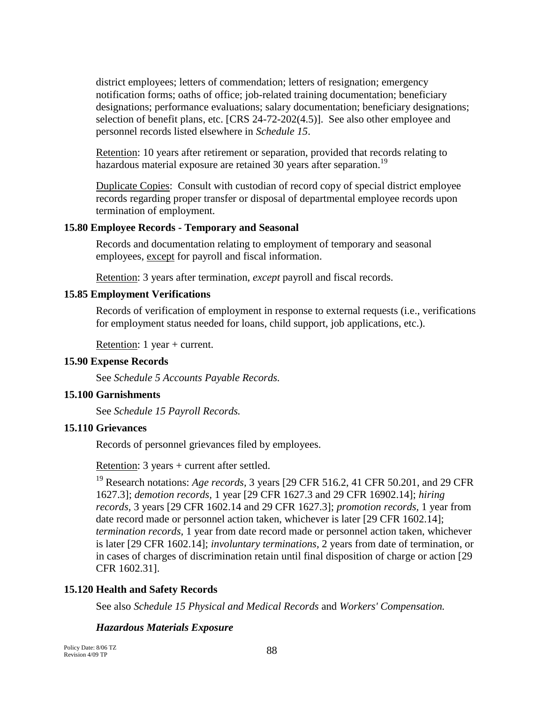district employees; letters of commendation; letters of resignation; emergency notification forms; oaths of office; job-related training documentation; beneficiary designations; performance evaluations; salary documentation; beneficiary designations; selection of benefit plans, etc. [CRS 24-72-202(4.5)]. See also other employee and personnel records listed elsewhere in *Schedule 15*.

Retention: 10 years after retirement or separation, provided that records relating to hazardous material exposure are retained 30 years after separation.<sup>19</sup>

Duplicate Copies: Consult with custodian of record copy of special district employee records regarding proper transfer or disposal of departmental employee records upon termination of employment*.*

### **15.80 Employee Records - Temporary and Seasonal**

Records and documentation relating to employment of temporary and seasonal employees, except for payroll and fiscal information.

Retention: 3 years after termination, *except* payroll and fiscal records.

#### **15.85 Employment Verifications**

Records of verification of employment in response to external requests (i.e., verifications for employment status needed for loans, child support, job applications, etc.).

Retention: 1 year + current.

### **15.90 Expense Records**

See *Schedule 5 Accounts Payable Records.*

#### **15.100 Garnishments**

See *Schedule 15 Payroll Records.*

### **15.110 Grievances**

Records of personnel grievances filed by employees.

Retention: 3 years + current after settled.

<sup>19</sup> Research notations: *Age records*, 3 years [29 CFR 516.2, 41 CFR 50.201, and 29 CFR 1627.3]; *demotion records,* 1 year [29 CFR 1627.3 and 29 CFR 16902.14]; *hiring records,* 3 years [29 CFR 1602.14 and 29 CFR 1627.3]; *promotion records,* 1 year from date record made or personnel action taken, whichever is later [29 CFR 1602.14]; *termination records,* 1 year from date record made or personnel action taken, whichever is later [29 CFR 1602.14]; *involuntary terminations,* 2 years from date of termination, or in cases of charges of discrimination retain until final disposition of charge or action [29 CFR 1602.31].

### **15.120 Health and Safety Records**

See also *Schedule 15 Physical and Medical Records* and *Workers' Compensation.*

### *Hazardous Materials Exposure*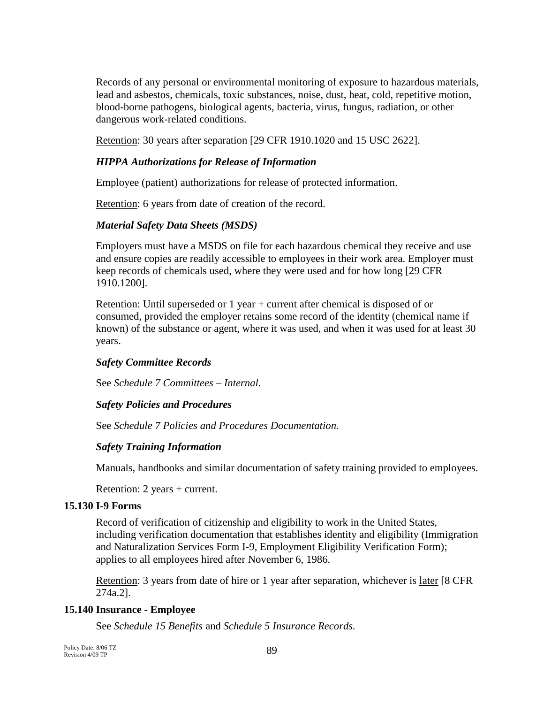Records of any personal or environmental monitoring of exposure to hazardous materials, lead and asbestos, chemicals, toxic substances, noise, dust, heat, cold, repetitive motion, blood-borne pathogens, biological agents, bacteria, virus, fungus, radiation, or other dangerous work-related conditions.

Retention: 30 years after separation [29 CFR 1910.1020 and 15 USC 2622].

# *HIPPA Authorizations for Release of Information*

Employee (patient) authorizations for release of protected information.

Retention: 6 years from date of creation of the record.

# *Material Safety Data Sheets (MSDS)*

Employers must have a MSDS on file for each hazardous chemical they receive and use and ensure copies are readily accessible to employees in their work area. Employer must keep records of chemicals used, where they were used and for how long [29 CFR 1910.1200].

Retention: Until superseded or 1 year + current after chemical is disposed of or consumed, provided the employer retains some record of the identity (chemical name if known) of the substance or agent, where it was used, and when it was used for at least 30 years.

# *Safety Committee Records*

See *Schedule 7 Committees – Internal.*

# *Safety Policies and Procedures*

See *Schedule 7 Policies and Procedures Documentation.*

# *Safety Training Information*

Manuals, handbooks and similar documentation of safety training provided to employees.

Retention: 2 years + current.

# **15.130 I-9 Forms**

Record of verification of citizenship and eligibility to work in the United States, including verification documentation that establishes identity and eligibility (Immigration and Naturalization Services Form I-9, Employment Eligibility Verification Form); applies to all employees hired after November 6, 1986.

Retention: 3 years from date of hire or 1 year after separation, whichever is later [8 CFR] 274a.2].

# **15.140 Insurance - Employee**

See *Schedule 15 Benefits* and *Schedule 5 Insurance Records.*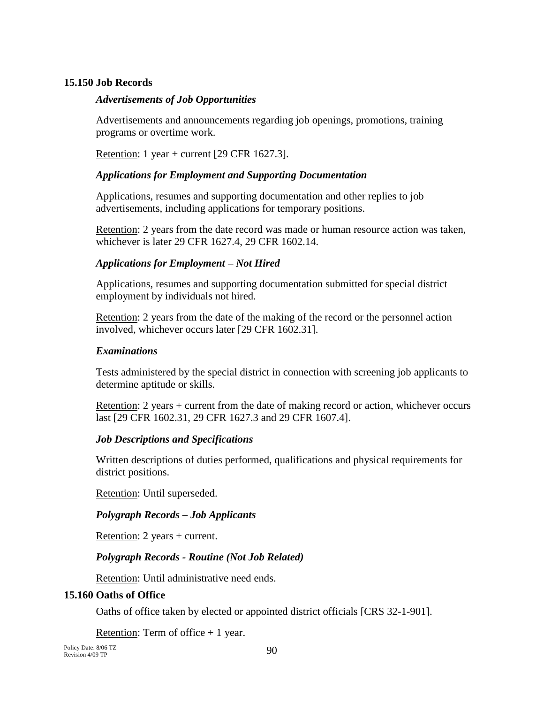# **15.150 Job Records**

### *Advertisements of Job Opportunities*

Advertisements and announcements regarding job openings, promotions, training programs or overtime work.

Retention: 1 year + current [29 CFR 1627.3].

### *Applications for Employment and Supporting Documentation*

Applications, resumes and supporting documentation and other replies to job advertisements, including applications for temporary positions.

Retention: 2 years from the date record was made or human resource action was taken, whichever is later 29 CFR 1627.4, 29 CFR 1602.14.

### *Applications for Employment – Not Hired*

Applications, resumes and supporting documentation submitted for special district employment by individuals not hired.

Retention: 2 years from the date of the making of the record or the personnel action involved, whichever occurs later [29 CFR 1602.31].

#### *Examinations*

Tests administered by the special district in connection with screening job applicants to determine aptitude or skills.

Retention: 2 years + current from the date of making record or action, whichever occurs last [29 CFR 1602.31, 29 CFR 1627.3 and 29 CFR 1607.4].

### *Job Descriptions and Specifications*

Written descriptions of duties performed, qualifications and physical requirements for district positions.

Retention: Until superseded.

### *Polygraph Records – Job Applicants*

Retention: 2 years + current.

### *Polygraph Records - Routine (Not Job Related)*

Retention: Until administrative need ends.

### **15.160 Oaths of Office**

Oaths of office taken by elected or appointed district officials [CRS 32-1-901].

Retention: Term of office  $+1$  year.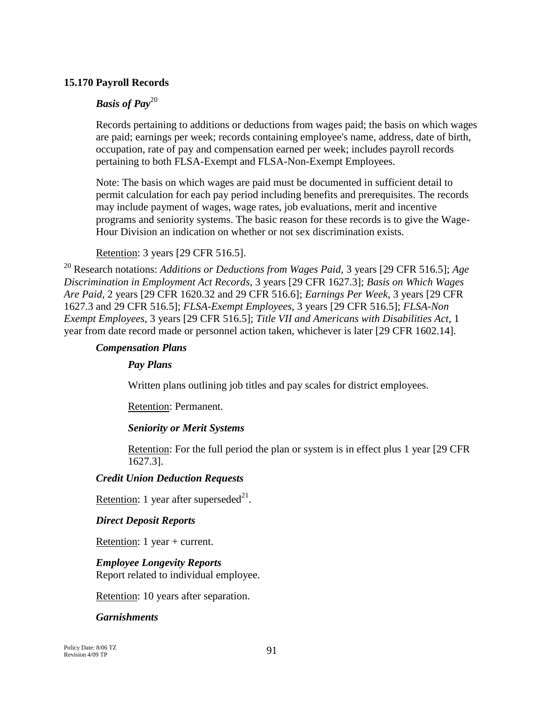### **15.170 Payroll Records**

# *Basis of Pay*<sup>20</sup>

Records pertaining to additions or deductions from wages paid; the basis on which wages are paid; earnings per week; records containing employee's name, address, date of birth, occupation, rate of pay and compensation earned per week; includes payroll records pertaining to both FLSA-Exempt and FLSA-Non-Exempt Employees.

Note: The basis on which wages are paid must be documented in sufficient detail to permit calculation for each pay period including benefits and prerequisites. The records may include payment of wages, wage rates, job evaluations, merit and incentive programs and seniority systems. The basic reason for these records is to give the Wage-Hour Division an indication on whether or not sex discrimination exists.

### Retention: 3 years [29 CFR 516.5].

<sup>20</sup> Research notations: *Additions or Deductions from Wages Paid,* 3 years [29 CFR 516.5]; *Age Discrimination in Employment Act Records*, 3 years [29 CFR 1627.3]; *Basis on Which Wages Are Paid*, 2 years [29 CFR 1620.32 and 29 CFR 516.6]; *Earnings Per Week*, 3 years [29 CFR 1627.3 and 29 CFR 516.5]; *FLSA-Exempt Employees*, 3 years [29 CFR 516.5]; *FLSA-Non Exempt Employees*, 3 years [29 CFR 516.5]; *Title VII and Americans with Disabilities Act*, 1 year from date record made or personnel action taken, whichever is later [29 CFR 1602.14].

#### *Compensation Plans*

### *Pay Plans*

Written plans outlining job titles and pay scales for district employees.

Retention: Permanent.

### *Seniority or Merit Systems*

Retention: For the full period the plan or system is in effect plus 1 year [29 CFR 1627.3].

### *Credit Union Deduction Requests*

Retention: 1 year after superseded $^{21}$ .

### *Direct Deposit Reports*

Retention: 1 year + current.

### *Employee Longevity Reports*

Report related to individual employee.

Retention: 10 years after separation.

#### *Garnishments*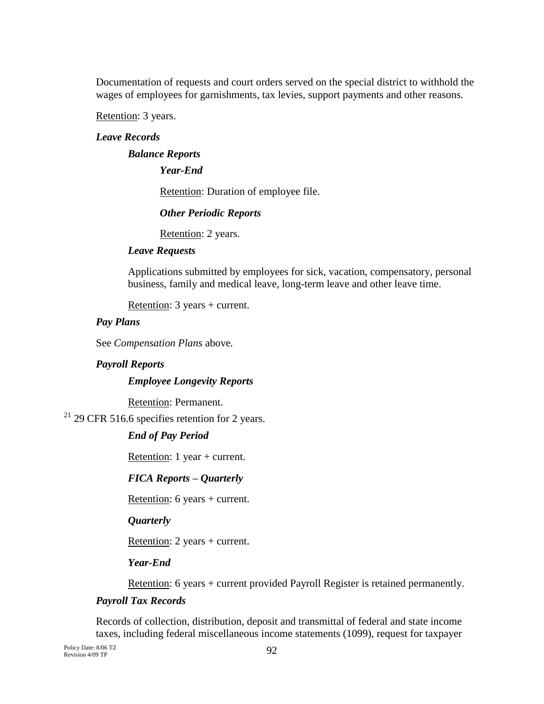Documentation of requests and court orders served on the special district to withhold the wages of employees for garnishments, tax levies, support payments and other reasons.

Retention: 3 years.

## *Leave Records*

### *Balance Reports*

*Year-End*

Retention: Duration of employee file.

*Other Periodic Reports*

Retention: 2 years.

#### *Leave Requests*

Applications submitted by employees for sick, vacation, compensatory, personal business, family and medical leave, long-term leave and other leave time.

Retention: 3 years + current.

### *Pay Plans*

See *Compensation Plans* above*.*

### *Payroll Reports*

#### *Employee Longevity Reports*

Retention: Permanent.

 $21$  29 CFR 516.6 specifies retention for 2 years.

### *End of Pay Period*

Retention: 1 year + current.

### *FICA Reports – Quarterly*

Retention: 6 years + current.

*Quarterly*

Retention: 2 years + current.

*Year-End*

Retention: 6 years + current provided Payroll Register is retained permanently.

### *Payroll Tax Records*

Records of collection, distribution, deposit and transmittal of federal and state income taxes, including federal miscellaneous income statements (1099), request for taxpayer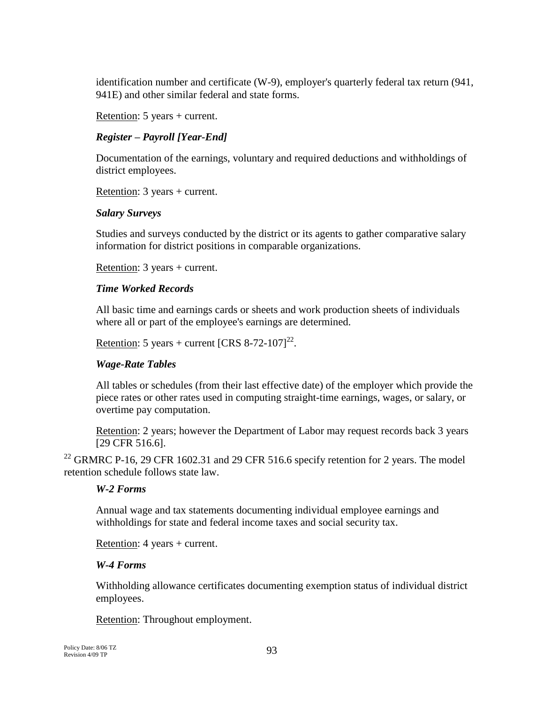identification number and certificate (W-9), employer's quarterly federal tax return (941, 941E) and other similar federal and state forms.

Retention: 5 years + current.

# *Register – Payroll [Year-End]*

Documentation of the earnings, voluntary and required deductions and withholdings of district employees.

Retention: 3 years + current.

## *Salary Surveys*

Studies and surveys conducted by the district or its agents to gather comparative salary information for district positions in comparable organizations.

Retention: 3 years + current.

# *Time Worked Records*

All basic time and earnings cards or sheets and work production sheets of individuals where all or part of the employee's earnings are determined.

Retention: 5 years + current  $[CRS 8-72-107]^{22}$ .

# *Wage-Rate Tables*

All tables or schedules (from their last effective date) of the employer which provide the piece rates or other rates used in computing straight-time earnings, wages, or salary, or overtime pay computation.

Retention: 2 years; however the Department of Labor may request records back 3 years [29 CFR 516.6].

<sup>22</sup> GRMRC P-16, 29 CFR 1602.31 and 29 CFR 516.6 specify retention for 2 years. The model retention schedule follows state law.

### *W-2 Forms*

Annual wage and tax statements documenting individual employee earnings and withholdings for state and federal income taxes and social security tax.

Retention: 4 years + current.

### *W-4 Forms*

Withholding allowance certificates documenting exemption status of individual district employees.

Retention: Throughout employment.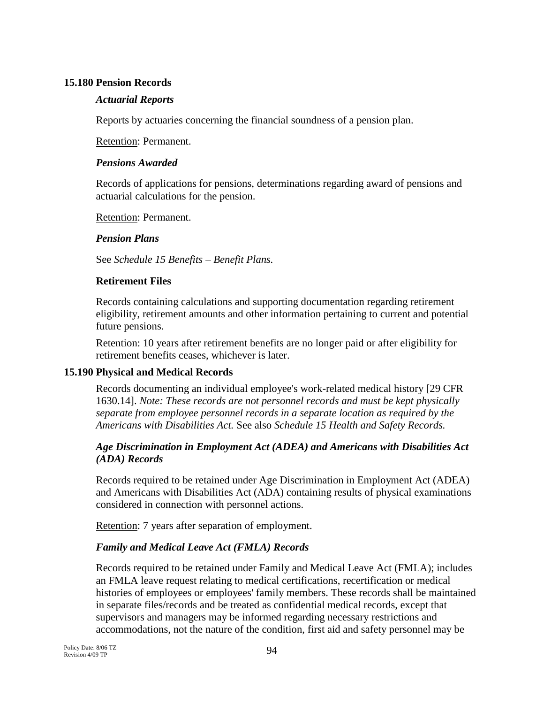### **15.180 Pension Records**

### *Actuarial Reports*

Reports by actuaries concerning the financial soundness of a pension plan.

Retention: Permanent.

### *Pensions Awarded*

Records of applications for pensions, determinations regarding award of pensions and actuarial calculations for the pension.

Retention: Permanent.

### *Pension Plans*

See *Schedule 15 Benefits – Benefit Plans.* 

### **Retirement Files**

Records containing calculations and supporting documentation regarding retirement eligibility, retirement amounts and other information pertaining to current and potential future pensions.

Retention: 10 years after retirement benefits are no longer paid or after eligibility for retirement benefits ceases, whichever is later.

### **15.190 Physical and Medical Records**

Records documenting an individual employee's work-related medical history [29 CFR 1630.14]. *Note: These records are not personnel records and must be kept physically separate from employee personnel records in a separate location as required by the Americans with Disabilities Act.* See also *Schedule 15 Health and Safety Records.*

## *Age Discrimination in Employment Act (ADEA) and Americans with Disabilities Act (ADA) Records*

Records required to be retained under Age Discrimination in Employment Act (ADEA) and Americans with Disabilities Act (ADA) containing results of physical examinations considered in connection with personnel actions.

Retention: 7 years after separation of employment.

# *Family and Medical Leave Act (FMLA) Records*

Records required to be retained under Family and Medical Leave Act (FMLA); includes an FMLA leave request relating to medical certifications, recertification or medical histories of employees or employees' family members. These records shall be maintained in separate files/records and be treated as confidential medical records, except that supervisors and managers may be informed regarding necessary restrictions and accommodations, not the nature of the condition, first aid and safety personnel may be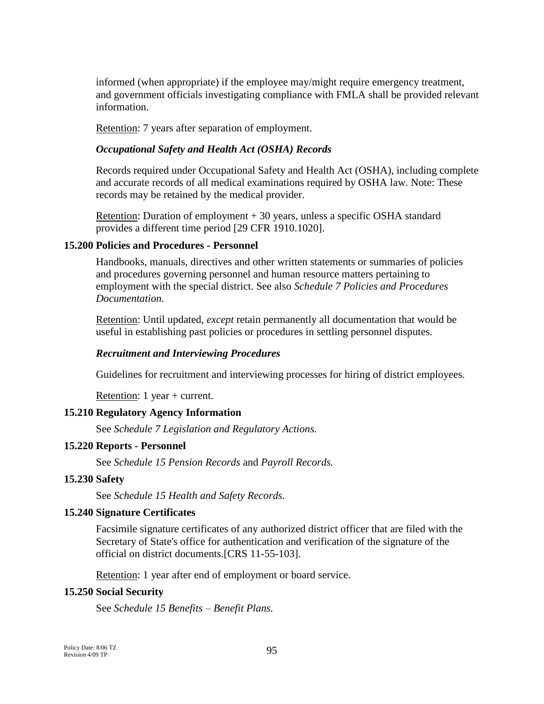informed (when appropriate) if the employee may/might require emergency treatment, and government officials investigating compliance with FMLA shall be provided relevant information.

Retention: 7 years after separation of employment.

#### *Occupational Safety and Health Act (OSHA) Records*

Records required under Occupational Safety and Health Act (OSHA), including complete and accurate records of all medical examinations required by OSHA law. Note: These records may be retained by the medical provider.

Retention: Duration of employment + 30 years, unless a specific OSHA standard provides a different time period [29 CFR 1910.1020].

#### **15.200 Policies and Procedures - Personnel**

Handbooks, manuals, directives and other written statements or summaries of policies and procedures governing personnel and human resource matters pertaining to employment with the special district. See also *Schedule 7 Policies and Procedures Documentation.*

Retention: Until updated, *except* retain permanently all documentation that would be useful in establishing past policies or procedures in settling personnel disputes.

#### *Recruitment and Interviewing Procedures*

Guidelines for recruitment and interviewing processes for hiring of district employees.

Retention: 1 year + current.

#### **15.210 Regulatory Agency Information**

See *Schedule 7 Legislation and Regulatory Actions.*

#### **15.220 Reports - Personnel**

See *Schedule 15 Pension Records* and *Payroll Records.*

#### **15.230 Safety**

See *Schedule 15 Health and Safety Records.*

#### **15.240 Signature Certificates**

Facsimile signature certificates of any authorized district officer that are filed with the Secretary of State's office for authentication and verification of the signature of the official on district documents.[CRS 11-55-103].

Retention: 1 year after end of employment or board service.

#### **15.250 Social Security**

See *Schedule 15 Benefits – Benefit Plans.*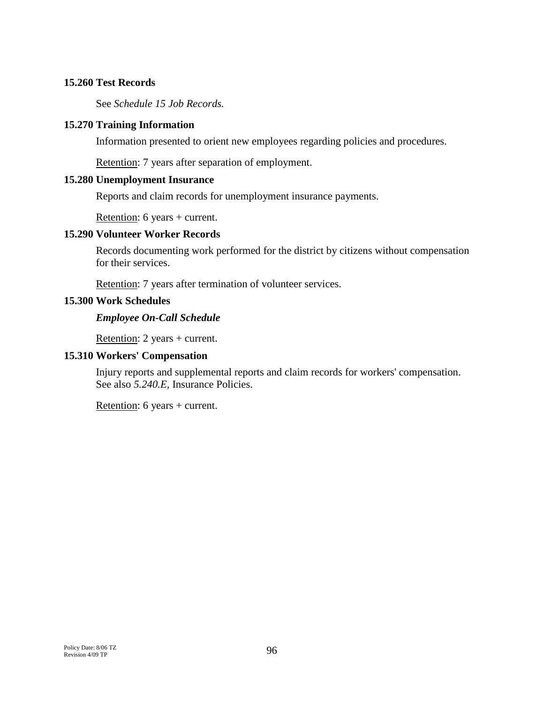### **15.260 Test Records**

See *Schedule 15 Job Records.*

## **15.270 Training Information**

Information presented to orient new employees regarding policies and procedures.

Retention: 7 years after separation of employment.

### **15.280 Unemployment Insurance**

Reports and claim records for unemployment insurance payments.

Retention: 6 years + current.

# **15.290 Volunteer Worker Records**

Records documenting work performed for the district by citizens without compensation for their services.

Retention: 7 years after termination of volunteer services.

## **15.300 Work Schedules**

## *Employee On-Call Schedule*

Retention: 2 years + current.

# **15.310 Workers' Compensation**

Injury reports and supplemental reports and claim records for workers' compensation. See also 5.240.E, Insurance Policies.

Retention: 6 years + current.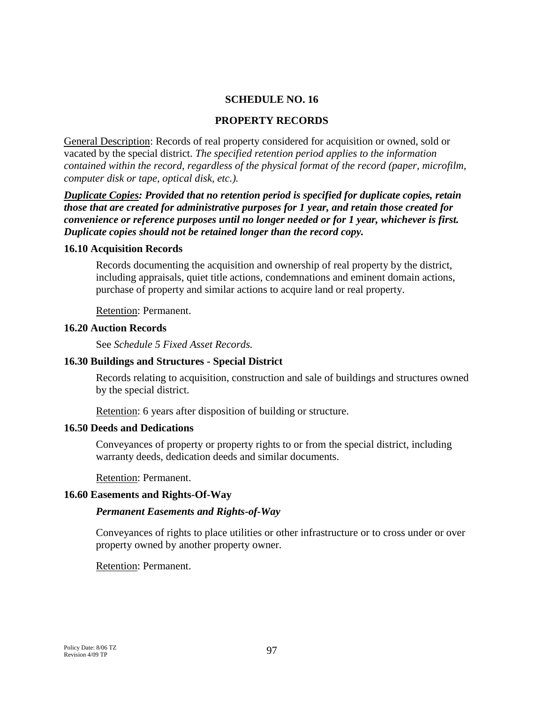### **SCHEDULE NO. 16**

### **PROPERTY RECORDS**

General Description: Records of real property considered for acquisition or owned, sold or vacated by the special district. *The specified retention period applies to the information contained within the record, regardless of the physical format of the record (paper, microfilm, computer disk or tape, optical disk, etc.).*

*Duplicate Copies: Provided that no retention period is specified for duplicate copies, retain those that are created for administrative purposes for 1 year, and retain those created for convenience or reference purposes until no longer needed or for 1 year, whichever is first. Duplicate copies should not be retained longer than the record copy.*

#### **16.10 Acquisition Records**

Records documenting the acquisition and ownership of real property by the district, including appraisals, quiet title actions, condemnations and eminent domain actions, purchase of property and similar actions to acquire land or real property.

Retention: Permanent.

#### **16.20 Auction Records**

See *Schedule 5 Fixed Asset Records.*

### **16.30 Buildings and Structures - Special District**

Records relating to acquisition, construction and sale of buildings and structures owned by the special district.

Retention: 6 years after disposition of building or structure.

#### **16.50 Deeds and Dedications**

Conveyances of property or property rights to or from the special district, including warranty deeds, dedication deeds and similar documents.

Retention: Permanent.

#### **16.60 Easements and Rights-Of-Way**

#### *Permanent Easements and Rights-of-Way*

Conveyances of rights to place utilities or other infrastructure or to cross under or over property owned by another property owner.

Retention: Permanent.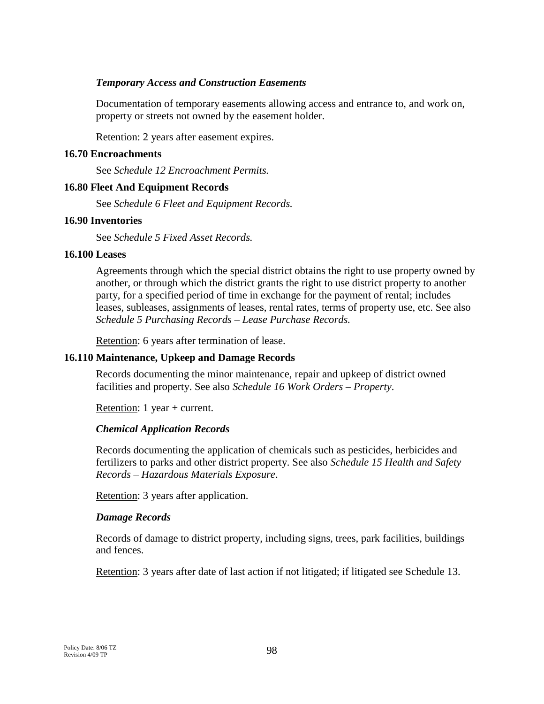### *Temporary Access and Construction Easements*

Documentation of temporary easements allowing access and entrance to, and work on, property or streets not owned by the easement holder.

Retention: 2 years after easement expires.

### **16.70 Encroachments**

See *Schedule 12 Encroachment Permits.*

## **16.80 Fleet And Equipment Records**

See *Schedule 6 Fleet and Equipment Records.*

## **16.90 Inventories**

See *Schedule 5 Fixed Asset Records.*

## **16.100 Leases**

Agreements through which the special district obtains the right to use property owned by another, or through which the district grants the right to use district property to another party, for a specified period of time in exchange for the payment of rental; includes leases, subleases, assignments of leases, rental rates, terms of property use, etc. See also *Schedule 5 Purchasing Records – Lease Purchase Records.*

Retention: 6 years after termination of lease.

# **16.110 Maintenance, Upkeep and Damage Records**

Records documenting the minor maintenance, repair and upkeep of district owned facilities and property. See also *Schedule 16 Work Orders – Property*.

Retention: 1 year + current.

# *Chemical Application Records*

Records documenting the application of chemicals such as pesticides, herbicides and fertilizers to parks and other district property. See also *Schedule 15 Health and Safety Records* – *Hazardous Materials Exposure*.

Retention: 3 years after application.

### *Damage Records*

Records of damage to district property, including signs, trees, park facilities, buildings and fences.

Retention: 3 years after date of last action if not litigated; if litigated see Schedule 13.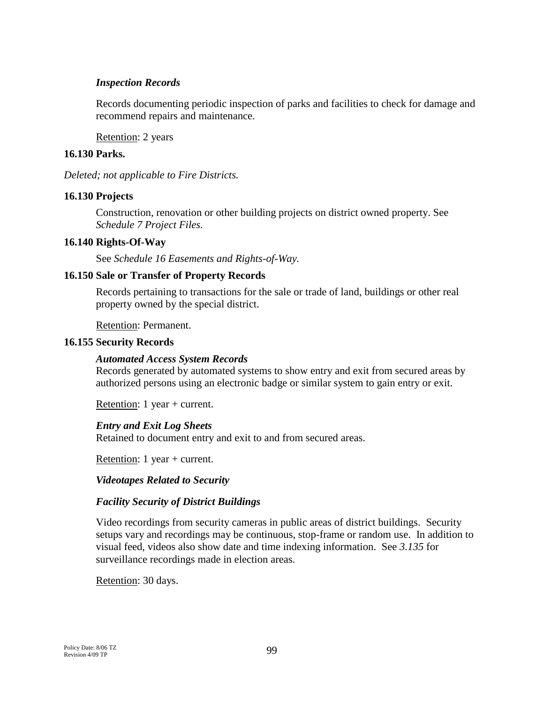### *Inspection Records*

Records documenting periodic inspection of parks and facilities to check for damage and recommend repairs and maintenance.

Retention: 2 years

# **16.130 Parks.**

*Deleted; not applicable to Fire Districts.*

## **16.130 Projects**

Construction, renovation or other building projects on district owned property. See *Schedule 7 Project Files.*

## **16.140 Rights-Of-Way**

See *Schedule 16 Easements and Rights-of-Way.*

## **16.150 Sale or Transfer of Property Records**

Records pertaining to transactions for the sale or trade of land, buildings or other real property owned by the special district.

Retention: Permanent.

### **16.155 Security Records**

### *Automated Access System Records*

Records generated by automated systems to show entry and exit from secured areas by authorized persons using an electronic badge or similar system to gain entry or exit.

Retention: 1 year + current.

### *Entry and Exit Log Sheets*

Retained to document entry and exit to and from secured areas.

Retention: 1 year + current.

### *Videotapes Related to Security*

### *Facility Security of District Buildings*

Video recordings from security cameras in public areas of district buildings. Security setups vary and recordings may be continuous, stop-frame or random use. In addition to visual feed, videos also show date and time indexing information. See *3.135* for surveillance recordings made in election areas.

Retention: 30 days.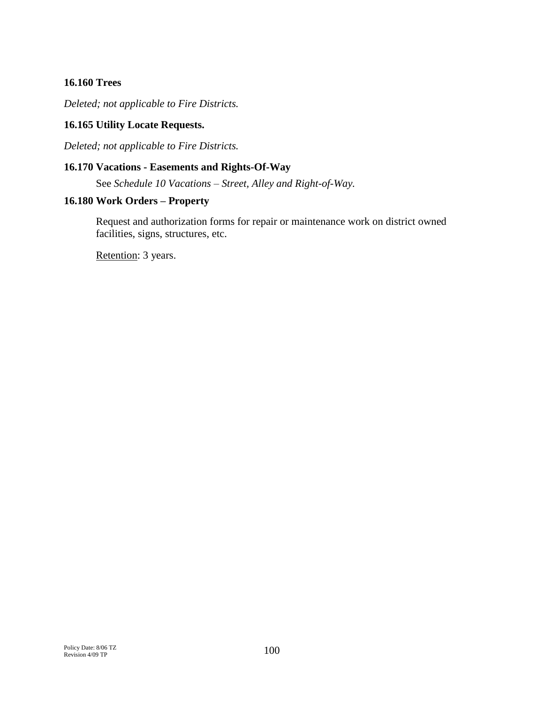## **16.160 Trees**

*Deleted; not applicable to Fire Districts.*

## **16.165 Utility Locate Requests.**

*Deleted; not applicable to Fire Districts.*

#### **16.170 Vacations - Easements and Rights-Of-Way**

See *Schedule 10 Vacations – Street, Alley and Right-of-Way.*

#### **16.180 Work Orders – Property**

Request and authorization forms for repair or maintenance work on district owned facilities, signs, structures, etc.

Retention: 3 years.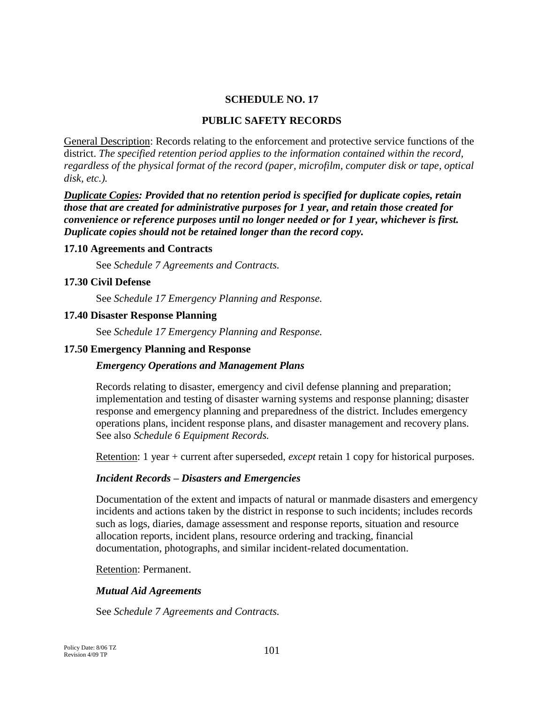### **SCHEDULE NO. 17**

#### **PUBLIC SAFETY RECORDS**

General Description: Records relating to the enforcement and protective service functions of the district. *The specified retention period applies to the information contained within the record, regardless of the physical format of the record (paper, microfilm, computer disk or tape, optical disk, etc.).*

*Duplicate Copies: Provided that no retention period is specified for duplicate copies, retain those that are created for administrative purposes for 1 year, and retain those created for convenience or reference purposes until no longer needed or for 1 year, whichever is first. Duplicate copies should not be retained longer than the record copy.*

#### **17.10 Agreements and Contracts**

See *Schedule 7 Agreements and Contracts.* 

#### **17.30 Civil Defense**

See *Schedule 17 Emergency Planning and Response.*

#### **17.40 Disaster Response Planning**

See *Schedule 17 Emergency Planning and Response.*

#### **17.50 Emergency Planning and Response**

#### *Emergency Operations and Management Plans*

Records relating to disaster, emergency and civil defense planning and preparation; implementation and testing of disaster warning systems and response planning; disaster response and emergency planning and preparedness of the district. Includes emergency operations plans, incident response plans, and disaster management and recovery plans. See also *Schedule 6 Equipment Records.*

Retention: 1 year + current after superseded, *except* retain 1 copy for historical purposes.

#### *Incident Records – Disasters and Emergencies*

Documentation of the extent and impacts of natural or manmade disasters and emergency incidents and actions taken by the district in response to such incidents; includes records such as logs, diaries, damage assessment and response reports, situation and resource allocation reports, incident plans, resource ordering and tracking, financial documentation, photographs, and similar incident-related documentation.

Retention: Permanent.

#### *Mutual Aid Agreements*

See *Schedule 7 Agreements and Contracts.*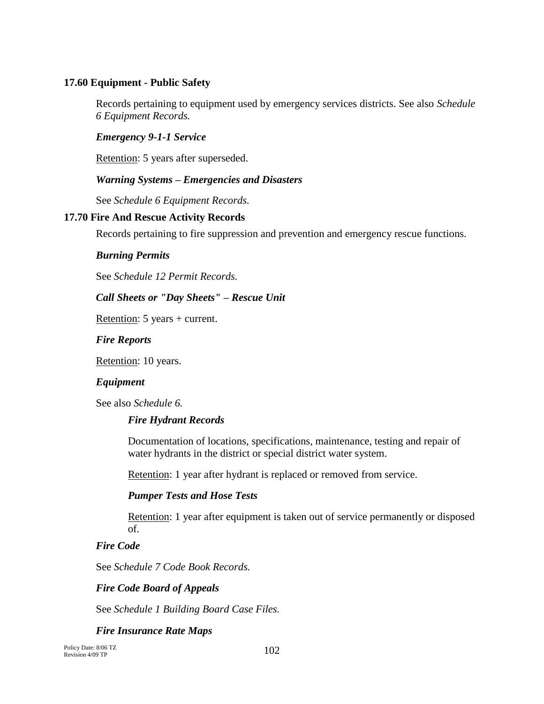## **17.60 Equipment - Public Safety**

Records pertaining to equipment used by emergency services districts. See also *Schedule 6 Equipment Records.*

### *Emergency 9-1-1 Service*

Retention: 5 years after superseded.

#### *Warning Systems – Emergencies and Disasters*

See *Schedule 6 Equipment Records.*

#### **17.70 Fire And Rescue Activity Records**

Records pertaining to fire suppression and prevention and emergency rescue functions.

#### *Burning Permits*

See *Schedule 12 Permit Records.*

### *Call Sheets or "Day Sheets" – Rescue Unit*

Retention: 5 years + current.

#### *Fire Reports*

Retention: 10 years.

### *Equipment*

See also *Schedule 6.*

### *Fire Hydrant Records*

Documentation of locations, specifications, maintenance, testing and repair of water hydrants in the district or special district water system.

Retention: 1 year after hydrant is replaced or removed from service.

### *Pumper Tests and Hose Tests*

Retention: 1 year after equipment is taken out of service permanently or disposed of.

#### *Fire Code*

See *Schedule 7 Code Book Records.*

### *Fire Code Board of Appeals*

See *Schedule 1 Building Board Case Files.*

### *Fire Insurance Rate Maps*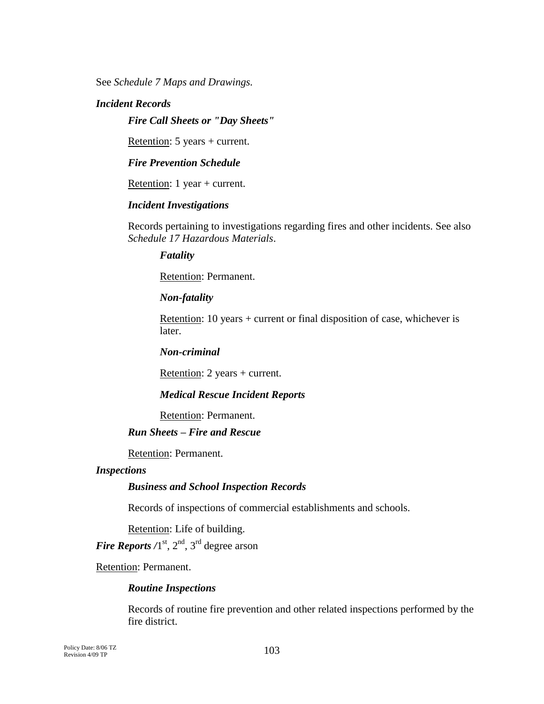See *Schedule 7 Maps and Drawings.*

### *Incident Records*

*Fire Call Sheets or "Day Sheets"*

Retention: 5 years + current.

*Fire Prevention Schedule*

Retention: 1 year + current.

#### *Incident Investigations*

Records pertaining to investigations regarding fires and other incidents. See also *Schedule 17 Hazardous Materials*.

*Fatality*

Retention: Permanent.

*Non-fatality*

Retention: 10 years + current or final disposition of case, whichever is later.

*Non-criminal*

Retention: 2 years + current.

#### *Medical Rescue Incident Reports*

Retention: Permanent.

# *Run Sheets – Fire and Rescue*

Retention: Permanent.

#### *Inspections*

#### *Business and School Inspection Records*

Records of inspections of commercial establishments and schools.

Retention: Life of building.

*Fire Reports*  $/1^{st}$ ,  $2^{nd}$ ,  $3^{rd}$  degree arson

Retention: Permanent.

#### *Routine Inspections*

Records of routine fire prevention and other related inspections performed by the fire district.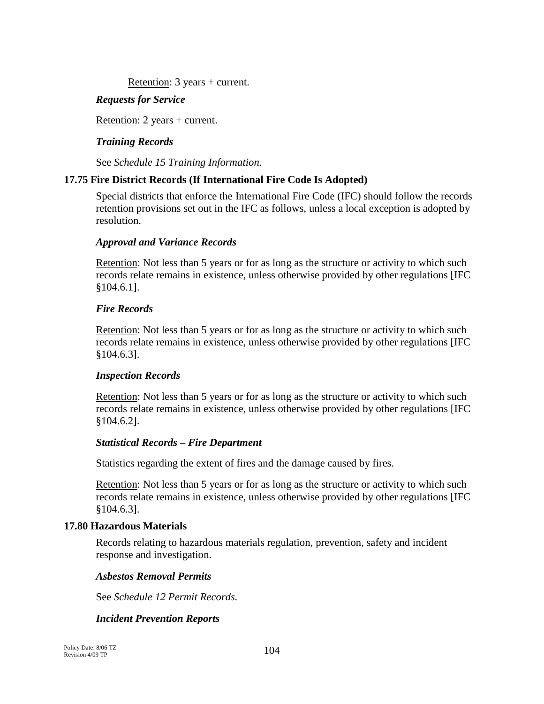Retention: 3 years + current.

# *Requests for Service*

Retention: 2 years + current.

# *Training Records*

See *Schedule 15 Training Information.*

# **17.75 Fire District Records (If International Fire Code Is Adopted)**

Special districts that enforce the International Fire Code (IFC) should follow the records retention provisions set out in the IFC as follows, unless a local exception is adopted by resolution.

### *Approval and Variance Records*

Retention: Not less than 5 years or for as long as the structure or activity to which such records relate remains in existence, unless otherwise provided by other regulations [IFC §104.6.1].

### *Fire Records*

Retention: Not less than 5 years or for as long as the structure or activity to which such records relate remains in existence, unless otherwise provided by other regulations [IFC §104.6.3].

### *Inspection Records*

Retention: Not less than 5 years or for as long as the structure or activity to which such records relate remains in existence, unless otherwise provided by other regulations [IFC §104.6.2].

### *Statistical Records – Fire Department*

Statistics regarding the extent of fires and the damage caused by fires.

Retention: Not less than 5 years or for as long as the structure or activity to which such records relate remains in existence, unless otherwise provided by other regulations [IFC §104.6.3].

### **17.80 Hazardous Materials**

Records relating to hazardous materials regulation, prevention, safety and incident response and investigation.

### *Asbestos Removal Permits*

See *Schedule 12 Permit Records.*

# *Incident Prevention Reports*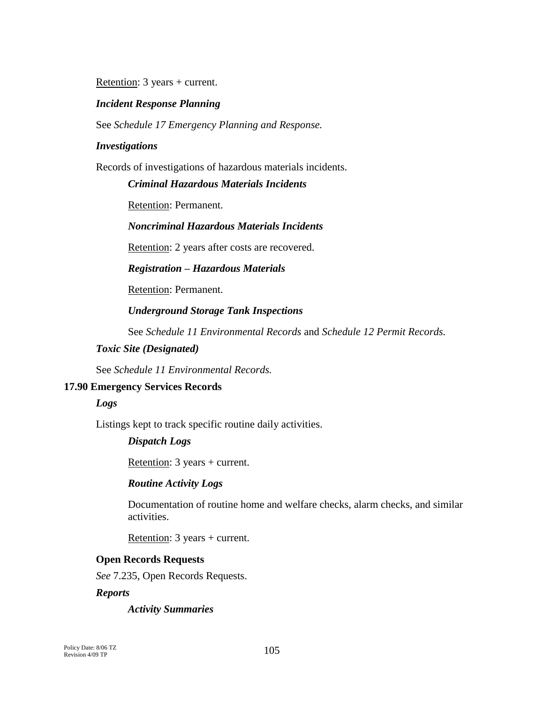Retention: 3 years + current.

#### *Incident Response Planning*

See *Schedule 17 Emergency Planning and Response.*

#### *Investigations*

Records of investigations of hazardous materials incidents.

#### *Criminal Hazardous Materials Incidents*

Retention: Permanent.

### *Noncriminal Hazardous Materials Incidents*

Retention: 2 years after costs are recovered.

#### *Registration – Hazardous Materials*

Retention: Permanent.

#### *Underground Storage Tank Inspections*

See *Schedule 11 Environmental Records* and *Schedule 12 Permit Records.*

# *Toxic Site (Designated)*

See *Schedule 11 Environmental Records.*

#### **17.90 Emergency Services Records**

#### *Logs*

Listings kept to track specific routine daily activities.

#### *Dispatch Logs*

Retention: 3 years + current.

#### *Routine Activity Logs*

Documentation of routine home and welfare checks, alarm checks, and similar activities.

Retention: 3 years + current.

#### **Open Records Requests**

*See* 7.235, Open Records Requests.

#### *Reports*

*Activity Summaries*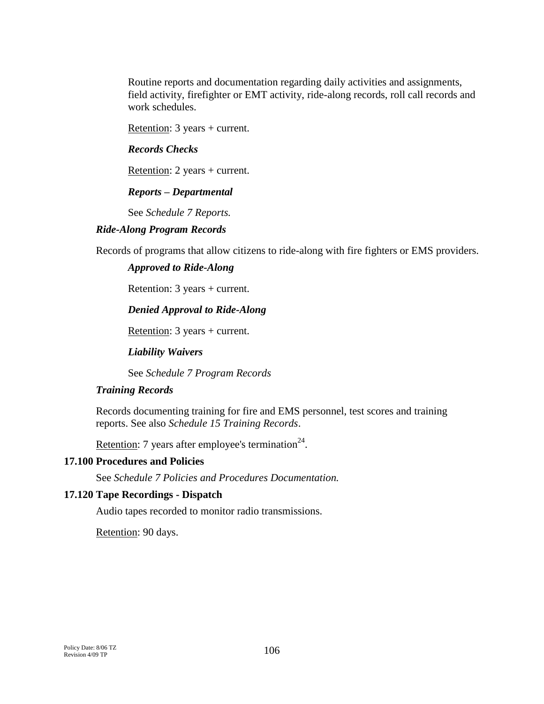Routine reports and documentation regarding daily activities and assignments, field activity, firefighter or EMT activity, ride-along records, roll call records and work schedules.

Retention: 3 years + current.

### *Records Checks*

Retention: 2 years + current.

## *Reports – Departmental*

See *Schedule 7 Reports.*

### *Ride-Along Program Records*

Records of programs that allow citizens to ride-along with fire fighters or EMS providers.

## *Approved to Ride-Along*

Retention: 3 years + current.

### *Denied Approval to Ride-Along*

Retention: 3 years + current.

*Liability Waivers*

See *Schedule 7 Program Records*

# *Training Records*

Records documenting training for fire and EMS personnel, test scores and training reports. See also *Schedule 15 Training Records*.

Retention: 7 years after employee's termination<sup>24</sup>.

### **17.100 Procedures and Policies**

See *Schedule 7 Policies and Procedures Documentation.*

### **17.120 Tape Recordings - Dispatch**

Audio tapes recorded to monitor radio transmissions.

Retention: 90 days.